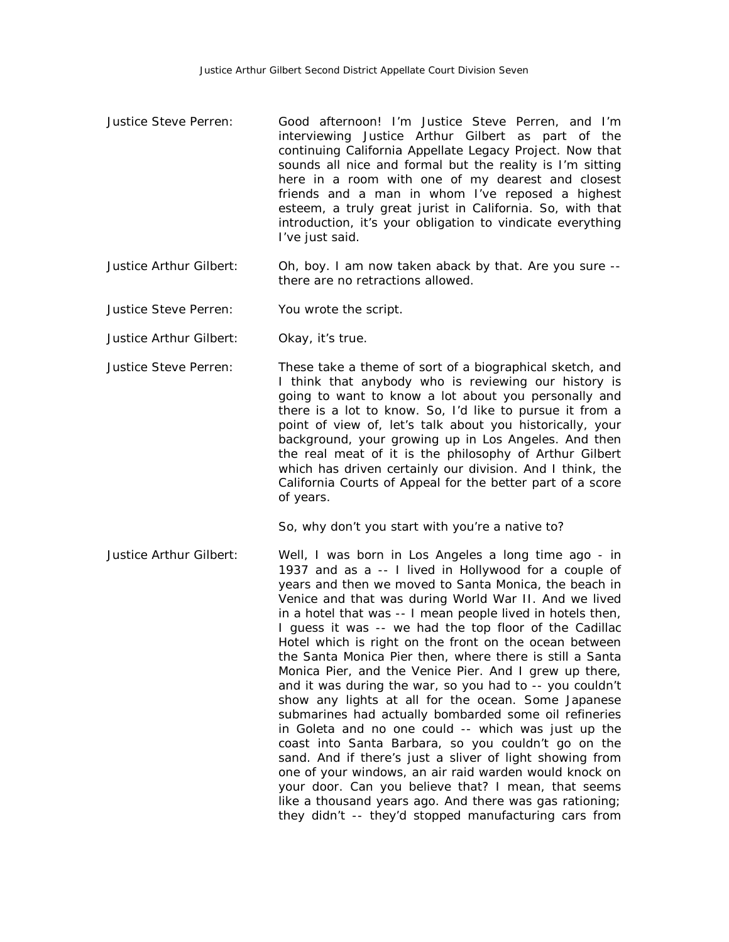- Justice Steve Perren: Good afternoon! I'm Justice Steve Perren, and I'm interviewing Justice Arthur Gilbert as part of the continuing California Appellate Legacy Project. Now that sounds all nice and formal but the reality is I'm sitting here in a room with one of my dearest and closest friends and a man in whom I've reposed a highest esteem, a truly great jurist in California. So, with that introduction, it's your obligation to vindicate everything I've just said.
- Justice Arthur Gilbert: Oh, boy. I am now taken aback by that. Are you sure there are no retractions allowed.
- Justice Steve Perren: You wrote the script.
- Justice Arthur Gilbert: Okay, it's true.
- Justice Steve Perren: These take a theme of sort of a biographical sketch, and I think that anybody who is reviewing our history is going to want to know a lot about you personally and there is a lot to know. So, I'd like to pursue it from a point of view of, let's talk about you historically, your background, your growing up in Los Angeles. And then the real meat of it is the philosophy of Arthur Gilbert which has driven certainly our division. And I think, the California Courts of Appeal for the better part of a score of years.

So, why don't you start with you're a native to?

Justice Arthur Gilbert: Well, I was born in Los Angeles a long time ago - in 1937 and as a -- I lived in Hollywood for a couple of years and then we moved to Santa Monica, the beach in Venice and that was during World War II. And we lived in a hotel that was -- I mean people lived in hotels then, I guess it was -- we had the top floor of the Cadillac Hotel which is right on the front on the ocean between the Santa Monica Pier then, where there is still a Santa Monica Pier, and the Venice Pier. And I grew up there, and it was during the war, so you had to -- you couldn't show any lights at all for the ocean. Some Japanese submarines had actually bombarded some oil refineries in Goleta and no one could -- which was just up the coast into Santa Barbara, so you couldn't go on the sand. And if there's just a sliver of light showing from one of your windows, an air raid warden would knock on your door. Can you believe that? I mean, that seems like a thousand years ago. And there was gas rationing; they didn't -- they'd stopped manufacturing cars from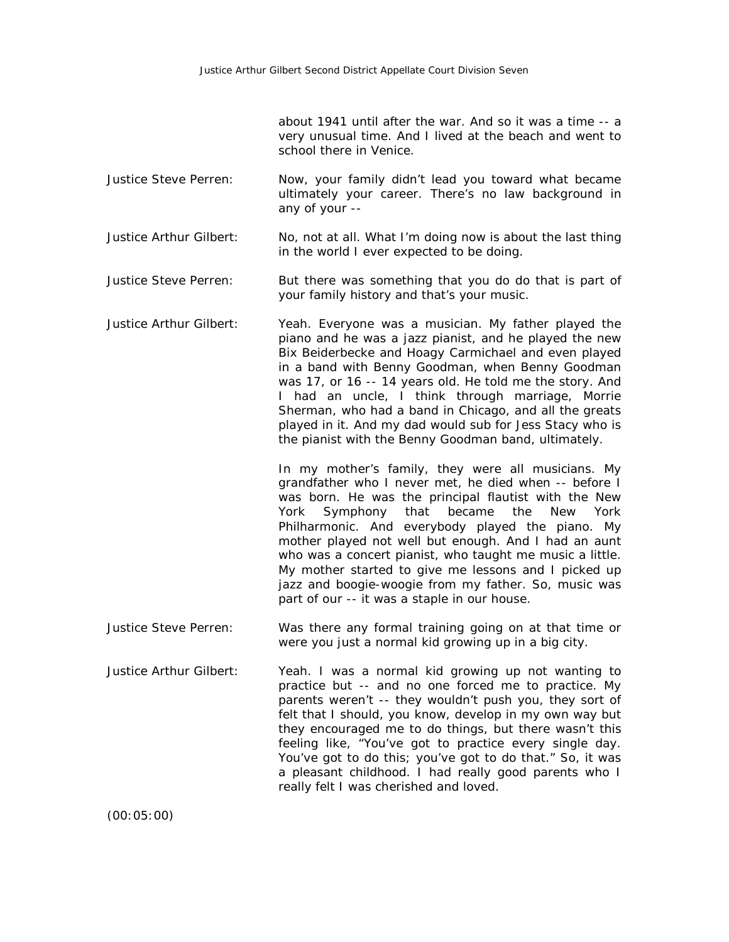about 1941 until after the war. And so it was a time -- a very unusual time. And I lived at the beach and went to school there in Venice.

- Justice Steve Perren: Now, your family didn't lead you toward what became ultimately your career. There's no law background in any of your --
- Justice Arthur Gilbert: No, not at all. What I'm doing now is about the last thing in the world I ever expected to be doing.
- Justice Steve Perren: But there was something that you do do that is part of your family history and that's your music.
- Justice Arthur Gilbert: Yeah. Everyone was a musician. My father played the piano and he was a jazz pianist, and he played the new Bix Beiderbecke and Hoagy Carmichael and even played in a band with Benny Goodman, when Benny Goodman was 17, or 16 -- 14 years old. He told me the story. And I had an uncle, I think through marriage, Morrie Sherman, who had a band in Chicago, and all the greats played in it. And my dad would sub for Jess Stacy who is the pianist with the Benny Goodman band, ultimately.

In my mother's family, they were all musicians. My grandfather who I never met, he died when -- before I was born. He was the principal flautist with the New York Symphony that became the New York Philharmonic. And everybody played the piano. My mother played not well but enough. And I had an aunt who was a concert pianist, who taught me music a little. My mother started to give me lessons and I picked up jazz and boogie-woogie from my father. So, music was part of our -- it was a staple in our house.

- Justice Steve Perren: Was there any formal training going on at that time or were you just a normal kid growing up in a big city.
- Justice Arthur Gilbert: Yeah. I was a normal kid growing up not wanting to practice but -- and no one forced me to practice. My parents weren't -- they wouldn't push you, they sort of felt that I should, you know, develop in my own way but they encouraged me to do things, but there wasn't this feeling like, "You've got to practice every single day. You've got to do this; you've got to do that." So, it was a pleasant childhood. I had really good parents who I really felt I was cherished and loved.

(00:05:00)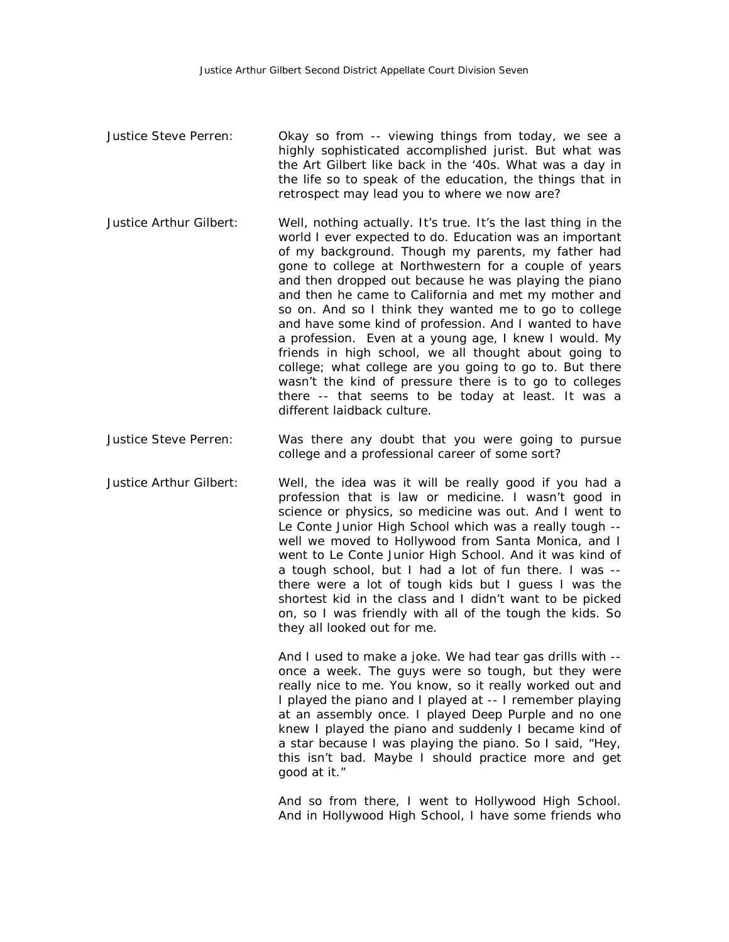- Justice Steve Perren: Okay so from -- viewing things from today, we see a highly sophisticated accomplished jurist. But what was the Art Gilbert like back in the '40s. What was a day in the life so to speak of the education, the things that in retrospect may lead you to where we now are?
- Justice Arthur Gilbert: Well, nothing actually. It's true. It's the last thing in the world I ever expected to do. Education was an important of my background. Though my parents, my father had gone to college at Northwestern for a couple of years and then dropped out because he was playing the piano and then he came to California and met my mother and so on. And so I think they wanted me to go to college and have some kind of profession. And I wanted to have a profession. Even at a young age, I knew I would. My friends in high school, we all thought about going to college; what college are you going to go to. But there wasn't the kind of pressure there is to go to colleges there -- that seems to be today at least. It was a different laidback culture.
- Justice Steve Perren: Was there any doubt that you were going to pursue college and a professional career of some sort?
- Justice Arthur Gilbert: Well, the idea was it will be really good if you had a profession that is law or medicine. I wasn't good in science or physics, so medicine was out. And I went to Le Conte Junior High School which was a really tough - well we moved to Hollywood from Santa Monica, and I went to Le Conte Junior High School. And it was kind of a tough school, but I had a lot of fun there. I was - there were a lot of tough kids but I guess I was the shortest kid in the class and I didn't want to be picked on, so I was friendly with all of the tough the kids. So they all looked out for me.

And I used to make a joke. We had tear gas drills with - once a week. The guys were so tough, but they were really nice to me. You know, so it really worked out and I played the piano and I played at -- I remember playing at an assembly once. I played Deep Purple and no one knew I played the piano and suddenly I became kind of a star because I was playing the piano. So I said, "Hey, this isn't bad. Maybe I should practice more and get good at it."

And so from there, I went to Hollywood High School. And in Hollywood High School, I have some friends who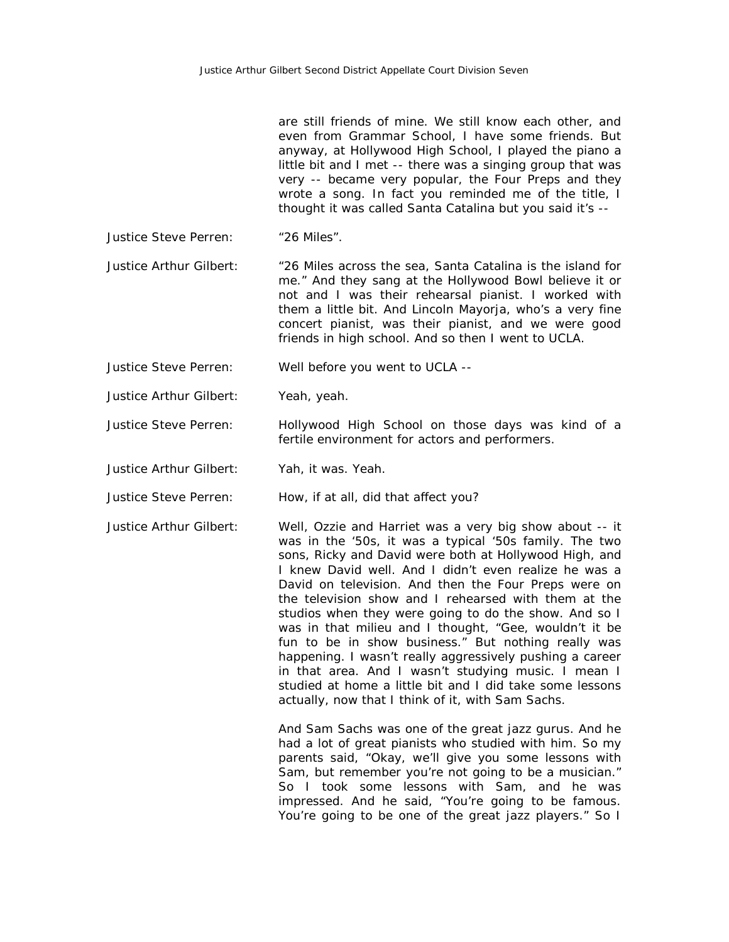are still friends of mine. We still know each other, and even from Grammar School, I have some friends. But anyway, at Hollywood High School, I played the piano a little bit and I met -- there was a singing group that was very -- became very popular, the Four Preps and they wrote a song. In fact you reminded me of the title, I thought it was called Santa Catalina but you said it's --

Justice Steve Perren: "26 Miles".

Justice Arthur Gilbert: "26 Miles across the sea, Santa Catalina is the island for me." And they sang at the Hollywood Bowl believe it or not and I was their rehearsal pianist. I worked with them a little bit. And Lincoln Mayorja, who's a very fine concert pianist, was their pianist, and we were good friends in high school. And so then I went to UCLA.

Justice Steve Perren: Well before you went to UCLA --

Justice Arthur Gilbert: Yeah, yeah.

Justice Steve Perren: Hollywood High School on those days was kind of a fertile environment for actors and performers.

Justice Arthur Gilbert: Yah, it was. Yeah.

Justice Steve Perren: How, if at all, did that affect you?

Justice Arthur Gilbert: Well, Ozzie and Harriet was a very big show about -- it was in the '50s, it was a typical '50s family. The two sons, Ricky and David were both at Hollywood High, and I knew David well. And I didn't even realize he was a David on television. And then the Four Preps were on the television show and I rehearsed with them at the studios when they were going to do the show. And so I was in that milieu and I thought, "Gee, wouldn't it be fun to be in show business." But nothing really was happening. I wasn't really aggressively pushing a career in that area. And I wasn't studying music. I mean I studied at home a little bit and I did take some lessons actually, now that I think of it, with Sam Sachs.

> And Sam Sachs was one of the great jazz gurus. And he had a lot of great pianists who studied with him. So my parents said, "Okay, we'll give you some lessons with Sam, but remember you're not going to be a musician." So I took some lessons with Sam, and he was impressed. And he said, "You're going to be famous. You're going to be one of the great jazz players." So I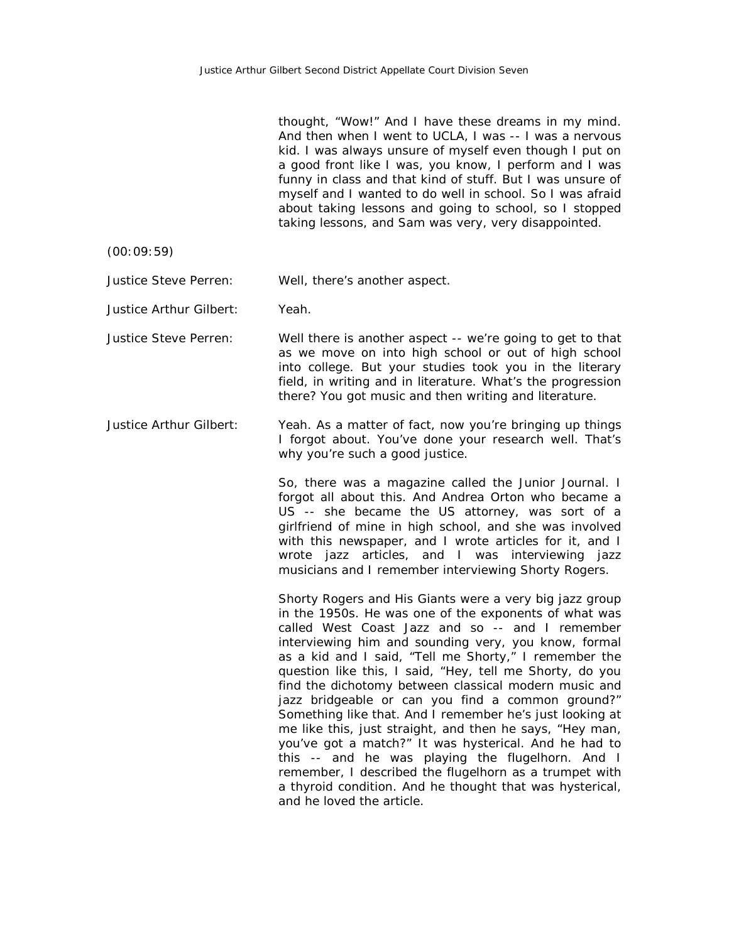thought, "Wow!" And I have these dreams in my mind. And then when I went to UCLA, I was -- I was a nervous kid. I was always unsure of myself even though I put on a good front like I was, you know, I perform and I was funny in class and that kind of stuff. But I was unsure of myself and I wanted to do well in school. So I was afraid about taking lessons and going to school, so I stopped taking lessons, and Sam was very, very disappointed.

(00:09:59)

Justice Steve Perren: Well, there's another aspect.

Justice Arthur Gilbert: Yeah.

Justice Steve Perren: Well there is another aspect -- we're going to get to that as we move on into high school or out of high school into college. But your studies took you in the literary field, in writing and in literature. What's the progression there? You got music and then writing and literature.

Justice Arthur Gilbert: Yeah. As a matter of fact, now you're bringing up things I forgot about. You've done your research well. That's why you're such a good justice.

> So, there was a magazine called the Junior Journal. I forgot all about this. And Andrea Orton who became a US -- she became the US attorney, was sort of a girlfriend of mine in high school, and she was involved with this newspaper, and I wrote articles for it, and I wrote jazz articles, and I was interviewing jazz musicians and I remember interviewing Shorty Rogers.

> Shorty Rogers and His Giants were a very big jazz group in the 1950s. He was one of the exponents of what was called West Coast Jazz and so -- and I remember interviewing him and sounding very, you know, formal as a kid and I said, "Tell me Shorty," I remember the question like this, I said, "Hey, tell me Shorty, do you find the dichotomy between classical modern music and jazz bridgeable or can you find a common ground?" Something like that. And I remember he's just looking at me like this, just straight, and then he says, "Hey man, you've got a match?" It was hysterical. And he had to this -- and he was playing the flugelhorn. And I remember, I described the flugelhorn as a trumpet with a thyroid condition. And he thought that was hysterical, and he loved the article.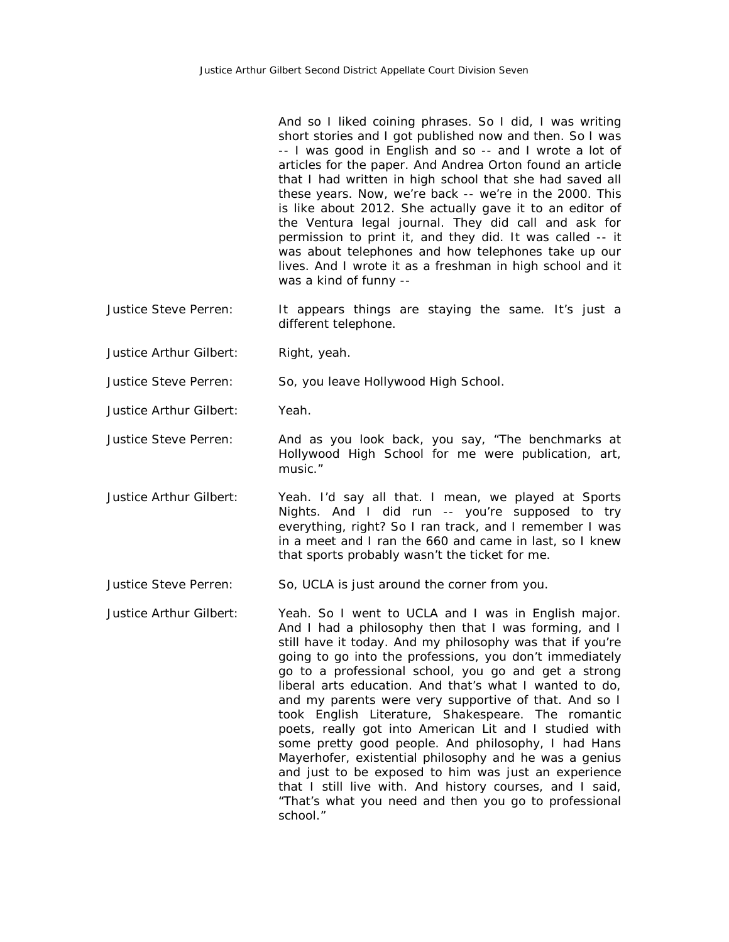And so I liked coining phrases. So I did, I was writing short stories and I got published now and then. So I was -- I was good in English and so -- and I wrote a lot of articles for the paper. And Andrea Orton found an article that I had written in high school that she had saved all these years. Now, we're back -- we're in the 2000. This is like about 2012. She actually gave it to an editor of the Ventura legal journal. They did call and ask for permission to print it, and they did. It was called -- it was about telephones and how telephones take up our lives. And I wrote it as a freshman in high school and it was a kind of funny --

- Justice Steve Perren: It appears things are staying the same. It's just a different telephone.
- Justice Arthur Gilbert: Right, yeah.

Justice Steve Perren: So, you leave Hollywood High School.

Justice Arthur Gilbert: Yeah.

Justice Steve Perren: And as you look back, you say, "The benchmarks at Hollywood High School for me were publication, art, music."

Justice Arthur Gilbert: Yeah. I'd say all that. I mean, we played at Sports Nights. And I did run -- you're supposed to try everything, right? So I ran track, and I remember I was in a meet and I ran the 660 and came in last, so I knew that sports probably wasn't the ticket for me.

Justice Steve Perren: So, UCLA is just around the corner from you.

Justice Arthur Gilbert: Yeah. So I went to UCLA and I was in English major. And I had a philosophy then that I was forming, and I still have it today. And my philosophy was that if you're going to go into the professions, you don't immediately go to a professional school, you go and get a strong liberal arts education. And that's what I wanted to do, and my parents were very supportive of that. And so I took English Literature, Shakespeare. The romantic poets, really got into American Lit and I studied with some pretty good people. And philosophy, I had Hans Mayerhofer, existential philosophy and he was a genius and just to be exposed to him was just an experience that I still live with. And history courses, and I said, "That's what you need and then you go to professional school."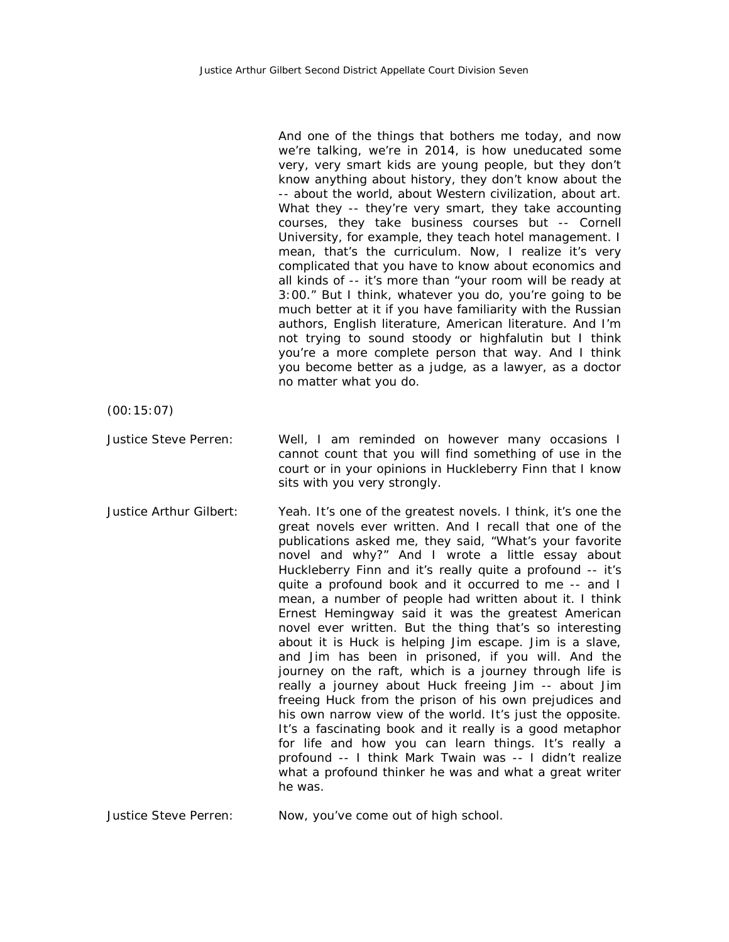And one of the things that bothers me today, and now we're talking, we're in 2014, is how uneducated some very, very smart kids are young people, but they don't know anything about history, they don't know about the -- about the world, about Western civilization, about art. What they -- they're very smart, they take accounting courses, they take business courses but -- Cornell University, for example, they teach hotel management. I mean, that's the curriculum. Now, I realize it's very complicated that you have to know about economics and all kinds of -- it's more than "your room will be ready at 3:00." But I think, whatever you do, you're going to be much better at it if you have familiarity with the Russian authors, English literature, American literature. And I'm not trying to sound stoody or highfalutin but I think you're a more complete person that way. And I think you become better as a judge, as a lawyer, as a doctor no matter what you do. (00:15:07) Justice Steve Perren: Well, I am reminded on however many occasions I cannot count that you will find something of use in the court or in your opinions in Huckleberry Finn that I know sits with you very strongly. Justice Arthur Gilbert: Yeah. It's one of the greatest novels. I think, it's one the great novels ever written. And I recall that one of the publications asked me, they said, "What's your favorite novel and why?" And I wrote a little essay about Huckleberry Finn and it's really quite a profound -- it's quite a profound book and it occurred to me -- and I mean, a number of people had written about it. I think Ernest Hemingway said it was the greatest American novel ever written. But the thing that's so interesting about it is Huck is helping Jim escape. Jim is a slave, and Jim has been in prisoned, if you will. And the journey on the raft, which is a journey through life is really a journey about Huck freeing Jim -- about Jim freeing Huck from the prison of his own prejudices and his own narrow view of the world. It's just the opposite. It's a fascinating book and it really is a good metaphor for life and how you can learn things. It's really a profound -- I think Mark Twain was -- I didn't realize what a profound thinker he was and what a great writer he was.

Justice Steve Perren: Now, you've come out of high school.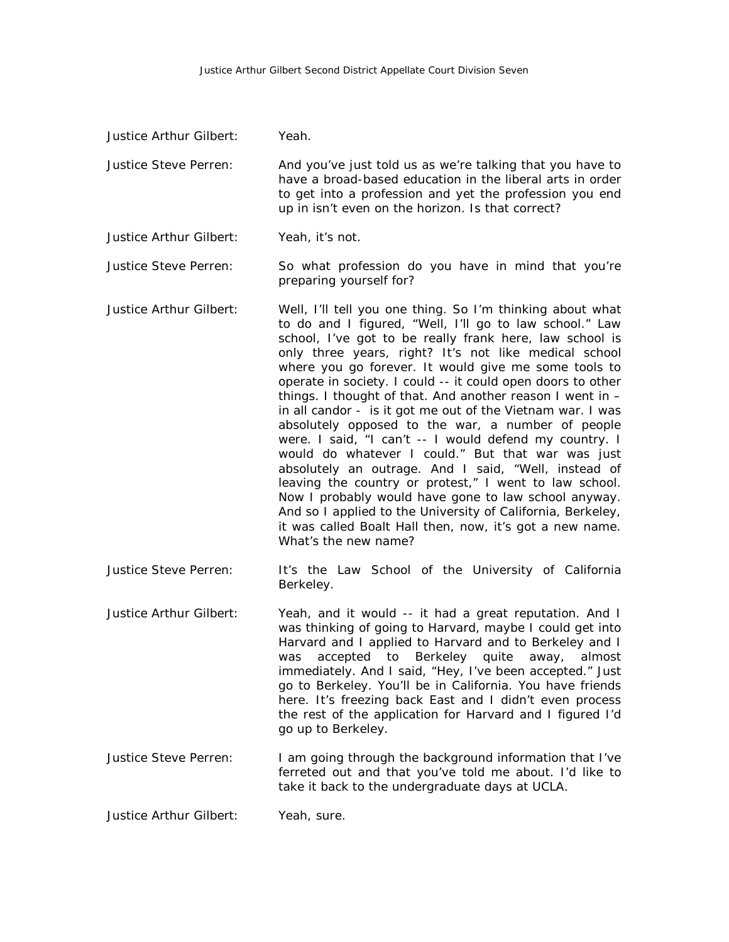| Justice Arthur Gilbert: | Yeah.                                                                                                                                                                                                                                                                                                                                                                                                                                                                                                                                                                                                                                                                                                                                                                                                                                                                                                                                                                                       |
|-------------------------|---------------------------------------------------------------------------------------------------------------------------------------------------------------------------------------------------------------------------------------------------------------------------------------------------------------------------------------------------------------------------------------------------------------------------------------------------------------------------------------------------------------------------------------------------------------------------------------------------------------------------------------------------------------------------------------------------------------------------------------------------------------------------------------------------------------------------------------------------------------------------------------------------------------------------------------------------------------------------------------------|
| Justice Steve Perren:   | And you've just told us as we're talking that you have to<br>have a broad-based education in the liberal arts in order<br>to get into a profession and yet the profession you end<br>up in isn't even on the horizon. Is that correct?                                                                                                                                                                                                                                                                                                                                                                                                                                                                                                                                                                                                                                                                                                                                                      |
| Justice Arthur Gilbert: | Yeah, it's not.                                                                                                                                                                                                                                                                                                                                                                                                                                                                                                                                                                                                                                                                                                                                                                                                                                                                                                                                                                             |
| Justice Steve Perren:   | So what profession do you have in mind that you're<br>preparing yourself for?                                                                                                                                                                                                                                                                                                                                                                                                                                                                                                                                                                                                                                                                                                                                                                                                                                                                                                               |
| Justice Arthur Gilbert: | Well, I'll tell you one thing. So I'm thinking about what<br>to do and I figured, "Well, I'll go to law school." Law<br>school, I've got to be really frank here, law school is<br>only three years, right? It's not like medical school<br>where you go forever. It would give me some tools to<br>operate in society. I could -- it could open doors to other<br>things. I thought of that. And another reason I went in -<br>in all candor - is it got me out of the Vietnam war. I was<br>absolutely opposed to the war, a number of people<br>were. I said, "I can't -- I would defend my country. I<br>would do whatever I could." But that war was just<br>absolutely an outrage. And I said, "Well, instead of<br>leaving the country or protest," I went to law school.<br>Now I probably would have gone to law school anyway.<br>And so I applied to the University of California, Berkeley,<br>it was called Boalt Hall then, now, it's got a new name.<br>What's the new name? |
| Justice Steve Perren:   | It's the Law School of the University of California<br>Berkeley.                                                                                                                                                                                                                                                                                                                                                                                                                                                                                                                                                                                                                                                                                                                                                                                                                                                                                                                            |
| Justice Arthur Gilbert: | Yeah, and it would -- it had a great reputation. And I<br>was thinking of going to Harvard, maybe I could get into<br>Harvard and I applied to Harvard and to Berkeley and I<br>was accepted to Berkeley quite away, almost<br>immediately. And I said, "Hey, I've been accepted." Just<br>go to Berkeley. You'll be in California. You have friends<br>here. It's freezing back East and I didn't even process<br>the rest of the application for Harvard and I figured I'd<br>go up to Berkeley.                                                                                                                                                                                                                                                                                                                                                                                                                                                                                          |
| Justice Steve Perren:   | I am going through the background information that I've<br>ferreted out and that you've told me about. I'd like to<br>take it back to the undergraduate days at UCLA.                                                                                                                                                                                                                                                                                                                                                                                                                                                                                                                                                                                                                                                                                                                                                                                                                       |
|                         |                                                                                                                                                                                                                                                                                                                                                                                                                                                                                                                                                                                                                                                                                                                                                                                                                                                                                                                                                                                             |

Justice Arthur Gilbert: Yeah, sure.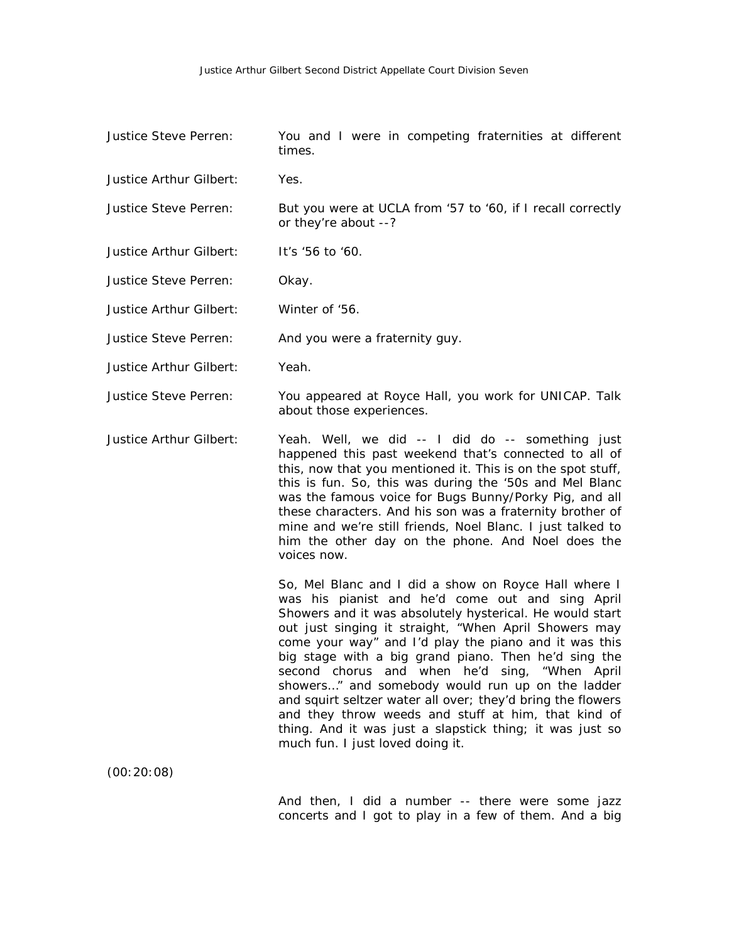| Justice Steve Perren:   | You and I were in competing fraternities at different<br>times.                                                                                                                                                                                                                                                                                                                                                                                                                                                                                                                                                                                                           |
|-------------------------|---------------------------------------------------------------------------------------------------------------------------------------------------------------------------------------------------------------------------------------------------------------------------------------------------------------------------------------------------------------------------------------------------------------------------------------------------------------------------------------------------------------------------------------------------------------------------------------------------------------------------------------------------------------------------|
| Justice Arthur Gilbert: | Yes.                                                                                                                                                                                                                                                                                                                                                                                                                                                                                                                                                                                                                                                                      |
| Justice Steve Perren:   | But you were at UCLA from '57 to '60, if I recall correctly<br>or they're about --?                                                                                                                                                                                                                                                                                                                                                                                                                                                                                                                                                                                       |
| Justice Arthur Gilbert: | It's '56 to '60.                                                                                                                                                                                                                                                                                                                                                                                                                                                                                                                                                                                                                                                          |
| Justice Steve Perren:   | Okay.                                                                                                                                                                                                                                                                                                                                                                                                                                                                                                                                                                                                                                                                     |
| Justice Arthur Gilbert: | Winter of '56.                                                                                                                                                                                                                                                                                                                                                                                                                                                                                                                                                                                                                                                            |
| Justice Steve Perren:   | And you were a fraternity guy.                                                                                                                                                                                                                                                                                                                                                                                                                                                                                                                                                                                                                                            |
| Justice Arthur Gilbert: | Yeah.                                                                                                                                                                                                                                                                                                                                                                                                                                                                                                                                                                                                                                                                     |
| Justice Steve Perren:   | You appeared at Royce Hall, you work for UNICAP. Talk<br>about those experiences.                                                                                                                                                                                                                                                                                                                                                                                                                                                                                                                                                                                         |
| Justice Arthur Gilbert: | Yeah. Well, we did -- I did do -- something just<br>happened this past weekend that's connected to all of<br>this, now that you mentioned it. This is on the spot stuff,<br>this is fun. So, this was during the '50s and Mel Blanc<br>was the famous voice for Bugs Bunny/Porky Pig, and all<br>these characters. And his son was a fraternity brother of<br>mine and we're still friends, Noel Blanc. I just talked to<br>him the other day on the phone. And Noel does the<br>voices now.                                                                                                                                                                              |
|                         | So, Mel Blanc and I did a show on Royce Hall where I<br>was his pianist and he'd come out and sing April<br>Showers and it was absolutely hysterical. He would start<br>out just singing it straight, "When April Showers may<br>come your way" and I'd play the piano and it was this<br>big stage with a big grand piano. Then he'd sing the<br>second chorus and when he'd sing, "When April<br>showers" and somebody would run up on the ladder<br>and squirt seltzer water all over; they'd bring the flowers<br>and they throw weeds and stuff at him, that kind of<br>thing. And it was just a slapstick thing; it was just so<br>much fun. I just loved doing it. |
| (00:20:08)              |                                                                                                                                                                                                                                                                                                                                                                                                                                                                                                                                                                                                                                                                           |
|                         |                                                                                                                                                                                                                                                                                                                                                                                                                                                                                                                                                                                                                                                                           |

And then, I did a number -- there were some jazz concerts and I got to play in a few of them. And a big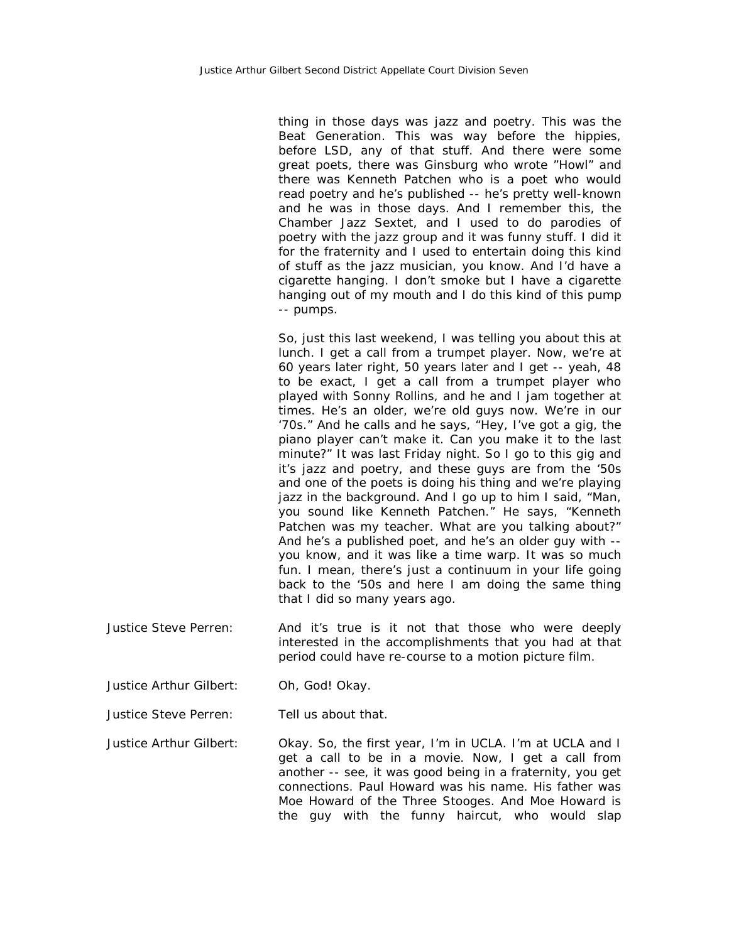thing in those days was jazz and poetry. This was the Beat Generation. This was way before the hippies, before LSD, any of that stuff. And there were some great poets, there was Ginsburg who wrote "Howl" and there was Kenneth Patchen who is a poet who would read poetry and he's published -- he's pretty well-known and he was in those days. And I remember this, the Chamber Jazz Sextet, and I used to do parodies of poetry with the jazz group and it was funny stuff. I did it for the fraternity and I used to entertain doing this kind of stuff as the jazz musician, you know. And I'd have a cigarette hanging. I don't smoke but I have a cigarette hanging out of my mouth and I do this kind of this pump -- pumps.

So, just this last weekend, I was telling you about this at lunch. I get a call from a trumpet player. Now, we're at 60 years later right, 50 years later and I get -- yeah, 48 to be exact, I get a call from a trumpet player who played with Sonny Rollins, and he and I jam together at times. He's an older, we're old guys now. We're in our '70s." And he calls and he says, "Hey, I've got a gig, the piano player can't make it. Can you make it to the last minute?" It was last Friday night. So I go to this gig and it's jazz and poetry, and these guys are from the '50s and one of the poets is doing his thing and we're playing jazz in the background. And I go up to him I said, "Man, you sound like Kenneth Patchen." He says, "Kenneth Patchen was my teacher. What are you talking about?" And he's a published poet, and he's an older guy with - you know, and it was like a time warp. It was so much fun. I mean, there's just a continuum in your life going back to the '50s and here I am doing the same thing that I did so many years ago.

- Justice Steve Perren: And it's true is it not that those who were deeply interested in the accomplishments that you had at that period could have re-course to a motion picture film.
- Justice Arthur Gilbert: Oh, God! Okay.
- Justice Steve Perren: Tell us about that.

Justice Arthur Gilbert: Okay. So, the first year, I'm in UCLA. I'm at UCLA and I get a call to be in a movie. Now, I get a call from another -- see, it was good being in a fraternity, you get connections. Paul Howard was his name. His father was Moe Howard of the Three Stooges. And Moe Howard is the guy with the funny haircut, who would slap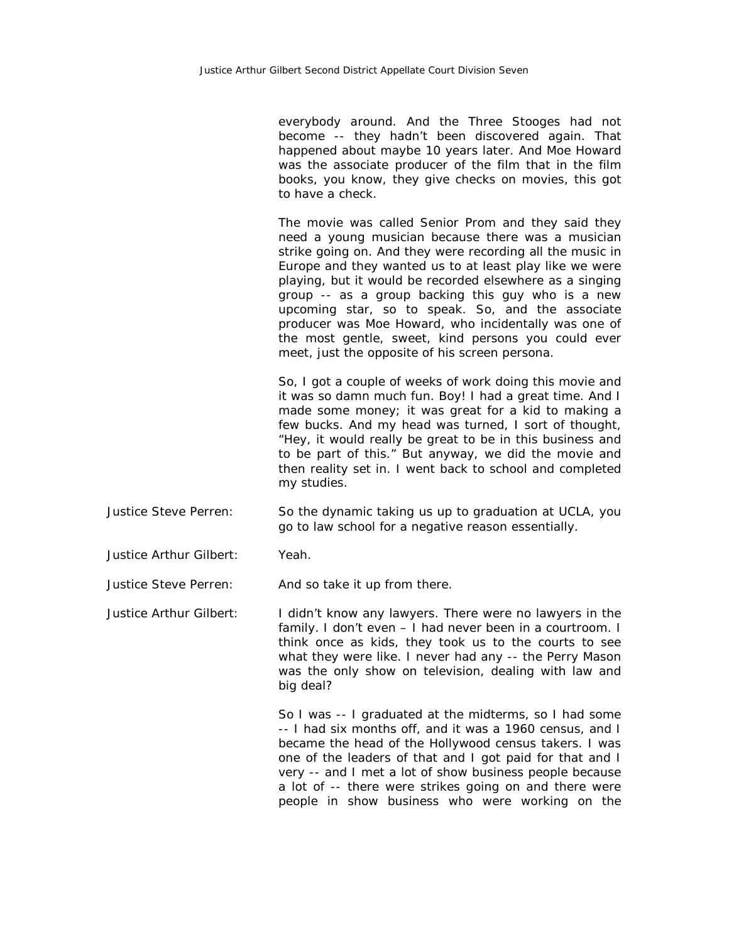everybody around. And the Three Stooges had not become -- they hadn't been discovered again. That happened about maybe 10 years later. And Moe Howard was the associate producer of the film that in the film books, you know, they give checks on movies, this got to have a check.

The movie was called Senior Prom and they said they need a young musician because there was a musician strike going on. And they were recording all the music in Europe and they wanted us to at least play like we were playing, but it would be recorded elsewhere as a singing group -- as a group backing this guy who is a new upcoming star, so to speak. So, and the associate producer was Moe Howard, who incidentally was one of the most gentle, sweet, kind persons you could ever meet, just the opposite of his screen persona.

So, I got a couple of weeks of work doing this movie and it was so damn much fun. Boy! I had a great time. And I made some money; it was great for a kid to making a few bucks. And my head was turned, I sort of thought, "Hey, it would really be great to be in this business and to be part of this." But anyway, we did the movie and then reality set in. I went back to school and completed my studies.

- Justice Steve Perren: So the dynamic taking us up to graduation at UCLA, you go to law school for a negative reason essentially.
- Justice Arthur Gilbert: Yeah.

Justice Steve Perren: And so take it up from there.

Justice Arthur Gilbert: I didn't know any lawyers. There were no lawyers in the family. I don't even - I had never been in a courtroom. I think once as kids, they took us to the courts to see what they were like. I never had any -- the Perry Mason was the only show on television, dealing with law and big deal?

> So I was -- I graduated at the midterms, so I had some -- I had six months off, and it was a 1960 census, and I became the head of the Hollywood census takers. I was one of the leaders of that and I got paid for that and I very -- and I met a lot of show business people because a lot of -- there were strikes going on and there were people in show business who were working on the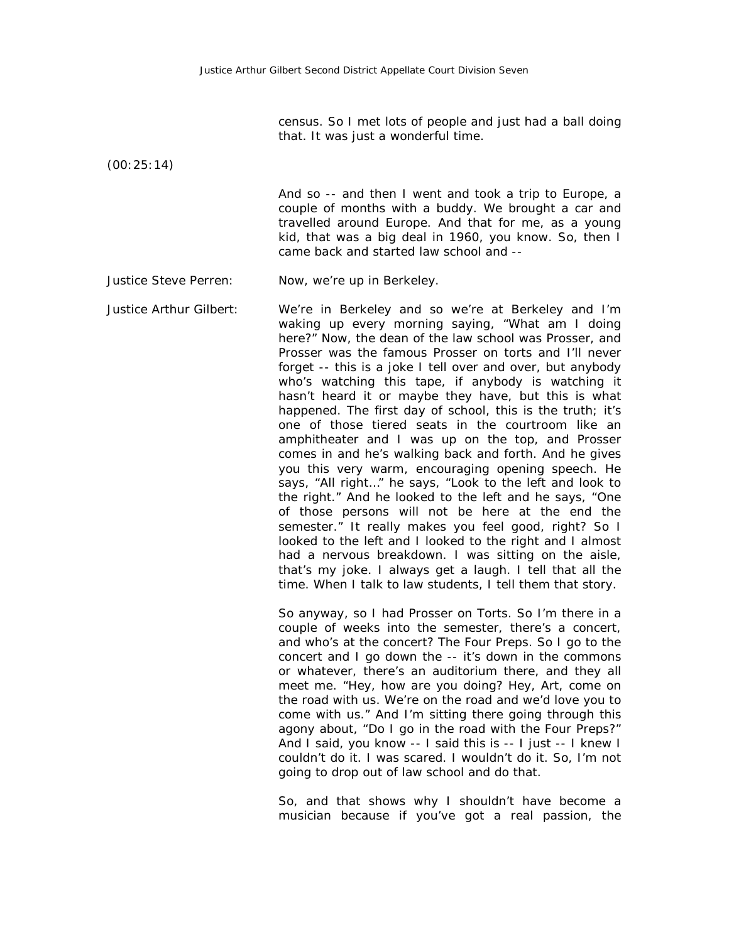census. So I met lots of people and just had a ball doing that. It was just a wonderful time.

(00:25:14)

And so -- and then I went and took a trip to Europe, a couple of months with a buddy. We brought a car and travelled around Europe. And that for me, as a young kid, that was a big deal in 1960, you know. So, then I came back and started law school and --

Justice Steve Perren: Now, we're up in Berkeley.

Justice Arthur Gilbert: We're in Berkeley and so we're at Berkeley and I'm waking up every morning saying, "What am I doing here?" Now, the dean of the law school was Prosser, and Prosser was the famous Prosser on torts and I'll never forget -- this is a joke I tell over and over, but anybody who's watching this tape, if anybody is watching it hasn't heard it or maybe they have, but this is what happened. The first day of school, this is the truth; it's one of those tiered seats in the courtroom like an amphitheater and I was up on the top, and Prosser comes in and he's walking back and forth. And he gives you this very warm, encouraging opening speech. He says, "All right…" he says, "Look to the left and look to the right." And he looked to the left and he says, "One of those persons will not be here at the end the semester." It really makes you feel good, right? So I looked to the left and I looked to the right and I almost had a nervous breakdown. I was sitting on the aisle, that's my joke. I always get a laugh. I tell that all the time. When I talk to law students, I tell them that story.

> So anyway, so I had Prosser on Torts. So I'm there in a couple of weeks into the semester, there's a concert, and who's at the concert? The Four Preps. So I go to the concert and I go down the -- it's down in the commons or whatever, there's an auditorium there, and they all meet me. "Hey, how are you doing? Hey, Art, come on the road with us. We're on the road and we'd love you to come with us." And I'm sitting there going through this agony about, "Do I go in the road with the Four Preps?" And I said, you know -- I said this is -- I just -- I knew I couldn't do it. I was scared. I wouldn't do it. So, I'm not going to drop out of law school and do that.

> So, and that shows why I shouldn't have become a musician because if you've got a real passion, the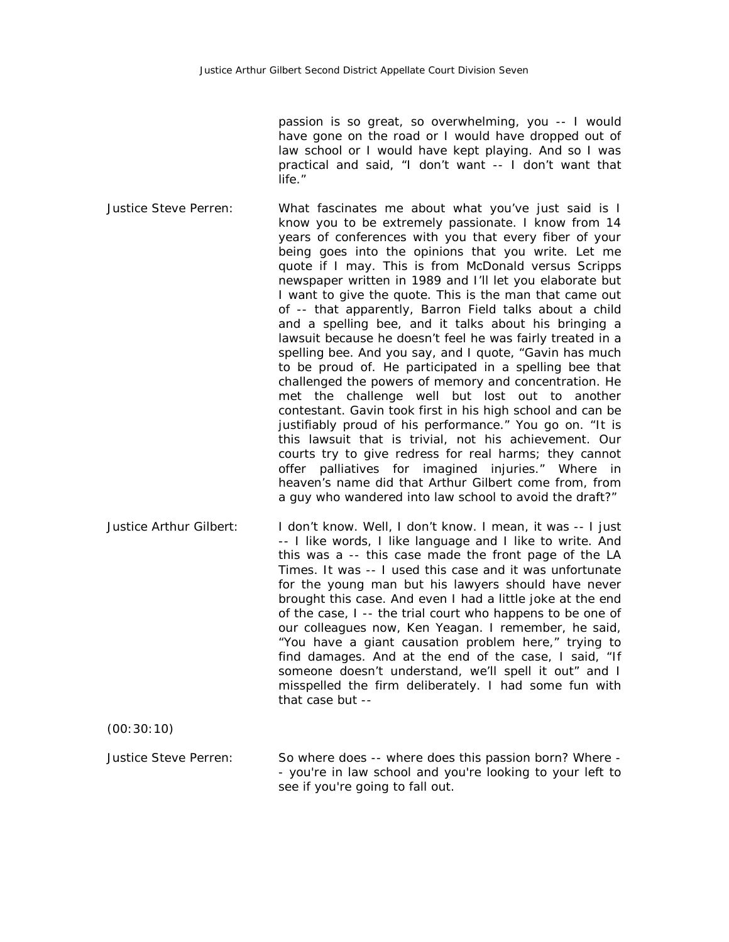passion is so great, so overwhelming, you -- I would have gone on the road or I would have dropped out of law school or I would have kept playing. And so I was practical and said, "I don't want -- I don't want that life."

- Justice Steve Perren: What fascinates me about what you've just said is I know you to be extremely passionate. I know from 14 years of conferences with you that every fiber of your being goes into the opinions that you write. Let me quote if I may. This is from McDonald versus Scripps newspaper written in 1989 and I'll let you elaborate but I want to give the quote. This is the man that came out of -- that apparently, Barron Field talks about a child and a spelling bee, and it talks about his bringing a lawsuit because he doesn't feel he was fairly treated in a spelling bee. And you say, and I quote, "Gavin has much to be proud of. He participated in a spelling bee that challenged the powers of memory and concentration. He met the challenge well but lost out to another contestant. Gavin took first in his high school and can be justifiably proud of his performance." You go on. "It is this lawsuit that is trivial, not his achievement. Our courts try to give redress for real harms; they cannot offer palliatives for imagined injuries." Where in heaven's name did that Arthur Gilbert come from, from a guy who wandered into law school to avoid the draft?"
- Justice Arthur Gilbert: I don't know. Well, I don't know. I mean, it was -- I just -- I like words, I like language and I like to write. And this was a -- this case made the front page of the LA Times. It was -- I used this case and it was unfortunate for the young man but his lawyers should have never brought this case. And even I had a little joke at the end of the case, I -- the trial court who happens to be one of our colleagues now, Ken Yeagan. I remember, he said, "You have a giant causation problem here," trying to find damages. And at the end of the case, I said, "If someone doesn't understand, we'll spell it out" and I misspelled the firm deliberately. I had some fun with that case but --

(00:30:10)

Justice Steve Perren: So where does -- where does this passion born? Where - - you're in law school and you're looking to your left to see if you're going to fall out.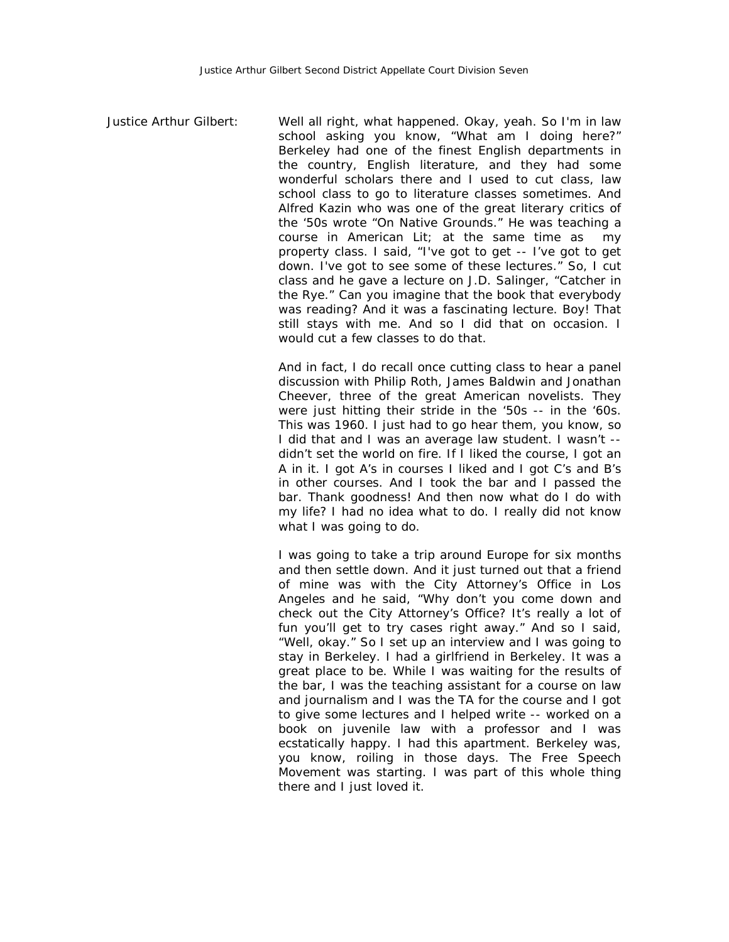Justice Arthur Gilbert: Well all right, what happened. Okay, yeah. So I'm in law school asking you know, "What am I doing here?" Berkeley had one of the finest English departments in the country, English literature, and they had some wonderful scholars there and I used to cut class, law school class to go to literature classes sometimes. And Alfred Kazin who was one of the great literary critics of the '50s wrote "On Native Grounds." He was teaching a course in American Lit; at the same time as my property class. I said, "I've got to get -- I've got to get down. I've got to see some of these lectures." So, I cut class and he gave a lecture on J.D. Salinger, "Catcher in the Rye." Can you imagine that the book that everybody was reading? And it was a fascinating lecture. Boy! That still stays with me. And so I did that on occasion. I would cut a few classes to do that.

> And in fact, I do recall once cutting class to hear a panel discussion with Philip Roth, James Baldwin and Jonathan Cheever, three of the great American novelists. They were just hitting their stride in the '50s -- in the '60s. This was 1960. I just had to go hear them, you know, so I did that and I was an average law student. I wasn't - didn't set the world on fire. If I liked the course, I got an A in it. I got A's in courses I liked and I got C's and B's in other courses. And I took the bar and I passed the bar. Thank goodness! And then now what do I do with my life? I had no idea what to do. I really did not know what I was going to do.

> I was going to take a trip around Europe for six months and then settle down. And it just turned out that a friend of mine was with the City Attorney's Office in Los Angeles and he said, "Why don't you come down and check out the City Attorney's Office? It's really a lot of fun you'll get to try cases right away." And so I said, "Well, okay." So I set up an interview and I was going to stay in Berkeley. I had a girlfriend in Berkeley. It was a great place to be. While I was waiting for the results of the bar, I was the teaching assistant for a course on law and journalism and I was the TA for the course and I got to give some lectures and I helped write -- worked on a book on juvenile law with a professor and I was ecstatically happy. I had this apartment. Berkeley was, you know, roiling in those days. The Free Speech Movement was starting. I was part of this whole thing there and I just loved it.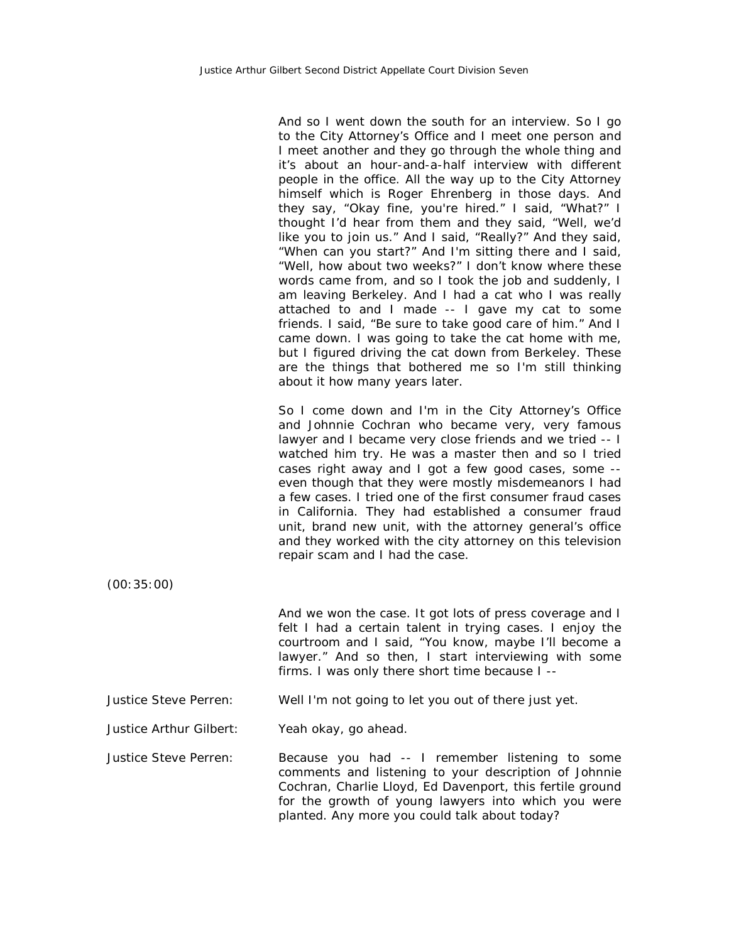And so I went down the south for an interview. So I go to the City Attorney's Office and I meet one person and I meet another and they go through the whole thing and it's about an hour-and-a-half interview with different people in the office. All the way up to the City Attorney himself which is Roger Ehrenberg in those days. And they say, "Okay fine, you're hired." I said, "What?" I thought I'd hear from them and they said, "Well, we'd like you to join us." And I said, "Really?" And they said, "When can you start?" And I'm sitting there and I said, "Well, how about two weeks?" I don't know where these words came from, and so I took the job and suddenly, I am leaving Berkeley. And I had a cat who I was really attached to and I made -- I gave my cat to some friends. I said, "Be sure to take good care of him." And I came down. I was going to take the cat home with me, but I figured driving the cat down from Berkeley. These are the things that bothered me so I'm still thinking about it how many years later.

So I come down and I'm in the City Attorney's Office and Johnnie Cochran who became very, very famous lawyer and I became very close friends and we tried -- I watched him try. He was a master then and so I tried cases right away and I got a few good cases, some - even though that they were mostly misdemeanors I had a few cases. I tried one of the first consumer fraud cases in California. They had established a consumer fraud unit, brand new unit, with the attorney general's office and they worked with the city attorney on this television repair scam and I had the case.

(00:35:00)

And we won the case. It got lots of press coverage and I felt I had a certain talent in trying cases. I enjoy the courtroom and I said, "You know, maybe I'll become a lawyer." And so then, I start interviewing with some firms. I was only there short time because I --

Justice Steve Perren: Well I'm not going to let you out of there just yet.

Justice Arthur Gilbert: Yeah okay, go ahead.

Justice Steve Perren: Because you had -- I remember listening to some comments and listening to your description of Johnnie Cochran, Charlie Lloyd, Ed Davenport, this fertile ground for the growth of young lawyers into which you were planted. Any more you could talk about today?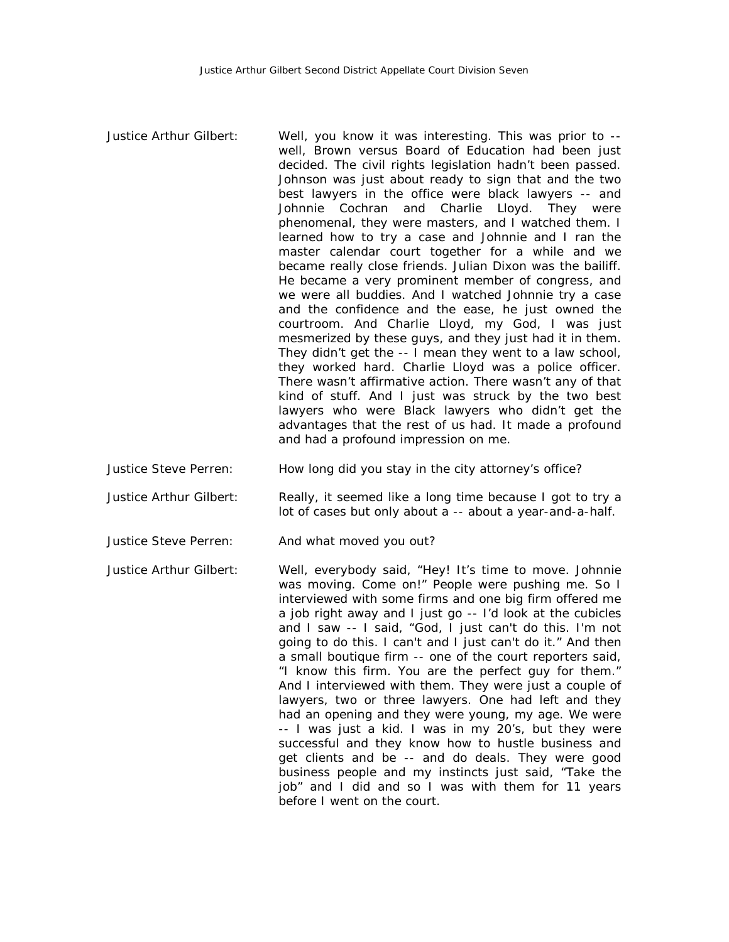| Justice Arthur Gilbert: | Well, you know it was interesting. This was prior to --<br>well, Brown versus Board of Education had been just<br>decided. The civil rights legislation hadn't been passed.<br>Johnson was just about ready to sign that and the two<br>best lawyers in the office were black lawyers -- and<br>Johnnie Cochran and Charlie Lloyd. They were<br>phenomenal, they were masters, and I watched them. I<br>learned how to try a case and Johnnie and I ran the<br>master calendar court together for a while and we<br>became really close friends. Julian Dixon was the bailiff.<br>He became a very prominent member of congress, and<br>we were all buddies. And I watched Johnnie try a case<br>and the confidence and the ease, he just owned the<br>courtroom. And Charlie Lloyd, my God, I was just<br>mesmerized by these guys, and they just had it in them.<br>They didn't get the -- I mean they went to a law school,<br>they worked hard. Charlie Lloyd was a police officer.<br>There wasn't affirmative action. There wasn't any of that<br>kind of stuff. And I just was struck by the two best<br>lawyers who were Black lawyers who didn't get the<br>advantages that the rest of us had. It made a profound<br>and had a profound impression on me. |
|-------------------------|---------------------------------------------------------------------------------------------------------------------------------------------------------------------------------------------------------------------------------------------------------------------------------------------------------------------------------------------------------------------------------------------------------------------------------------------------------------------------------------------------------------------------------------------------------------------------------------------------------------------------------------------------------------------------------------------------------------------------------------------------------------------------------------------------------------------------------------------------------------------------------------------------------------------------------------------------------------------------------------------------------------------------------------------------------------------------------------------------------------------------------------------------------------------------------------------------------------------------------------------------------------------|
|-------------------------|---------------------------------------------------------------------------------------------------------------------------------------------------------------------------------------------------------------------------------------------------------------------------------------------------------------------------------------------------------------------------------------------------------------------------------------------------------------------------------------------------------------------------------------------------------------------------------------------------------------------------------------------------------------------------------------------------------------------------------------------------------------------------------------------------------------------------------------------------------------------------------------------------------------------------------------------------------------------------------------------------------------------------------------------------------------------------------------------------------------------------------------------------------------------------------------------------------------------------------------------------------------------|

Justice Steve Perren: How long did you stay in the city attorney's office?

Justice Arthur Gilbert: Really, it seemed like a long time because I got to try a lot of cases but only about a -- about a year-and-a-half.

Justice Steve Perren: And what moved you out?

Justice Arthur Gilbert: Well, everybody said, "Hey! It's time to move. Johnnie was moving. Come on!" People were pushing me. So I interviewed with some firms and one big firm offered me a job right away and I just go -- I'd look at the cubicles and I saw -- I said, "God, I just can't do this. I'm not going to do this. I can't and I just can't do it." And then a small boutique firm -- one of the court reporters said, "I know this firm. You are the perfect guy for them." And I interviewed with them. They were just a couple of lawyers, two or three lawyers. One had left and they had an opening and they were young, my age. We were -- I was just a kid. I was in my 20's, but they were successful and they know how to hustle business and get clients and be -- and do deals. They were good business people and my instincts just said, "Take the job" and I did and so I was with them for 11 years before I went on the court.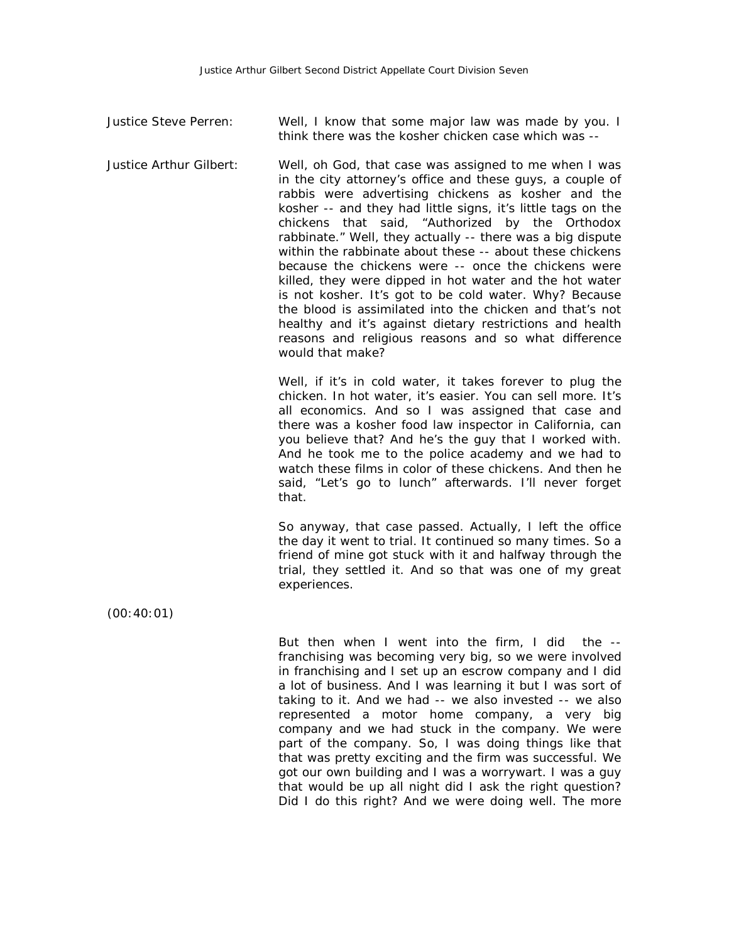Justice Steve Perren: Well, I know that some major law was made by you. I think there was the kosher chicken case which was --

Justice Arthur Gilbert: Well, oh God, that case was assigned to me when I was in the city attorney's office and these guys, a couple of rabbis were advertising chickens as kosher and the kosher -- and they had little signs, it's little tags on the chickens that said, "Authorized by the Orthodox rabbinate." Well, they actually -- there was a big dispute within the rabbinate about these -- about these chickens because the chickens were -- once the chickens were killed, they were dipped in hot water and the hot water is not kosher. It's got to be cold water. Why? Because the blood is assimilated into the chicken and that's not healthy and it's against dietary restrictions and health reasons and religious reasons and so what difference would that make?

> Well, if it's in cold water, it takes forever to plug the chicken. In hot water, it's easier. You can sell more. It's all economics. And so I was assigned that case and there was a kosher food law inspector in California, can you believe that? And he's the guy that I worked with. And he took me to the police academy and we had to watch these films in color of these chickens. And then he said, "Let's go to lunch" afterwards. I'll never forget that.

> So anyway, that case passed. Actually, I left the office the day it went to trial. It continued so many times. So a friend of mine got stuck with it and halfway through the trial, they settled it. And so that was one of my great experiences.

(00:40:01)

But then when I went into the firm, I did the - franchising was becoming very big, so we were involved in franchising and I set up an escrow company and I did a lot of business. And I was learning it but I was sort of taking to it. And we had -- we also invested -- we also represented a motor home company, a very big company and we had stuck in the company. We were part of the company. So, I was doing things like that that was pretty exciting and the firm was successful. We got our own building and I was a worrywart. I was a guy that would be up all night did I ask the right question? Did I do this right? And we were doing well. The more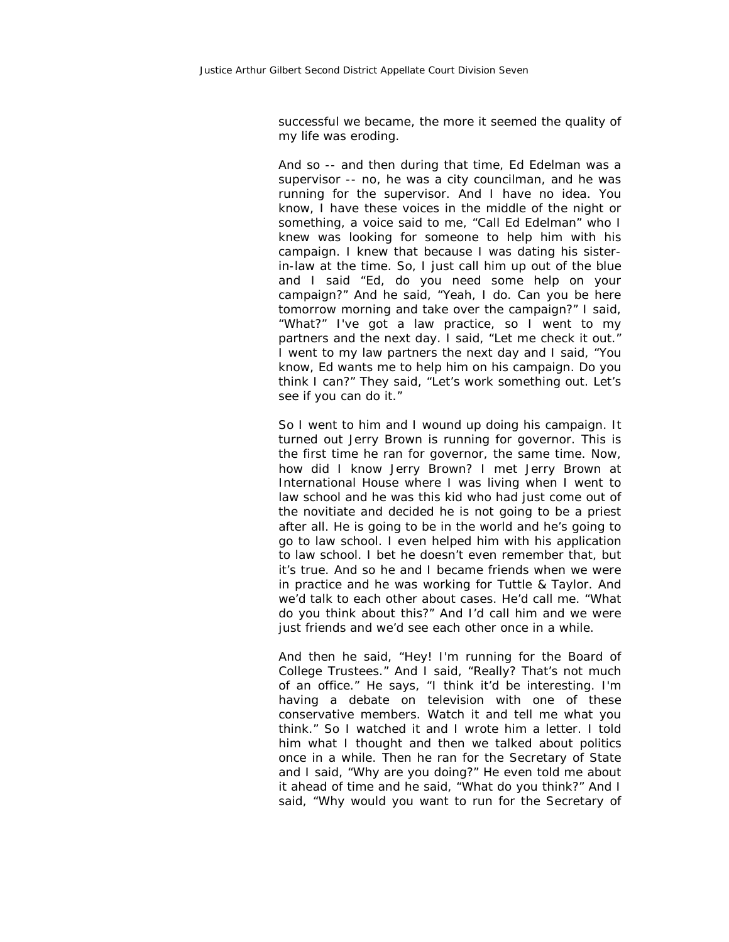successful we became, the more it seemed the quality of my life was eroding.

And so -- and then during that time, Ed Edelman was a supervisor -- no, he was a city councilman, and he was running for the supervisor. And I have no idea. You know, I have these voices in the middle of the night or something, a voice said to me, "Call Ed Edelman" who I knew was looking for someone to help him with his campaign. I knew that because I was dating his sisterin-law at the time. So, I just call him up out of the blue and I said "Ed, do you need some help on your campaign?" And he said, "Yeah, I do. Can you be here tomorrow morning and take over the campaign?" I said, "What?" I've got a law practice, so I went to my partners and the next day. I said, "Let me check it out." I went to my law partners the next day and I said, "You know, Ed wants me to help him on his campaign. Do you think I can?" They said, "Let's work something out. Let's see if you can do it."

So I went to him and I wound up doing his campaign. It turned out Jerry Brown is running for governor. This is the first time he ran for governor, the same time. Now, how did I know Jerry Brown? I met Jerry Brown at International House where I was living when I went to law school and he was this kid who had just come out of the novitiate and decided he is not going to be a priest after all. He is going to be in the world and he's going to go to law school. I even helped him with his application to law school. I bet he doesn't even remember that, but it's true. And so he and I became friends when we were in practice and he was working for Tuttle & Taylor. And we'd talk to each other about cases. He'd call me. "What do you think about this?" And I'd call him and we were just friends and we'd see each other once in a while.

And then he said, "Hey! I'm running for the Board of College Trustees." And I said, "Really? That's not much of an office." He says, "I think it'd be interesting. I'm having a debate on television with one of these conservative members. Watch it and tell me what you think." So I watched it and I wrote him a letter. I told him what I thought and then we talked about politics once in a while. Then he ran for the Secretary of State and I said, "Why are you doing?" He even told me about it ahead of time and he said, "What do you think?" And I said, "Why would you want to run for the Secretary of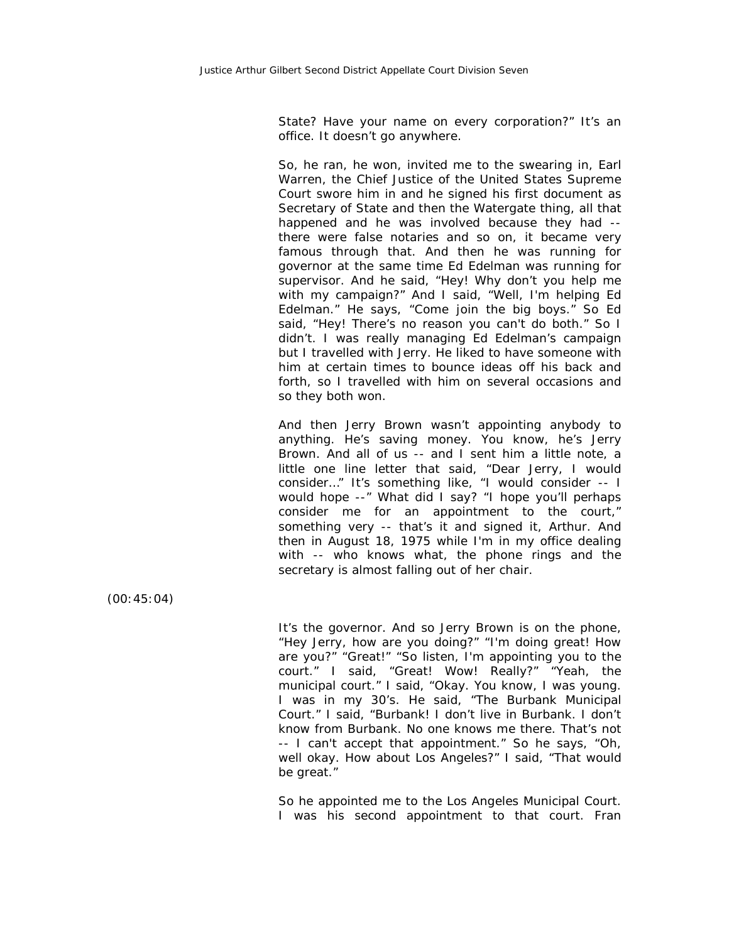State? Have your name on every corporation?" It's an office. It doesn't go anywhere.

So, he ran, he won, invited me to the swearing in, Earl Warren, the Chief Justice of the United States Supreme Court swore him in and he signed his first document as Secretary of State and then the Watergate thing, all that happened and he was involved because they had - there were false notaries and so on, it became very famous through that. And then he was running for governor at the same time Ed Edelman was running for supervisor. And he said, "Hey! Why don't you help me with my campaign?" And I said, "Well, I'm helping Ed Edelman." He says, "Come join the big boys." So Ed said, "Hey! There's no reason you can't do both." So I didn't. I was really managing Ed Edelman's campaign but I travelled with Jerry. He liked to have someone with him at certain times to bounce ideas off his back and forth, so I travelled with him on several occasions and so they both won.

And then Jerry Brown wasn't appointing anybody to anything. He's saving money. You know, he's Jerry Brown. And all of us -- and I sent him a little note, a little one line letter that said, "Dear Jerry, I would consider…" It's something like, "I would consider -- I would hope --" What did I say? "I hope you'll perhaps consider me for an appointment to the court," something very -- that's it and signed it, Arthur. And then in August 18, 1975 while I'm in my office dealing with -- who knows what, the phone rings and the secretary is almost falling out of her chair.

(00:45:04)

It's the governor. And so Jerry Brown is on the phone, "Hey Jerry, how are you doing?" "I'm doing great! How are you?" "Great!" "So listen, I'm appointing you to the court." I said, "Great! Wow! Really?" "Yeah, the municipal court." I said, "Okay. You know, I was young. I was in my 30's. He said, "The Burbank Municipal Court." I said, "Burbank! I don't live in Burbank. I don't know from Burbank. No one knows me there. That's not -- I can't accept that appointment." So he says, "Oh, well okay. How about Los Angeles?" I said, "That would be great."

So he appointed me to the Los Angeles Municipal Court. I was his second appointment to that court. Fran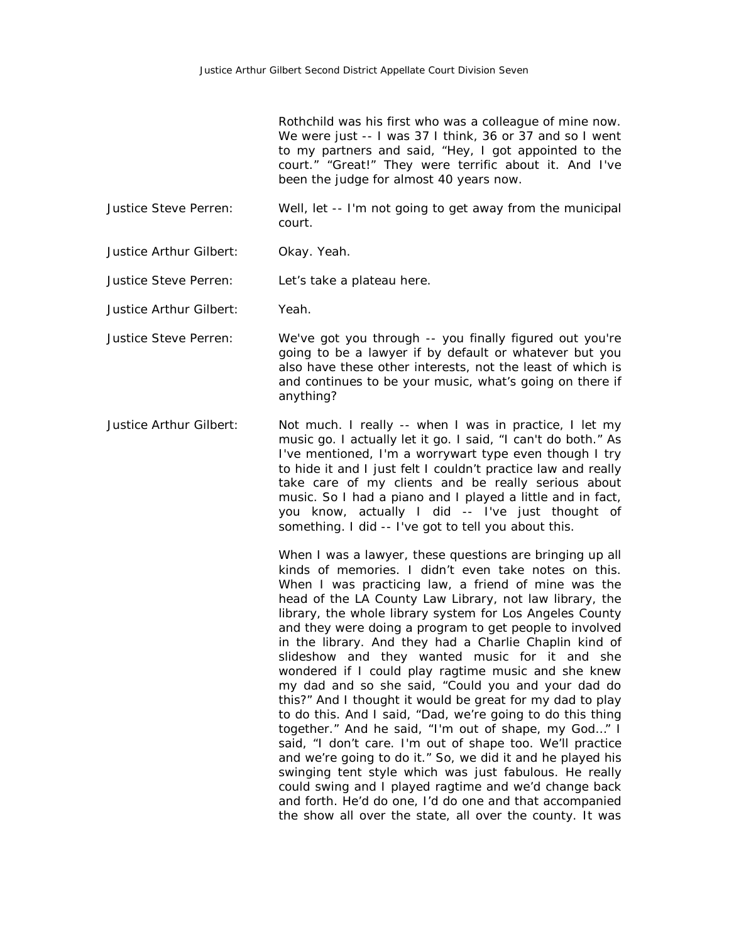Rothchild was his first who was a colleague of mine now. We were just -- I was 37 I think, 36 or 37 and so I went to my partners and said, "Hey, I got appointed to the court." "Great!" They were terrific about it. And I've been the judge for almost 40 years now.

- Justice Steve Perren: Well, let -- I'm not going to get away from the municipal court.
- Justice Arthur Gilbert: Okay. Yeah.

Justice Steve Perren: Let's take a plateau here.

- Justice Arthur Gilbert: Yeah.
- Justice Steve Perren: We've got you through -- you finally figured out you're going to be a lawyer if by default or whatever but you also have these other interests, not the least of which is and continues to be your music, what's going on there if anything?
- Justice Arthur Gilbert: Not much. I really -- when I was in practice, I let my music go. I actually let it go. I said, "I can't do both." As I've mentioned, I'm a worrywart type even though I try to hide it and I just felt I couldn't practice law and really take care of my clients and be really serious about music. So I had a piano and I played a little and in fact, you know, actually I did -- I've just thought of something. I did -- I've got to tell you about this.

When I was a lawyer, these questions are bringing up all kinds of memories. I didn't even take notes on this. When I was practicing law, a friend of mine was the head of the LA County Law Library, not law library, the library, the whole library system for Los Angeles County and they were doing a program to get people to involved in the library. And they had a Charlie Chaplin kind of slideshow and they wanted music for it and she wondered if I could play ragtime music and she knew my dad and so she said, "Could you and your dad do this?" And I thought it would be great for my dad to play to do this. And I said, "Dad, we're going to do this thing together." And he said, "I'm out of shape, my God…" I said, "I don't care. I'm out of shape too. We'll practice and we're going to do it." So, we did it and he played his swinging tent style which was just fabulous. He really could swing and I played ragtime and we'd change back and forth. He'd do one, I'd do one and that accompanied the show all over the state, all over the county. It was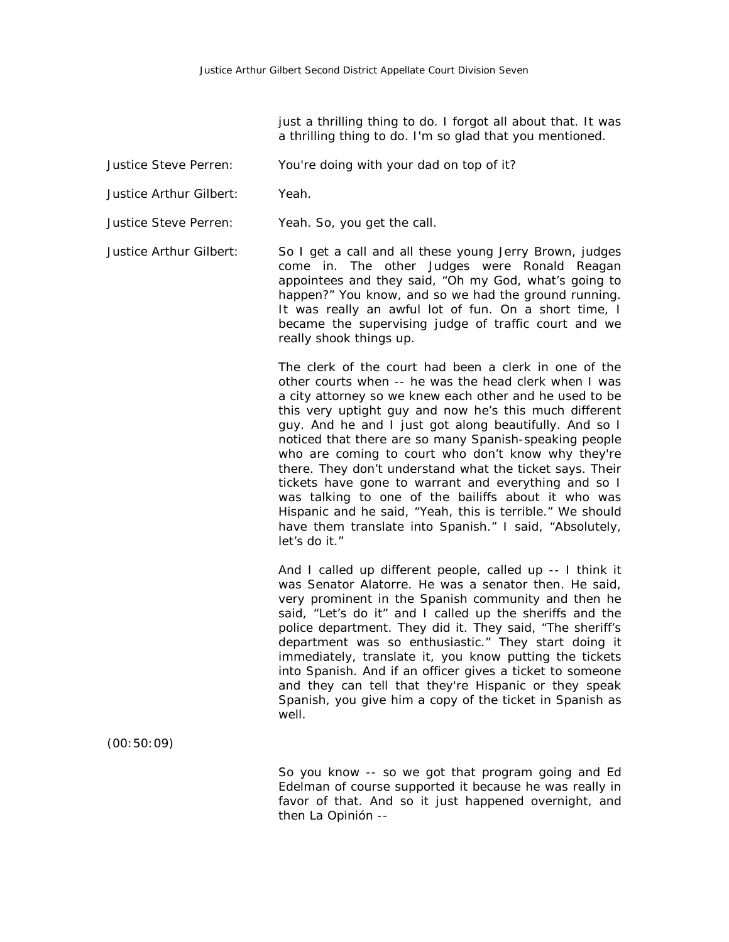just a thrilling thing to do. I forgot all about that. It was a thrilling thing to do. I'm so glad that you mentioned.

- Justice Steve Perren: You're doing with your dad on top of it?
- Justice Arthur Gilbert: Yeah.
- Justice Steve Perren: Yeah. So, you get the call.

Justice Arthur Gilbert: So I get a call and all these young Jerry Brown, judges come in. The other Judges were Ronald Reagan appointees and they said, "Oh my God, what's going to happen?" You know, and so we had the ground running. It was really an awful lot of fun. On a short time, I became the supervising judge of traffic court and we really shook things up.

> The clerk of the court had been a clerk in one of the other courts when -- he was the head clerk when I was a city attorney so we knew each other and he used to be this very uptight guy and now he's this much different guy. And he and I just got along beautifully. And so I noticed that there are so many Spanish-speaking people who are coming to court who don't know why they're there. They don't understand what the ticket says. Their tickets have gone to warrant and everything and so I was talking to one of the bailiffs about it who was Hispanic and he said, "Yeah, this is terrible." We should have them translate into Spanish." I said, "Absolutely, let's do it."

> And I called up different people, called up -- I think it was Senator Alatorre. He was a senator then. He said, very prominent in the Spanish community and then he said, "Let's do it" and I called up the sheriffs and the police department. They did it. They said, "The sheriff's department was so enthusiastic." They start doing it immediately, translate it, you know putting the tickets into Spanish. And if an officer gives a ticket to someone and they can tell that they're Hispanic or they speak Spanish, you give him a copy of the ticket in Spanish as well.

(00:50:09)

So you know -- so we got that program going and Ed Edelman of course supported it because he was really in favor of that. And so it just happened overnight, and then La Opinión --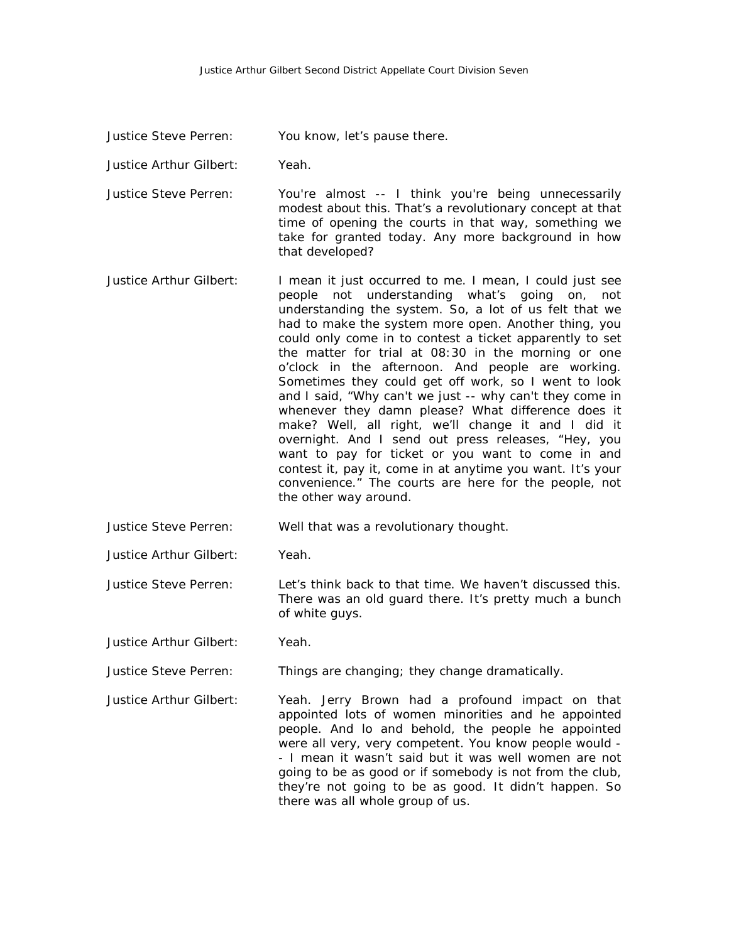Justice Steve Perren: You know, let's pause there.

Justice Arthur Gilbert: Yeah.

Justice Steve Perren: You're almost -- I think you're being unnecessarily modest about this. That's a revolutionary concept at that time of opening the courts in that way, something we take for granted today. Any more background in how that developed?

Justice Arthur Gilbert: I mean it just occurred to me. I mean, I could just see people not understanding what's going on, not understanding the system. So, a lot of us felt that we had to make the system more open. Another thing, you could only come in to contest a ticket apparently to set the matter for trial at 08:30 in the morning or one o'clock in the afternoon. And people are working. Sometimes they could get off work, so I went to look and I said, "Why can't we just -- why can't they come in whenever they damn please? What difference does it make? Well, all right, we'll change it and I did it overnight. And I send out press releases, "Hey, you want to pay for ticket or you want to come in and contest it, pay it, come in at anytime you want. It's your convenience." The courts are here for the people, not the other way around.

Justice Steve Perren: Well that was a revolutionary thought.

Justice Arthur Gilbert: Yeah.

Justice Steve Perren: Let's think back to that time. We haven't discussed this. There was an old guard there. It's pretty much a bunch of white guys.

Justice Arthur Gilbert: Yeah.

Justice Steve Perren: Things are changing; they change dramatically.

Justice Arthur Gilbert: Yeah. Jerry Brown had a profound impact on that appointed lots of women minorities and he appointed people. And lo and behold, the people he appointed were all very, very competent. You know people would - - I mean it wasn't said but it was well women are not going to be as good or if somebody is not from the club, they're not going to be as good. It didn't happen. So there was all whole group of us.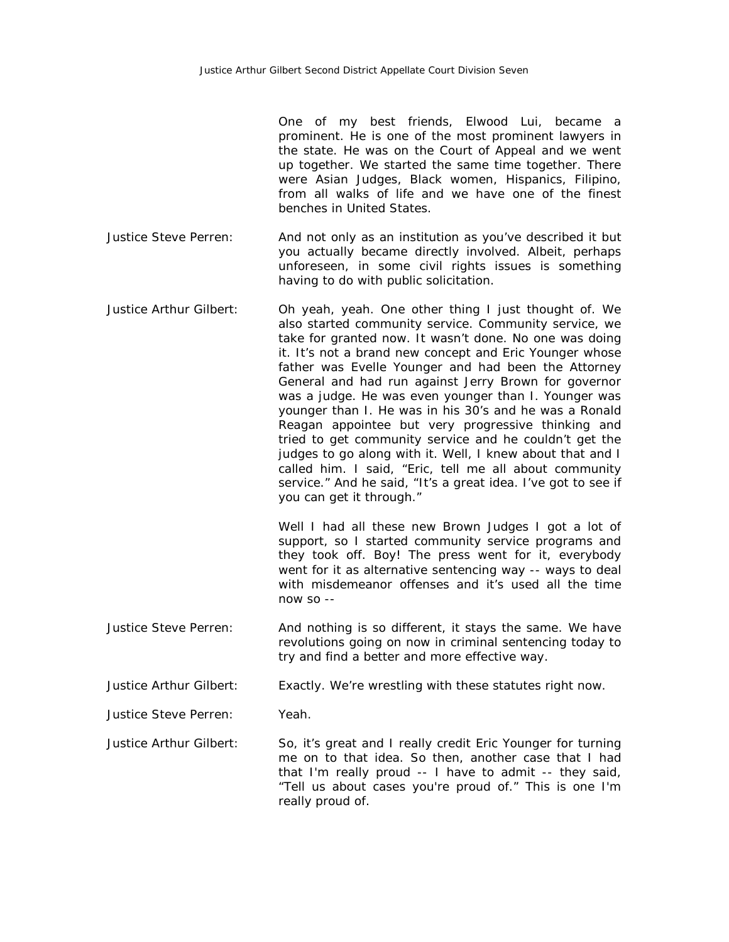One of my best friends, Elwood Lui, became a prominent. He is one of the most prominent lawyers in the state. He was on the Court of Appeal and we went up together. We started the same time together. There were Asian Judges, Black women, Hispanics, Filipino, from all walks of life and we have one of the finest benches in United States.

- Justice Steve Perren: And not only as an institution as you've described it but you actually became directly involved. Albeit, perhaps unforeseen, in some civil rights issues is something having to do with public solicitation.
- Justice Arthur Gilbert: Oh yeah, yeah. One other thing I just thought of. We also started community service. Community service, we take for granted now. It wasn't done. No one was doing it. It's not a brand new concept and Eric Younger whose father was Evelle Younger and had been the Attorney General and had run against Jerry Brown for governor was a judge. He was even younger than I. Younger was younger than I. He was in his 30's and he was a Ronald Reagan appointee but very progressive thinking and tried to get community service and he couldn't get the judges to go along with it. Well, I knew about that and I called him. I said, "Eric, tell me all about community service." And he said, "It's a great idea. I've got to see if you can get it through."

Well I had all these new Brown Judges I got a lot of support, so I started community service programs and they took off. Boy! The press went for it, everybody went for it as alternative sentencing way -- ways to deal with misdemeanor offenses and it's used all the time now so --

Justice Steve Perren: And nothing is so different, it stays the same. We have revolutions going on now in criminal sentencing today to try and find a better and more effective way.

Justice Arthur Gilbert: Exactly. We're wrestling with these statutes right now.

Justice Steve Perren: Yeah.

Justice Arthur Gilbert: So, it's great and I really credit Eric Younger for turning me on to that idea. So then, another case that I had that I'm really proud -- I have to admit -- they said, "Tell us about cases you're proud of." This is one I'm really proud of.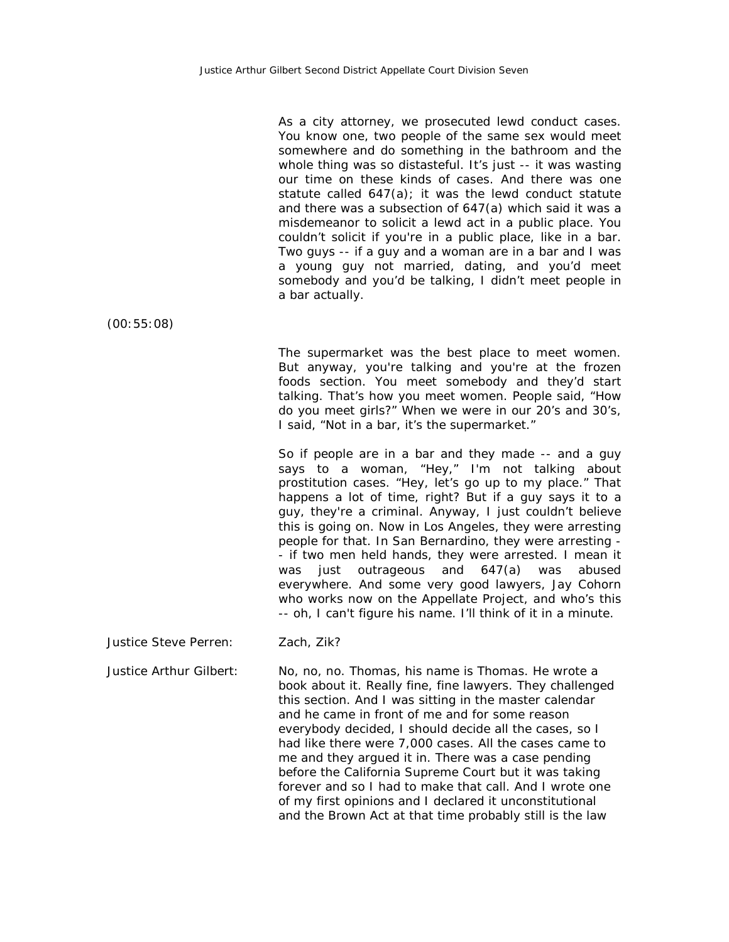As a city attorney, we prosecuted lewd conduct cases. You know one, two people of the same sex would meet somewhere and do something in the bathroom and the whole thing was so distasteful. It's just -- it was wasting our time on these kinds of cases. And there was one statute called 647(a); it was the lewd conduct statute and there was a subsection of 647(a) which said it was a misdemeanor to solicit a lewd act in a public place. You couldn't solicit if you're in a public place, like in a bar. Two guys -- if a guy and a woman are in a bar and I was a young guy not married, dating, and you'd meet somebody and you'd be talking, I didn't meet people in a bar actually.

(00:55:08)

The supermarket was the best place to meet women. But anyway, you're talking and you're at the frozen foods section. You meet somebody and they'd start talking. That's how you meet women. People said, "How do you meet girls?" When we were in our 20's and 30's, I said, "Not in a bar, it's the supermarket."

So if people are in a bar and they made -- and a guy says to a woman, "Hey," I'm not talking about prostitution cases. "Hey, let's go up to my place." That happens a lot of time, right? But if a guy says it to a guy, they're a criminal. Anyway, I just couldn't believe this is going on. Now in Los Angeles, they were arresting people for that. In San Bernardino, they were arresting - - if two men held hands, they were arrested. I mean it was just outrageous and 647(a) was abused everywhere. And some very good lawyers, Jay Cohorn who works now on the Appellate Project, and who's this -- oh, I can't figure his name. I'll think of it in a minute.

Justice Steve Perren: Zach, Zik?

Justice Arthur Gilbert: No, no, no. Thomas, his name is Thomas. He wrote a book about it. Really fine, fine lawyers. They challenged this section. And I was sitting in the master calendar and he came in front of me and for some reason everybody decided, I should decide all the cases, so I had like there were 7,000 cases. All the cases came to me and they argued it in. There was a case pending before the California Supreme Court but it was taking forever and so I had to make that call. And I wrote one of my first opinions and I declared it unconstitutional and the Brown Act at that time probably still is the law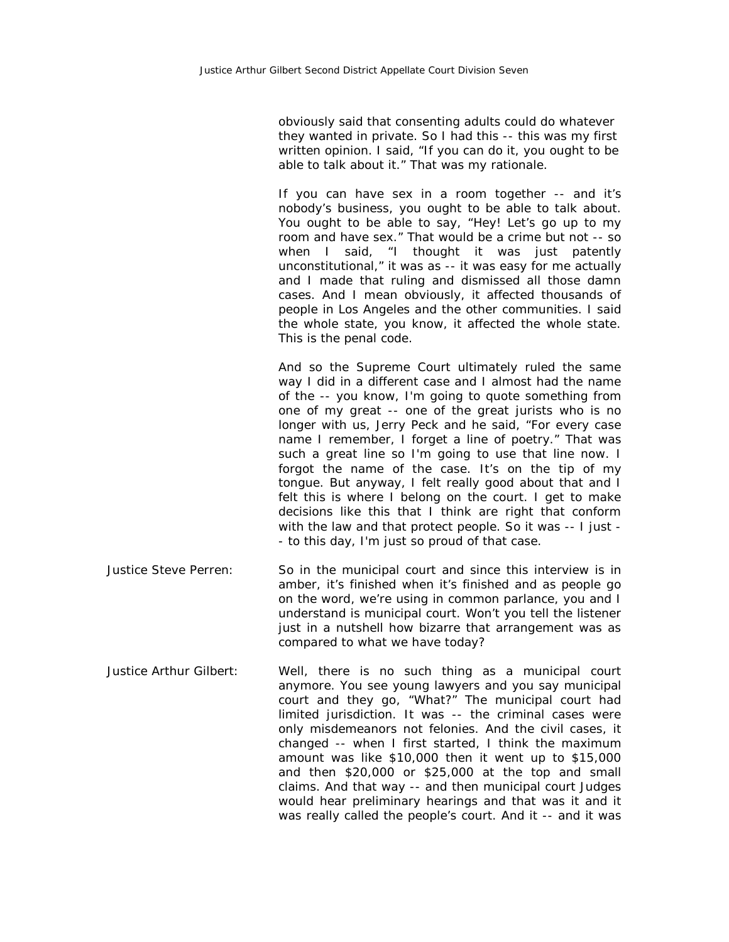obviously said that consenting adults could do whatever they wanted in private. So I had this -- this was my first written opinion. I said, "If you can do it, you ought to be able to talk about it." That was my rationale.

If you can have sex in a room together -- and it's nobody's business, you ought to be able to talk about. You ought to be able to say, "Hey! Let's go up to my room and have sex." That would be a crime but not -- so when I said, "I thought it was just patently unconstitutional," it was as -- it was easy for me actually and I made that ruling and dismissed all those damn cases. And I mean obviously, it affected thousands of people in Los Angeles and the other communities. I said the whole state, you know, it affected the whole state. This is the penal code.

And so the Supreme Court ultimately ruled the same way I did in a different case and I almost had the name of the -- you know, I'm going to quote something from one of my great -- one of the great jurists who is no longer with us, Jerry Peck and he said, "For every case name I remember, I forget a line of poetry." That was such a great line so I'm going to use that line now. I forgot the name of the case. It's on the tip of my tongue. But anyway, I felt really good about that and I felt this is where I belong on the court. I get to make decisions like this that I think are right that conform with the law and that protect people. So it was -- I just - - to this day, I'm just so proud of that case.

- Justice Steve Perren: So in the municipal court and since this interview is in amber, it's finished when it's finished and as people go on the word, we're using in common parlance, you and I understand is municipal court. Won't you tell the listener just in a nutshell how bizarre that arrangement was as compared to what we have today?
- Justice Arthur Gilbert: Well, there is no such thing as a municipal court anymore. You see young lawyers and you say municipal court and they go, "What?" The municipal court had limited jurisdiction. It was -- the criminal cases were only misdemeanors not felonies. And the civil cases, it changed -- when I first started, I think the maximum amount was like \$10,000 then it went up to \$15,000 and then \$20,000 or \$25,000 at the top and small claims. And that way -- and then municipal court Judges would hear preliminary hearings and that was it and it was really called the people's court. And it -- and it was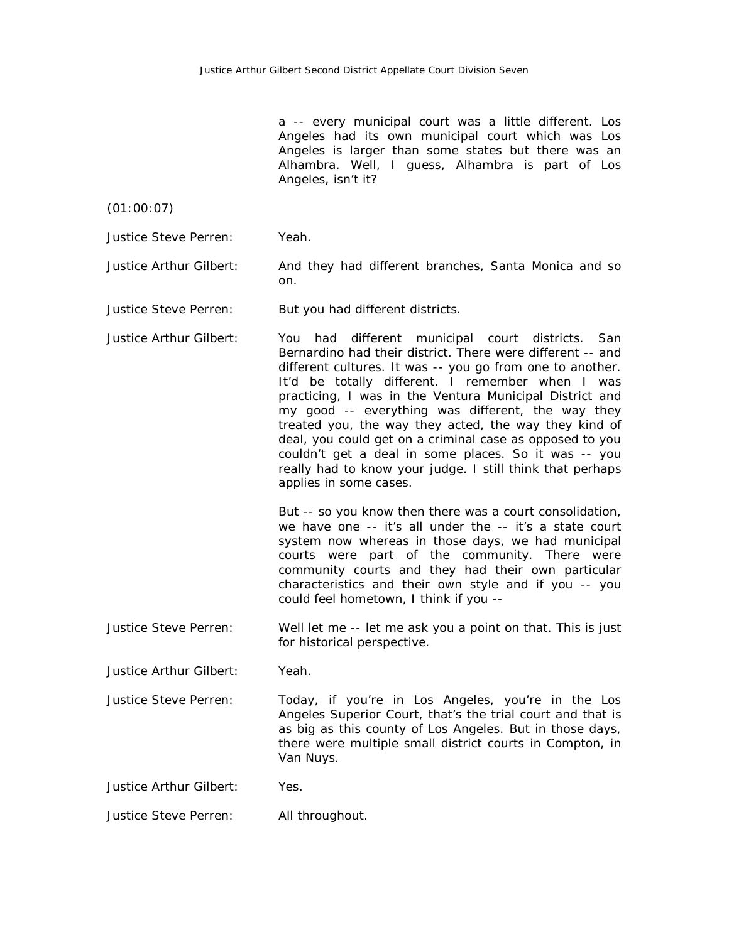a -- every municipal court was a little different. Los Angeles had its own municipal court which was Los Angeles is larger than some states but there was an Alhambra. Well, I guess, Alhambra is part of Los Angeles, isn't it?

(01:00:07)

Justice Steve Perren: Yeah.

Justice Arthur Gilbert: And they had different branches, Santa Monica and so on.

Justice Steve Perren: But you had different districts.

Justice Arthur Gilbert: You had different municipal court districts. San Bernardino had their district. There were different -- and different cultures. It was -- you go from one to another. It'd be totally different. I remember when I was practicing, I was in the Ventura Municipal District and my good -- everything was different, the way they treated you, the way they acted, the way they kind of deal, you could get on a criminal case as opposed to you couldn't get a deal in some places. So it was -- you really had to know your judge. I still think that perhaps applies in some cases.

> But -- so you know then there was a court consolidation, we have one -- it's all under the -- it's a state court system now whereas in those days, we had municipal courts were part of the community. There were community courts and they had their own particular characteristics and their own style and if you -- you could feel hometown, I think if you --

Justice Steve Perren: Well let me -- let me ask you a point on that. This is just for historical perspective.

Justice Arthur Gilbert: Yeah.

Justice Steve Perren: Today, if you're in Los Angeles, you're in the Los Angeles Superior Court, that's the trial court and that is as big as this county of Los Angeles. But in those days, there were multiple small district courts in Compton, in Van Nuys.

Justice Arthur Gilbert: Yes.

Justice Steve Perren: All throughout.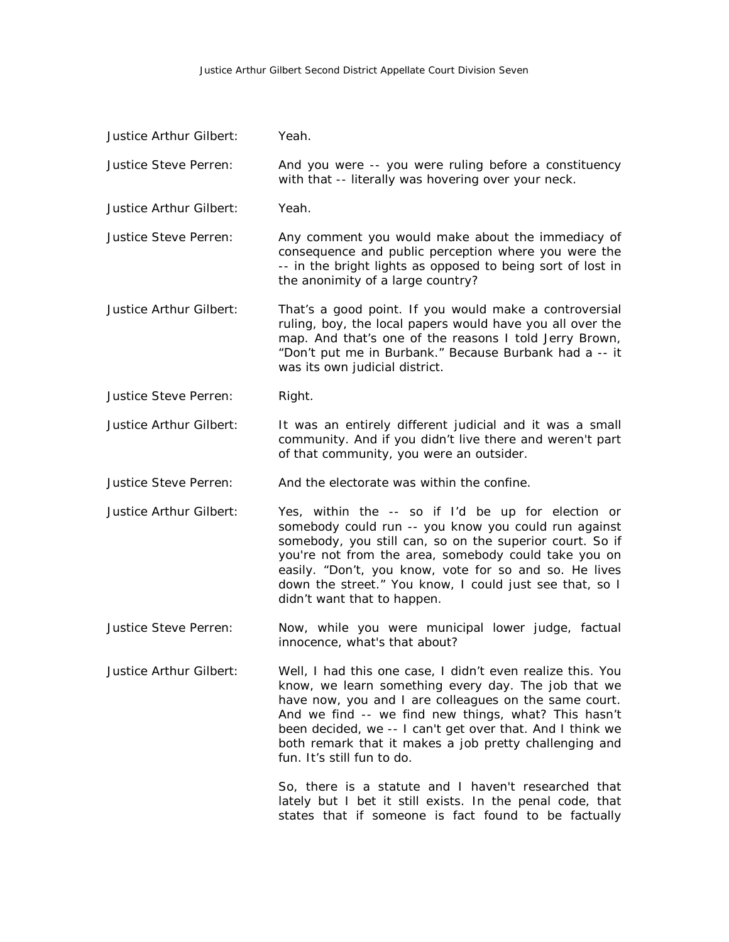## Justice Arthur Gilbert Second District Appellate Court Division Seven

| Justice Arthur Gilbert: | Yeah.                                                                                                                                                                                                                                                                                                                                                                                   |
|-------------------------|-----------------------------------------------------------------------------------------------------------------------------------------------------------------------------------------------------------------------------------------------------------------------------------------------------------------------------------------------------------------------------------------|
| Justice Steve Perren:   | And you were -- you were ruling before a constituency<br>with that -- literally was hovering over your neck.                                                                                                                                                                                                                                                                            |
| Justice Arthur Gilbert: | Yeah.                                                                                                                                                                                                                                                                                                                                                                                   |
| Justice Steve Perren:   | Any comment you would make about the immediacy of<br>consequence and public perception where you were the<br>-- in the bright lights as opposed to being sort of lost in<br>the anonimity of a large country?                                                                                                                                                                           |
| Justice Arthur Gilbert: | That's a good point. If you would make a controversial<br>ruling, boy, the local papers would have you all over the<br>map. And that's one of the reasons I told Jerry Brown,<br>"Don't put me in Burbank." Because Burbank had a -- it<br>was its own judicial district.                                                                                                               |
| Justice Steve Perren:   | Right.                                                                                                                                                                                                                                                                                                                                                                                  |
| Justice Arthur Gilbert: | It was an entirely different judicial and it was a small<br>community. And if you didn't live there and weren't part<br>of that community, you were an outsider.                                                                                                                                                                                                                        |
| Justice Steve Perren:   | And the electorate was within the confine.                                                                                                                                                                                                                                                                                                                                              |
| Justice Arthur Gilbert: | Yes, within the -- so if I'd be up for election or<br>somebody could run -- you know you could run against<br>somebody, you still can, so on the superior court. So if<br>you're not from the area, somebody could take you on<br>easily. "Don't, you know, vote for so and so. He lives<br>down the street." You know, I could just see that, so I<br>didn't want that to happen.      |
| Justice Steve Perren:   | Now, while you were municipal lower judge, factual<br>innocence, what's that about?                                                                                                                                                                                                                                                                                                     |
| Justice Arthur Gilbert: | Well, I had this one case, I didn't even realize this. You<br>know, we learn something every day. The job that we<br>have now, you and I are colleagues on the same court.<br>And we find -- we find new things, what? This hasn't<br>been decided, we -- I can't get over that. And I think we<br>both remark that it makes a job pretty challenging and<br>fun. It's still fun to do. |
|                         | So, there is a statute and I haven't researched that<br>lately but I bet it still exists. In the penal code, that<br>states that if someone is fact found to be factually                                                                                                                                                                                                               |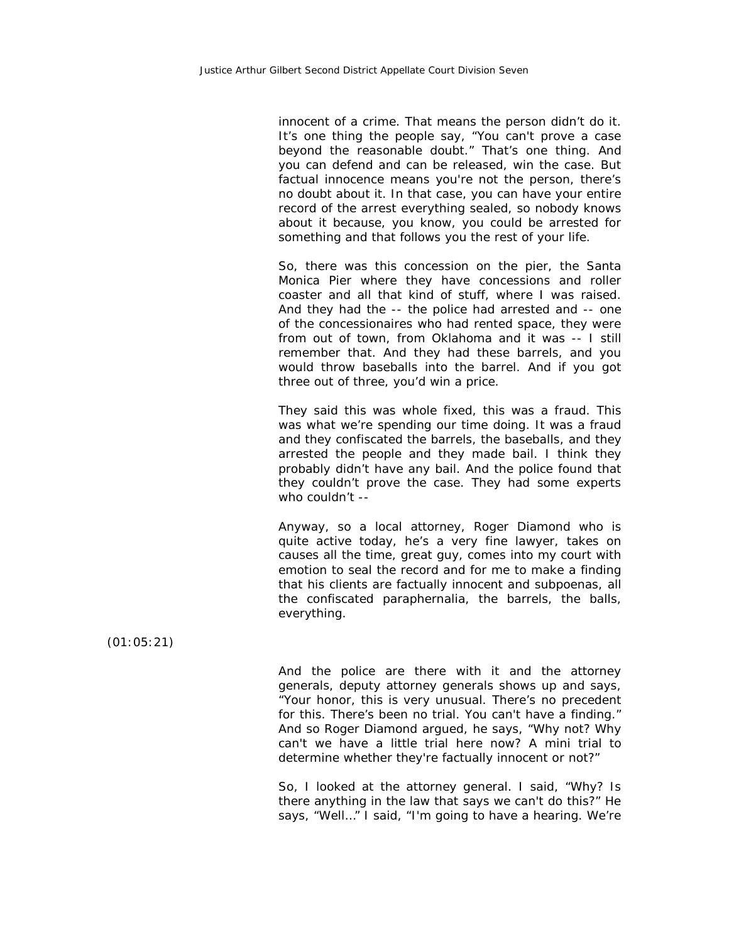innocent of a crime. That means the person didn't do it. It's one thing the people say, "You can't prove a case beyond the reasonable doubt." That's one thing. And you can defend and can be released, win the case. But factual innocence means you're not the person, there's no doubt about it. In that case, you can have your entire record of the arrest everything sealed, so nobody knows about it because, you know, you could be arrested for something and that follows you the rest of your life.

So, there was this concession on the pier, the Santa Monica Pier where they have concessions and roller coaster and all that kind of stuff, where I was raised. And they had the -- the police had arrested and -- one of the concessionaires who had rented space, they were from out of town, from Oklahoma and it was -- I still remember that. And they had these barrels, and you would throw baseballs into the barrel. And if you got three out of three, you'd win a price.

They said this was whole fixed, this was a fraud. This was what we're spending our time doing. It was a fraud and they confiscated the barrels, the baseballs, and they arrested the people and they made bail. I think they probably didn't have any bail. And the police found that they couldn't prove the case. They had some experts who couldn't --

Anyway, so a local attorney, Roger Diamond who is quite active today, he's a very fine lawyer, takes on causes all the time, great guy, comes into my court with emotion to seal the record and for me to make a finding that his clients are factually innocent and subpoenas, all the confiscated paraphernalia, the barrels, the balls, everything.

(01:05:21)

And the police are there with it and the attorney generals, deputy attorney generals shows up and says, "Your honor, this is very unusual. There's no precedent for this. There's been no trial. You can't have a finding." And so Roger Diamond argued, he says, "Why not? Why can't we have a little trial here now? A mini trial to determine whether they're factually innocent or not?"

So, I looked at the attorney general. I said, "Why? Is there anything in the law that says we can't do this?" He says, "Well…" I said, "I'm going to have a hearing. We're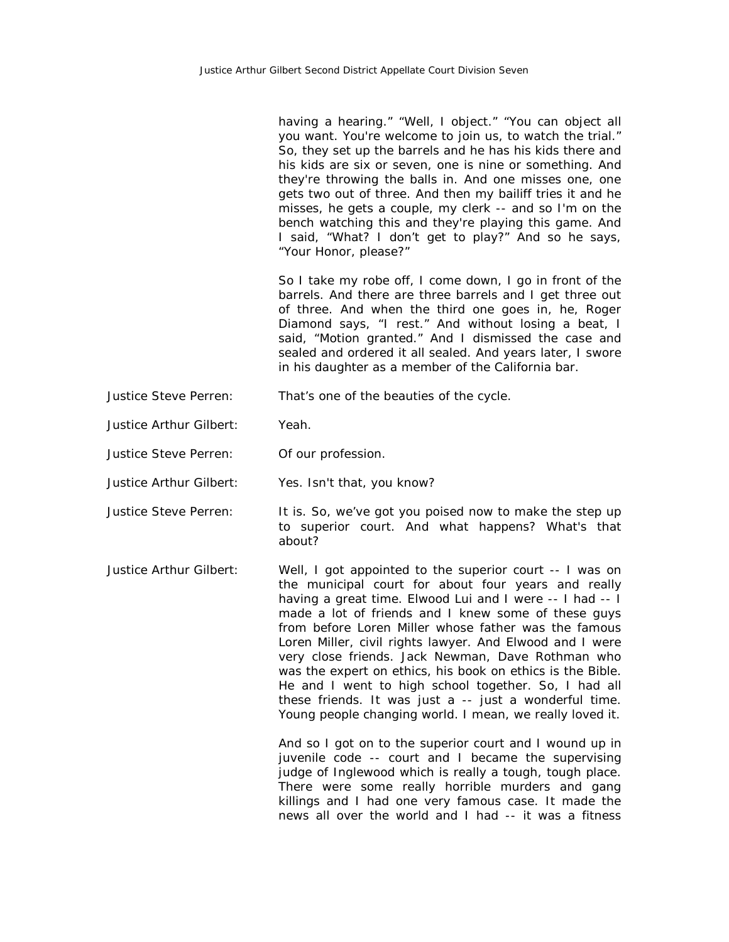having a hearing." "Well, I object." "You can object all you want. You're welcome to join us, to watch the trial." So, they set up the barrels and he has his kids there and his kids are six or seven, one is nine or something. And they're throwing the balls in. And one misses one, one gets two out of three. And then my bailiff tries it and he misses, he gets a couple, my clerk -- and so I'm on the bench watching this and they're playing this game. And I said, "What? I don't get to play?" And so he says, "Your Honor, please?"

So I take my robe off, I come down, I go in front of the barrels. And there are three barrels and I get three out of three. And when the third one goes in, he, Roger Diamond says, "I rest." And without losing a beat, I said, "Motion granted." And I dismissed the case and sealed and ordered it all sealed. And years later, I swore in his daughter as a member of the California bar.

- Justice Steve Perren: That's one of the beauties of the cycle.
- Justice Arthur Gilbert: Yeah.
- Justice Steve Perren: Of our profession.
- Justice Arthur Gilbert: Yes. Isn't that, you know?
- Justice Steve Perren: It is. So, we've got you poised now to make the step up to superior court. And what happens? What's that about?
- Justice Arthur Gilbert: Well, I got appointed to the superior court -- I was on the municipal court for about four years and really having a great time. Elwood Lui and I were -- I had -- I made a lot of friends and I knew some of these guys from before Loren Miller whose father was the famous Loren Miller, civil rights lawyer. And Elwood and I were very close friends. Jack Newman, Dave Rothman who was the expert on ethics, his book on ethics is the Bible. He and I went to high school together. So, I had all these friends. It was just a -- just a wonderful time. Young people changing world. I mean, we really loved it.

And so I got on to the superior court and I wound up in juvenile code -- court and I became the supervising judge of Inglewood which is really a tough, tough place. There were some really horrible murders and gang killings and I had one very famous case. It made the news all over the world and I had -- it was a fitness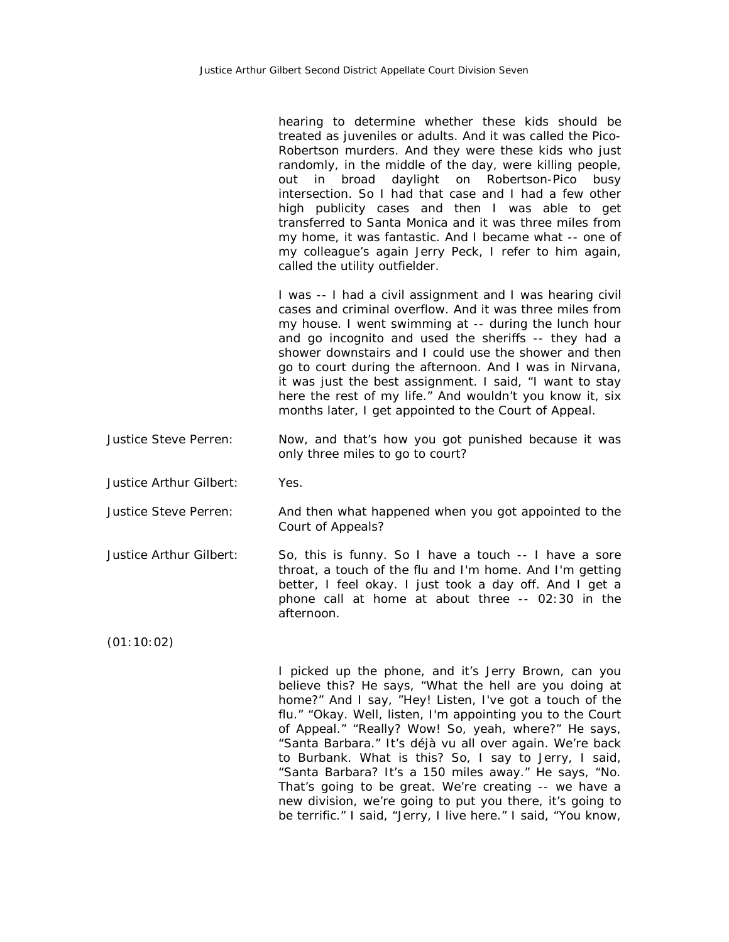hearing to determine whether these kids should be treated as juveniles or adults. And it was called the Pico-Robertson murders. And they were these kids who just randomly, in the middle of the day, were killing people, out in broad daylight on Robertson-Pico busy intersection. So I had that case and I had a few other high publicity cases and then I was able to get transferred to Santa Monica and it was three miles from my home, it was fantastic. And I became what -- one of my colleague's again Jerry Peck, I refer to him again, called the utility outfielder.

I was -- I had a civil assignment and I was hearing civil cases and criminal overflow. And it was three miles from my house. I went swimming at -- during the lunch hour and go incognito and used the sheriffs -- they had a shower downstairs and I could use the shower and then go to court during the afternoon. And I was in Nirvana, it was just the best assignment. I said, "I want to stay here the rest of my life." And wouldn't you know it, six months later, I get appointed to the Court of Appeal.

- Justice Steve Perren: Now, and that's how you got punished because it was only three miles to go to court?
- Justice Arthur Gilbert: Yes.
- Justice Steve Perren: And then what happened when you got appointed to the Court of Appeals?
- Justice Arthur Gilbert: So, this is funny. So I have a touch -- I have a sore throat, a touch of the flu and I'm home. And I'm getting better, I feel okay. I just took a day off. And I get a phone call at home at about three -- 02:30 in the afternoon.

(01:10:02)

I picked up the phone, and it's Jerry Brown, can you believe this? He says, "What the hell are you doing at home?" And I say, "Hey! Listen, I've got a touch of the flu." "Okay. Well, listen, I'm appointing you to the Court of Appeal." "Really? Wow! So, yeah, where?" He says, "Santa Barbara." It's déjà vu all over again. We're back to Burbank. What is this? So, I say to Jerry, I said, "Santa Barbara? It's a 150 miles away." He says, "No. That's going to be great. We're creating -- we have a new division, we're going to put you there, it's going to be terrific." I said, "Jerry, I live here." I said, "You know,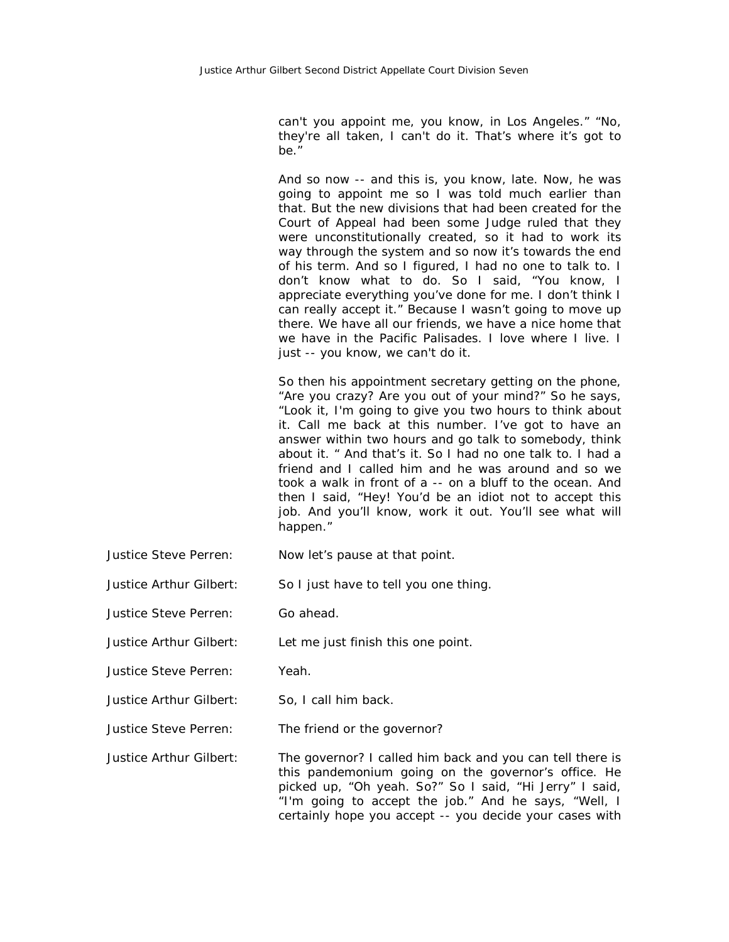can't you appoint me, you know, in Los Angeles." "No, they're all taken, I can't do it. That's where it's got to be."

And so now -- and this is, you know, late. Now, he was going to appoint me so I was told much earlier than that. But the new divisions that had been created for the Court of Appeal had been some Judge ruled that they were unconstitutionally created, so it had to work its way through the system and so now it's towards the end of his term. And so I figured, I had no one to talk to. I don't know what to do. So I said, "You know, I appreciate everything you've done for me. I don't think I can really accept it." Because I wasn't going to move up there. We have all our friends, we have a nice home that we have in the Pacific Palisades. I love where I live. I just -- you know, we can't do it.

So then his appointment secretary getting on the phone, "Are you crazy? Are you out of your mind?" So he says, "Look it, I'm going to give you two hours to think about it. Call me back at this number. I've got to have an answer within two hours and go talk to somebody, think about it. " And that's it. So I had no one talk to. I had a friend and I called him and he was around and so we took a walk in front of a -- on a bluff to the ocean. And then I said, "Hey! You'd be an idiot not to accept this job. And you'll know, work it out. You'll see what will happen."

- Justice Steve Perren: Now let's pause at that point.
- Justice Arthur Gilbert: So I just have to tell you one thing.
- Justice Steve Perren: Go ahead.
- Justice Arthur Gilbert: Let me just finish this one point.
- Justice Steve Perren: Yeah.
- Justice Arthur Gilbert: So, I call him back.
- Justice Steve Perren: The friend or the governor?
- Justice Arthur Gilbert: The governor? I called him back and you can tell there is this pandemonium going on the governor's office. He picked up, "Oh yeah. So?" So I said, "Hi Jerry" I said, "I'm going to accept the job." And he says, "Well, I certainly hope you accept -- you decide your cases with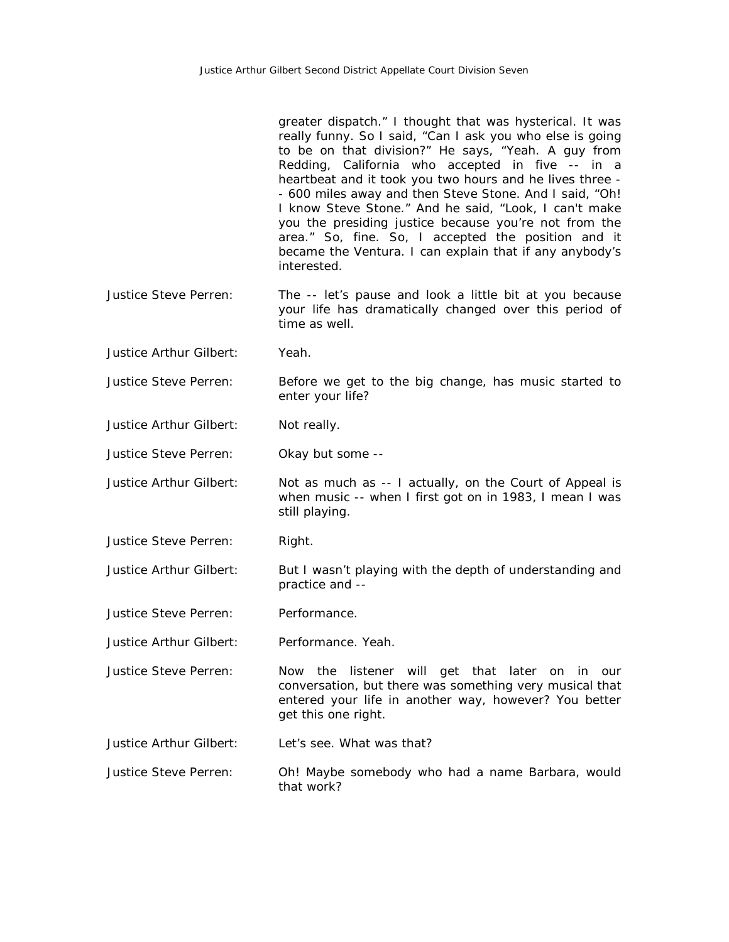|                         | greater dispatch." I thought that was hysterical. It was<br>really funny. So I said, "Can I ask you who else is going<br>to be on that division?" He says, "Yeah. A guy from<br>Redding, California who accepted in five -- in a<br>heartbeat and it took you two hours and he lives three -<br>- 600 miles away and then Steve Stone. And I said, "Oh!<br>I know Steve Stone." And he said, "Look, I can't make<br>you the presiding justice because you're not from the<br>area." So, fine. So, I accepted the position and it<br>became the Ventura. I can explain that if any anybody's<br>interested. |
|-------------------------|------------------------------------------------------------------------------------------------------------------------------------------------------------------------------------------------------------------------------------------------------------------------------------------------------------------------------------------------------------------------------------------------------------------------------------------------------------------------------------------------------------------------------------------------------------------------------------------------------------|
| Justice Steve Perren:   | The -- let's pause and look a little bit at you because<br>your life has dramatically changed over this period of<br>time as well.                                                                                                                                                                                                                                                                                                                                                                                                                                                                         |
| Justice Arthur Gilbert: | Yeah.                                                                                                                                                                                                                                                                                                                                                                                                                                                                                                                                                                                                      |
| Justice Steve Perren:   | Before we get to the big change, has music started to<br>enter your life?                                                                                                                                                                                                                                                                                                                                                                                                                                                                                                                                  |
| Justice Arthur Gilbert: | Not really.                                                                                                                                                                                                                                                                                                                                                                                                                                                                                                                                                                                                |
| Justice Steve Perren:   | Okay but some --                                                                                                                                                                                                                                                                                                                                                                                                                                                                                                                                                                                           |
| Justice Arthur Gilbert: | Not as much as -- I actually, on the Court of Appeal is<br>when music -- when I first got on in 1983, I mean I was<br>still playing.                                                                                                                                                                                                                                                                                                                                                                                                                                                                       |
| Justice Steve Perren:   | Right.                                                                                                                                                                                                                                                                                                                                                                                                                                                                                                                                                                                                     |
| Justice Arthur Gilbert: | But I wasn't playing with the depth of understanding and<br>practice and --                                                                                                                                                                                                                                                                                                                                                                                                                                                                                                                                |
| Justice Steve Perren:   | Performance.                                                                                                                                                                                                                                                                                                                                                                                                                                                                                                                                                                                               |
| Justice Arthur Gilbert: | Performance. Yeah.                                                                                                                                                                                                                                                                                                                                                                                                                                                                                                                                                                                         |
| Justice Steve Perren:   | Now the listener will get that later on in our<br>conversation, but there was something very musical that<br>entered your life in another way, however? You better<br>get this one right.                                                                                                                                                                                                                                                                                                                                                                                                                  |
| Justice Arthur Gilbert: | Let's see. What was that?                                                                                                                                                                                                                                                                                                                                                                                                                                                                                                                                                                                  |
| Justice Steve Perren:   | Oh! Maybe somebody who had a name Barbara, would                                                                                                                                                                                                                                                                                                                                                                                                                                                                                                                                                           |

that work?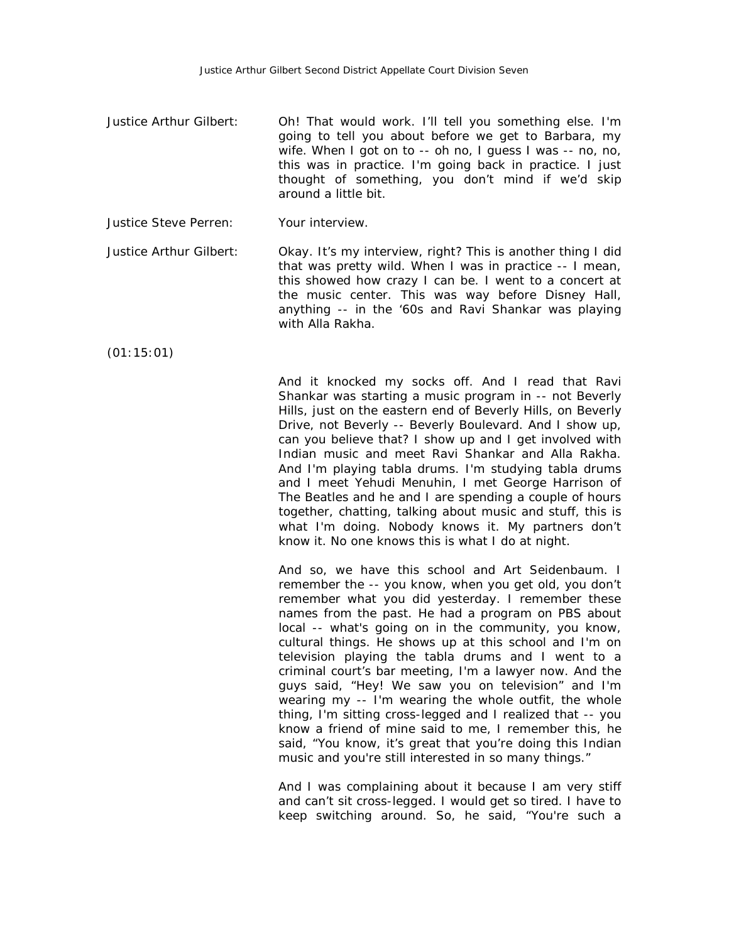- Justice Arthur Gilbert: Oh! That would work. I'll tell you something else. I'm going to tell you about before we get to Barbara, my wife. When I got on to -- oh no, I guess I was -- no, no, this was in practice. I'm going back in practice. I just thought of something, you don't mind if we'd skip around a little bit.
- Justice Steve Perren: Your interview.

Justice Arthur Gilbert: Okay. It's my interview, right? This is another thing I did that was pretty wild. When I was in practice -- I mean, this showed how crazy I can be. I went to a concert at the music center. This was way before Disney Hall, anything -- in the '60s and Ravi Shankar was playing with Alla Rakha.

(01:15:01)

And it knocked my socks off. And I read that Ravi Shankar was starting a music program in -- not Beverly Hills, just on the eastern end of Beverly Hills, on Beverly Drive, not Beverly -- Beverly Boulevard. And I show up, can you believe that? I show up and I get involved with Indian music and meet Ravi Shankar and Alla Rakha. And I'm playing tabla drums. I'm studying tabla drums and I meet Yehudi Menuhin, I met George Harrison of The Beatles and he and I are spending a couple of hours together, chatting, talking about music and stuff, this is what I'm doing. Nobody knows it. My partners don't know it. No one knows this is what I do at night.

And so, we have this school and Art Seidenbaum. I remember the -- you know, when you get old, you don't remember what you did yesterday. I remember these names from the past. He had a program on PBS about local -- what's going on in the community, you know, cultural things. He shows up at this school and I'm on television playing the tabla drums and I went to a criminal court's bar meeting, I'm a lawyer now. And the guys said, "Hey! We saw you on television" and I'm wearing my -- I'm wearing the whole outfit, the whole thing, I'm sitting cross-legged and I realized that -- you know a friend of mine said to me, I remember this, he said, "You know, it's great that you're doing this Indian music and you're still interested in so many things."

And I was complaining about it because I am very stiff and can't sit cross-legged. I would get so tired. I have to keep switching around. So, he said, "You're such a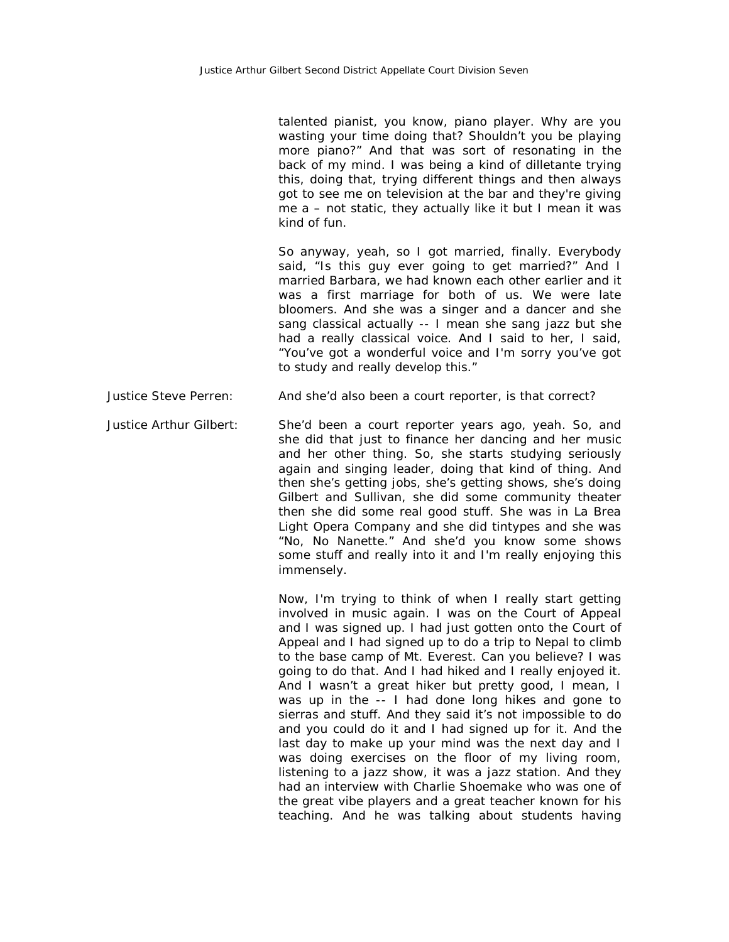talented pianist, you know, piano player. Why are you wasting your time doing that? Shouldn't you be playing more piano?" And that was sort of resonating in the back of my mind. I was being a kind of dilletante trying this, doing that, trying different things and then always got to see me on television at the bar and they're giving me a – not static, they actually like it but I mean it was kind of fun.

So anyway, yeah, so I got married, finally. Everybody said, "Is this guy ever going to get married?" And I married Barbara, we had known each other earlier and it was a first marriage for both of us. We were late bloomers. And she was a singer and a dancer and she sang classical actually -- I mean she sang jazz but she had a really classical voice. And I said to her, I said, "You've got a wonderful voice and I'm sorry you've got to study and really develop this."

Justice Steve Perren: And she'd also been a court reporter, is that correct?

Justice Arthur Gilbert: She'd been a court reporter years ago, yeah. So, and she did that just to finance her dancing and her music and her other thing. So, she starts studying seriously again and singing leader, doing that kind of thing. And then she's getting jobs, she's getting shows, she's doing Gilbert and Sullivan, she did some community theater then she did some real good stuff. She was in La Brea Light Opera Company and she did tintypes and she was "No, No Nanette." And she'd you know some shows some stuff and really into it and I'm really enjoying this immensely.

> Now, I'm trying to think of when I really start getting involved in music again. I was on the Court of Appeal and I was signed up. I had just gotten onto the Court of Appeal and I had signed up to do a trip to Nepal to climb to the base camp of Mt. Everest. Can you believe? I was going to do that. And I had hiked and I really enjoyed it. And I wasn't a great hiker but pretty good, I mean, I was up in the -- I had done long hikes and gone to sierras and stuff. And they said it's not impossible to do and you could do it and I had signed up for it. And the last day to make up your mind was the next day and I was doing exercises on the floor of my living room, listening to a jazz show, it was a jazz station. And they had an interview with Charlie Shoemake who was one of the great vibe players and a great teacher known for his teaching. And he was talking about students having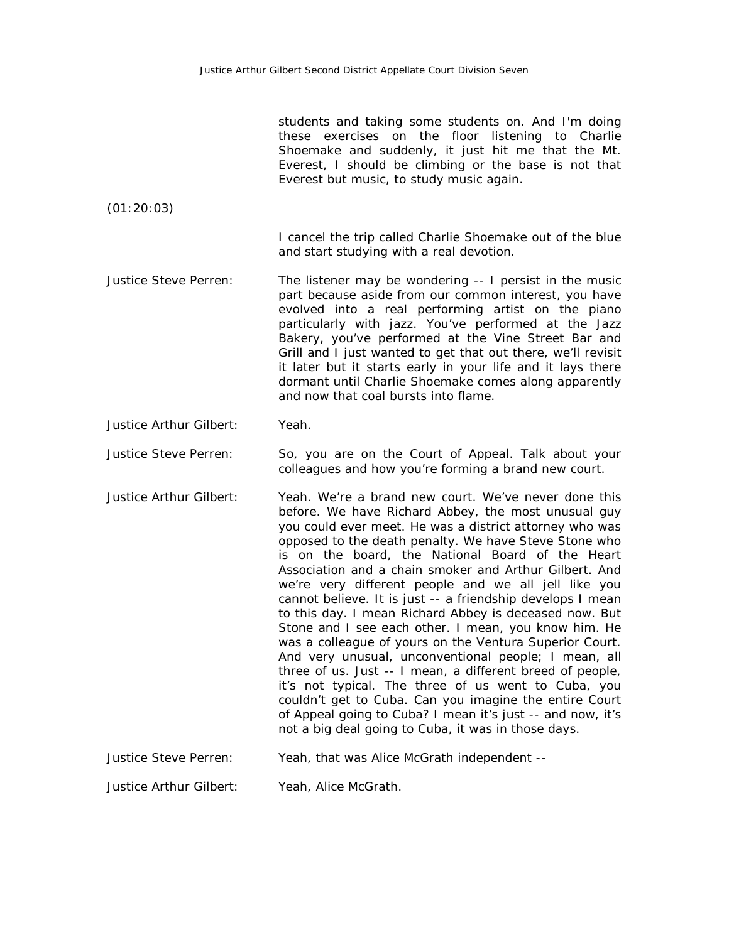students and taking some students on. And I'm doing these exercises on the floor listening to Charlie Shoemake and suddenly, it just hit me that the Mt. Everest, I should be climbing or the base is not that Everest but music, to study music again.

(01:20:03)

I cancel the trip called Charlie Shoemake out of the blue and start studying with a real devotion.

Justice Steve Perren: The listener may be wondering -- I persist in the music part because aside from our common interest, you have evolved into a real performing artist on the piano particularly with jazz. You've performed at the Jazz Bakery, you've performed at the Vine Street Bar and Grill and I just wanted to get that out there, we'll revisit it later but it starts early in your life and it lays there dormant until Charlie Shoemake comes along apparently and now that coal bursts into flame.

Justice Arthur Gilbert: Yeah.

Justice Steve Perren: So, you are on the Court of Appeal. Talk about your colleagues and how you're forming a brand new court.

Justice Arthur Gilbert: Yeah. We're a brand new court. We've never done this before. We have Richard Abbey, the most unusual guy you could ever meet. He was a district attorney who was opposed to the death penalty. We have Steve Stone who is on the board, the National Board of the Heart Association and a chain smoker and Arthur Gilbert. And we're very different people and we all jell like you cannot believe. It is just -- a friendship develops I mean to this day. I mean Richard Abbey is deceased now. But Stone and I see each other. I mean, you know him. He was a colleague of yours on the Ventura Superior Court. And very unusual, unconventional people; I mean, all three of us. Just -- I mean, a different breed of people, it's not typical. The three of us went to Cuba, you couldn't get to Cuba. Can you imagine the entire Court of Appeal going to Cuba? I mean it's just -- and now, it's not a big deal going to Cuba, it was in those days.

Justice Steve Perren: Yeah, that was Alice McGrath independent --

Justice Arthur Gilbert: Yeah, Alice McGrath.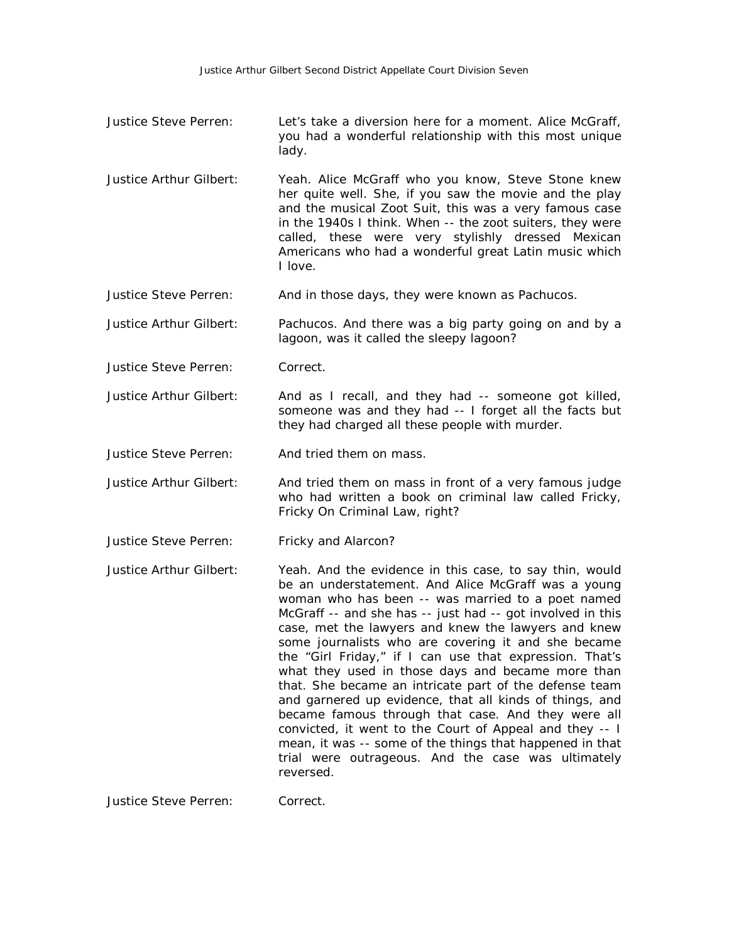- Justice Steve Perren: Let's take a diversion here for a moment. Alice McGraff, you had a wonderful relationship with this most unique lady.
- Justice Arthur Gilbert: Yeah. Alice McGraff who you know, Steve Stone knew her quite well. She, if you saw the movie and the play and the musical Zoot Suit, this was a very famous case in the 1940s I think. When -- the zoot suiters, they were called, these were very stylishly dressed Mexican Americans who had a wonderful great Latin music which I love.

Justice Steve Perren: And in those days, they were known as Pachucos.

Justice Arthur Gilbert: Pachucos. And there was a big party going on and by a lagoon, was it called the sleepy lagoon?

Justice Steve Perren: Correct.

Justice Arthur Gilbert: And as I recall, and they had -- someone got killed, someone was and they had -- I forget all the facts but they had charged all these people with murder.

Justice Steve Perren: And tried them on mass.

- Justice Arthur Gilbert: And tried them on mass in front of a very famous judge who had written a book on criminal law called Fricky, Fricky On Criminal Law, right?
- Justice Steve Perren: Fricky and Alarcon?
- Justice Arthur Gilbert: Yeah. And the evidence in this case, to say thin, would be an understatement. And Alice McGraff was a young woman who has been -- was married to a poet named McGraff -- and she has -- just had -- got involved in this case, met the lawyers and knew the lawyers and knew some journalists who are covering it and she became the "Girl Friday," if I can use that expression. That's what they used in those days and became more than that. She became an intricate part of the defense team and garnered up evidence, that all kinds of things, and became famous through that case. And they were all convicted, it went to the Court of Appeal and they -- I mean, it was -- some of the things that happened in that trial were outrageous. And the case was ultimately reversed.

Justice Steve Perren: Correct.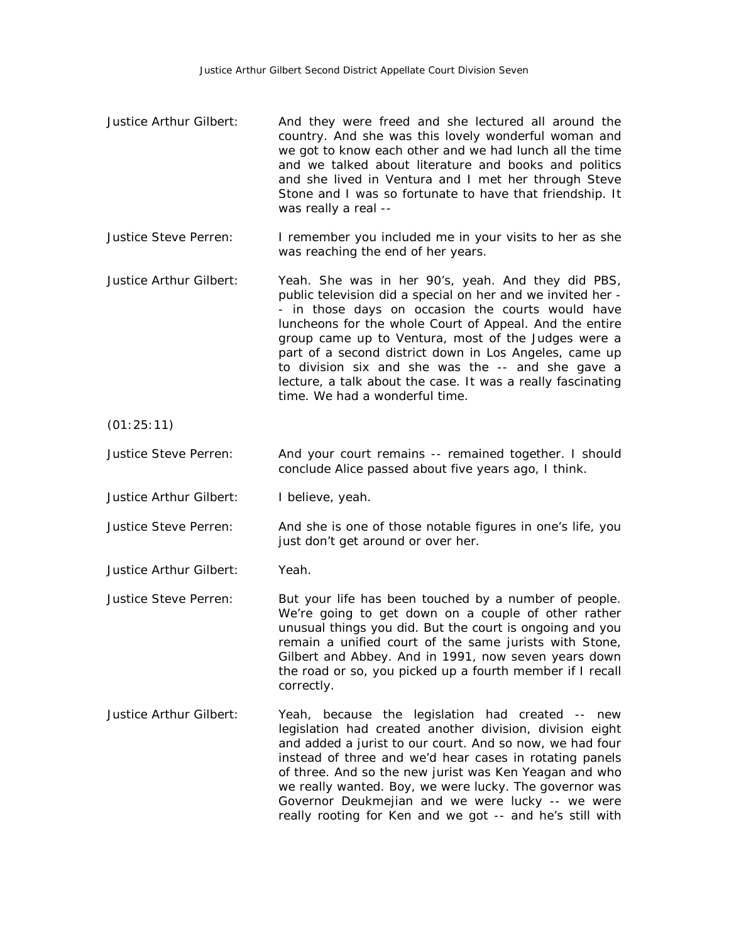- Justice Arthur Gilbert: And they were freed and she lectured all around the country. And she was this lovely wonderful woman and we got to know each other and we had lunch all the time and we talked about literature and books and politics and she lived in Ventura and I met her through Steve Stone and I was so fortunate to have that friendship. It was really a real --
- Justice Steve Perren: I remember you included me in your visits to her as she was reaching the end of her years.
- Justice Arthur Gilbert: Yeah. She was in her 90's, yeah. And they did PBS, public television did a special on her and we invited her - - in those days on occasion the courts would have luncheons for the whole Court of Appeal. And the entire group came up to Ventura, most of the Judges were a part of a second district down in Los Angeles, came up to division six and she was the -- and she gave a lecture, a talk about the case. It was a really fascinating time. We had a wonderful time.
- (01:25:11)
- Justice Steve Perren: And your court remains -- remained together. I should conclude Alice passed about five years ago, I think.
- Justice Arthur Gilbert: I believe, yeah.
- Justice Steve Perren: And she is one of those notable figures in one's life, you just don't get around or over her.
- Justice Arthur Gilbert: Yeah.
- Justice Steve Perren: But your life has been touched by a number of people. We're going to get down on a couple of other rather unusual things you did. But the court is ongoing and you remain a unified court of the same jurists with Stone, Gilbert and Abbey. And in 1991, now seven years down the road or so, you picked up a fourth member if I recall correctly.
- Justice Arthur Gilbert: Yeah, because the legislation had created -- new legislation had created another division, division eight and added a jurist to our court. And so now, we had four instead of three and we'd hear cases in rotating panels of three. And so the new jurist was Ken Yeagan and who we really wanted. Boy, we were lucky. The governor was Governor Deukmejian and we were lucky -- we were really rooting for Ken and we got -- and he's still with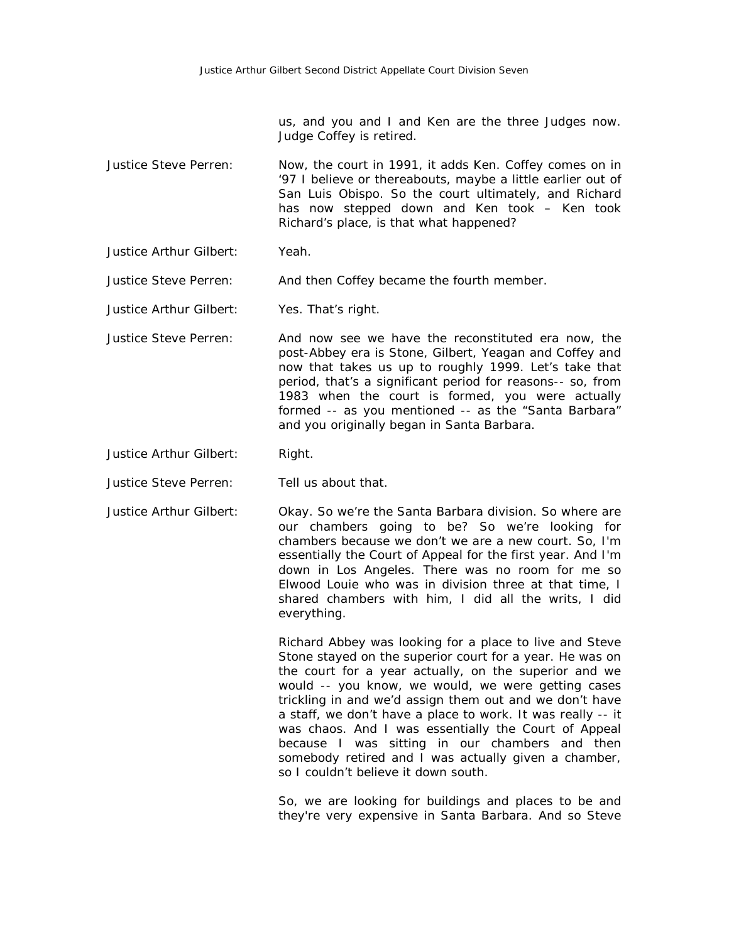us, and you and I and Ken are the three Judges now. Judge Coffey is retired.

- Justice Steve Perren: Now, the court in 1991, it adds Ken. Coffey comes on in '97 I believe or thereabouts, maybe a little earlier out of San Luis Obispo. So the court ultimately, and Richard has now stepped down and Ken took – Ken took Richard's place, is that what happened?
- Justice Arthur Gilbert: Yeah.

Justice Steve Perren: And then Coffey became the fourth member.

- Justice Arthur Gilbert: Yes. That's right.
- Justice Steve Perren: And now see we have the reconstituted era now, the post-Abbey era is Stone, Gilbert, Yeagan and Coffey and now that takes us up to roughly 1999. Let's take that period, that's a significant period for reasons-- so, from 1983 when the court is formed, you were actually formed -- as you mentioned -- as the "Santa Barbara" and you originally began in Santa Barbara.
- Justice Arthur Gilbert: Right.
- Justice Steve Perren: Tell us about that.
- Justice Arthur Gilbert: Okay. So we're the Santa Barbara division. So where are our chambers going to be? So we're looking for chambers because we don't we are a new court. So, I'm essentially the Court of Appeal for the first year. And I'm down in Los Angeles. There was no room for me so Elwood Louie who was in division three at that time, I shared chambers with him, I did all the writs, I did everything.

Richard Abbey was looking for a place to live and Steve Stone stayed on the superior court for a year. He was on the court for a year actually, on the superior and we would -- you know, we would, we were getting cases trickling in and we'd assign them out and we don't have a staff, we don't have a place to work. It was really -- it was chaos. And I was essentially the Court of Appeal because I was sitting in our chambers and then somebody retired and I was actually given a chamber, so I couldn't believe it down south.

So, we are looking for buildings and places to be and they're very expensive in Santa Barbara. And so Steve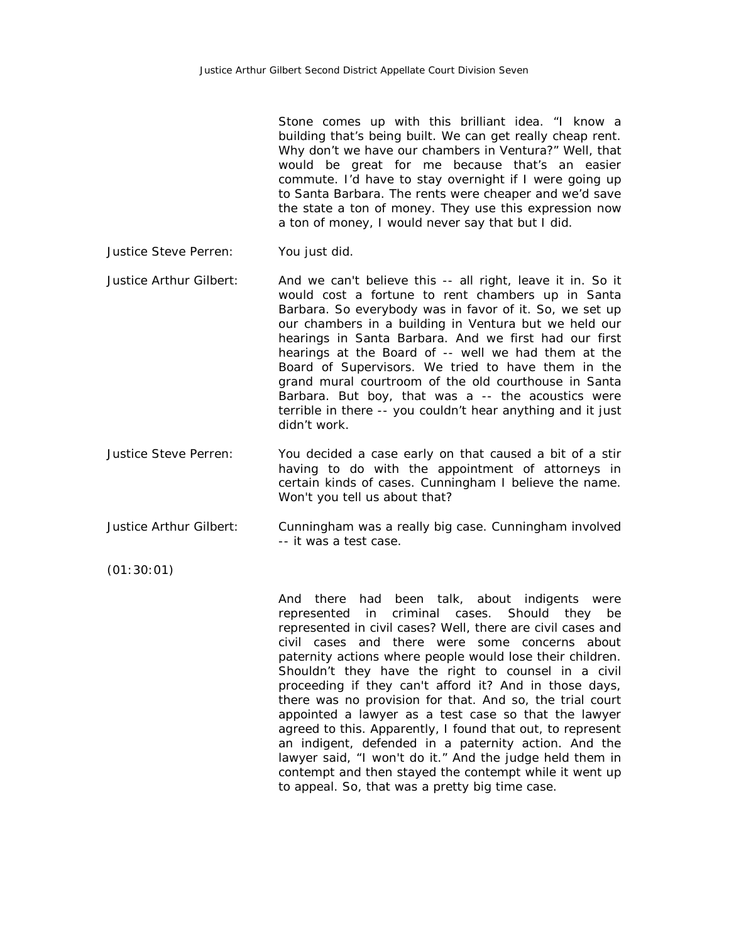Stone comes up with this brilliant idea. "I know a building that's being built. We can get really cheap rent. Why don't we have our chambers in Ventura?" Well, that would be great for me because that's an easier commute. I'd have to stay overnight if I were going up to Santa Barbara. The rents were cheaper and we'd save the state a ton of money. They use this expression now a ton of money, I would never say that but I did.

- Justice Steve Perren: You just did.
- Justice Arthur Gilbert: And we can't believe this -- all right, leave it in. So it would cost a fortune to rent chambers up in Santa Barbara. So everybody was in favor of it. So, we set up our chambers in a building in Ventura but we held our hearings in Santa Barbara. And we first had our first hearings at the Board of -- well we had them at the Board of Supervisors. We tried to have them in the grand mural courtroom of the old courthouse in Santa Barbara. But boy, that was a -- the acoustics were terrible in there -- you couldn't hear anything and it just didn't work.
- Justice Steve Perren: You decided a case early on that caused a bit of a stir having to do with the appointment of attorneys in certain kinds of cases. Cunningham I believe the name. Won't you tell us about that?
- Justice Arthur Gilbert: Cunningham was a really big case. Cunningham involved -- it was a test case.
- (01:30:01)

And there had been talk, about indigents were represented in criminal cases. Should they be represented in civil cases? Well, there are civil cases and civil cases and there were some concerns about paternity actions where people would lose their children. Shouldn't they have the right to counsel in a civil proceeding if they can't afford it? And in those days, there was no provision for that. And so, the trial court appointed a lawyer as a test case so that the lawyer agreed to this. Apparently, I found that out, to represent an indigent, defended in a paternity action. And the lawyer said, "I won't do it." And the judge held them in contempt and then stayed the contempt while it went up to appeal. So, that was a pretty big time case.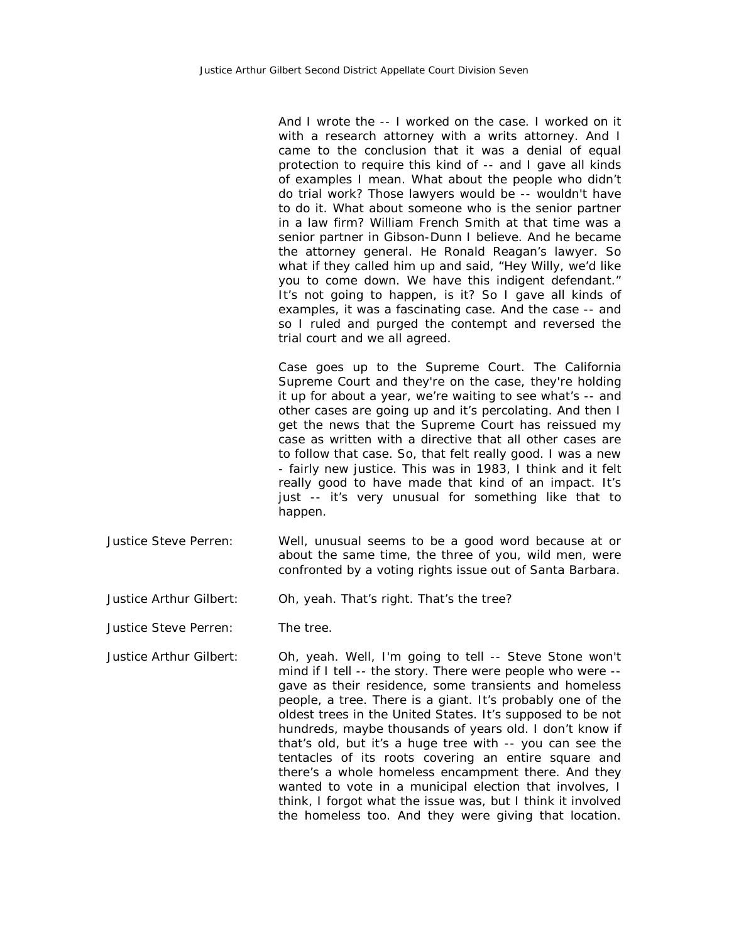And I wrote the -- I worked on the case. I worked on it with a research attorney with a writs attorney. And I came to the conclusion that it was a denial of equal protection to require this kind of -- and I gave all kinds of examples I mean. What about the people who didn't do trial work? Those lawyers would be -- wouldn't have to do it. What about someone who is the senior partner in a law firm? William French Smith at that time was a senior partner in Gibson-Dunn I believe. And he became the attorney general. He Ronald Reagan's lawyer. So what if they called him up and said, "Hey Willy, we'd like you to come down. We have this indigent defendant." It's not going to happen, is it? So I gave all kinds of examples, it was a fascinating case. And the case -- and so I ruled and purged the contempt and reversed the trial court and we all agreed.

Case goes up to the Supreme Court. The California Supreme Court and they're on the case, they're holding it up for about a year, we're waiting to see what's -- and other cases are going up and it's percolating. And then I get the news that the Supreme Court has reissued my case as written with a directive that all other cases are to follow that case. So, that felt really good. I was a new - fairly new justice. This was in 1983, I think and it felt really good to have made that kind of an impact. It's just -- it's very unusual for something like that to happen.

- Justice Steve Perren: Well, unusual seems to be a good word because at or about the same time, the three of you, wild men, were confronted by a voting rights issue out of Santa Barbara.
- Justice Arthur Gilbert: Oh, yeah. That's right. That's the tree?

Justice Steve Perren: The tree.

Justice Arthur Gilbert: Oh, yeah. Well, I'm going to tell -- Steve Stone won't mind if I tell -- the story. There were people who were - gave as their residence, some transients and homeless people, a tree. There is a giant. It's probably one of the oldest trees in the United States. It's supposed to be not hundreds, maybe thousands of years old. I don't know if that's old, but it's a huge tree with -- you can see the tentacles of its roots covering an entire square and there's a whole homeless encampment there. And they wanted to vote in a municipal election that involves, I think, I forgot what the issue was, but I think it involved the homeless too. And they were giving that location.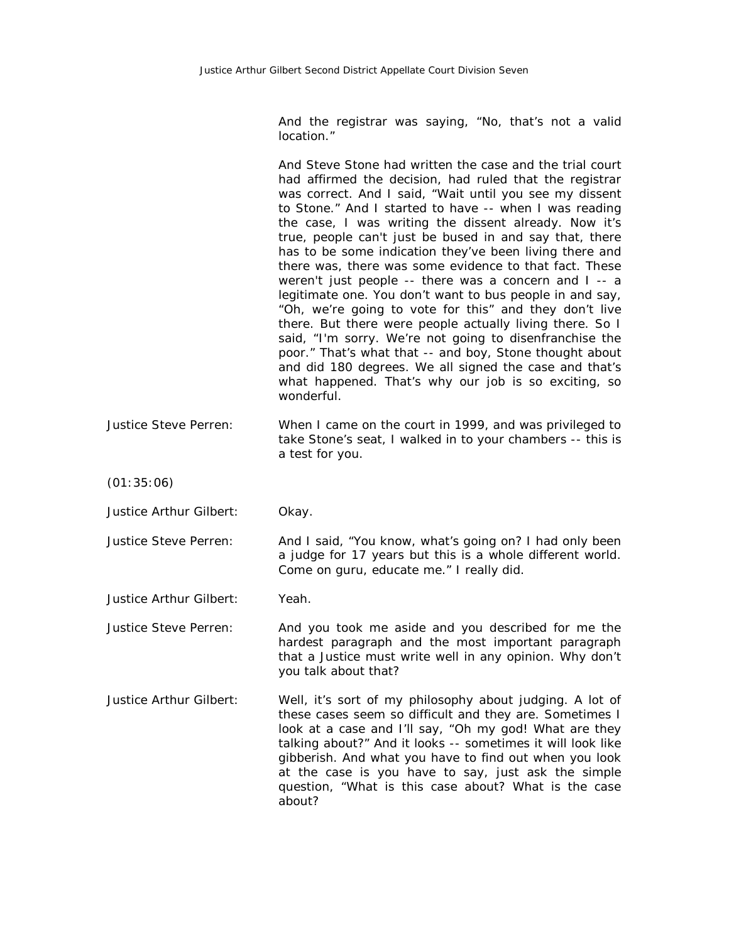And the registrar was saying, "No, that's not a valid location."

And Steve Stone had written the case and the trial court had affirmed the decision, had ruled that the registrar was correct. And I said, "Wait until you see my dissent to Stone." And I started to have -- when I was reading the case, I was writing the dissent already. Now it's true, people can't just be bused in and say that, there has to be some indication they've been living there and there was, there was some evidence to that fact. These weren't just people -- there was a concern and I -- a legitimate one. You don't want to bus people in and say, "Oh, we're going to vote for this" and they don't live there. But there were people actually living there. So I said, "I'm sorry. We're not going to disenfranchise the poor." That's what that -- and boy, Stone thought about and did 180 degrees. We all signed the case and that's what happened. That's why our job is so exciting, so wonderful.

Justice Steve Perren: When I came on the court in 1999, and was privileged to take Stone's seat, I walked in to your chambers -- this is a test for you.

(01:35:06)

Justice Arthur Gilbert: Okay.

Justice Steve Perren: And I said, "You know, what's going on? I had only been a judge for 17 years but this is a whole different world. Come on guru, educate me." I really did.

Justice Arthur Gilbert: Yeah.

Justice Steve Perren: And you took me aside and you described for me the hardest paragraph and the most important paragraph that a Justice must write well in any opinion. Why don't you talk about that?

Justice Arthur Gilbert: Well, it's sort of my philosophy about judging. A lot of these cases seem so difficult and they are. Sometimes I look at a case and I'll say, "Oh my god! What are they talking about?" And it looks -- sometimes it will look like gibberish. And what you have to find out when you look at the case is you have to say, just ask the simple question, "What is this case about? What is the case about?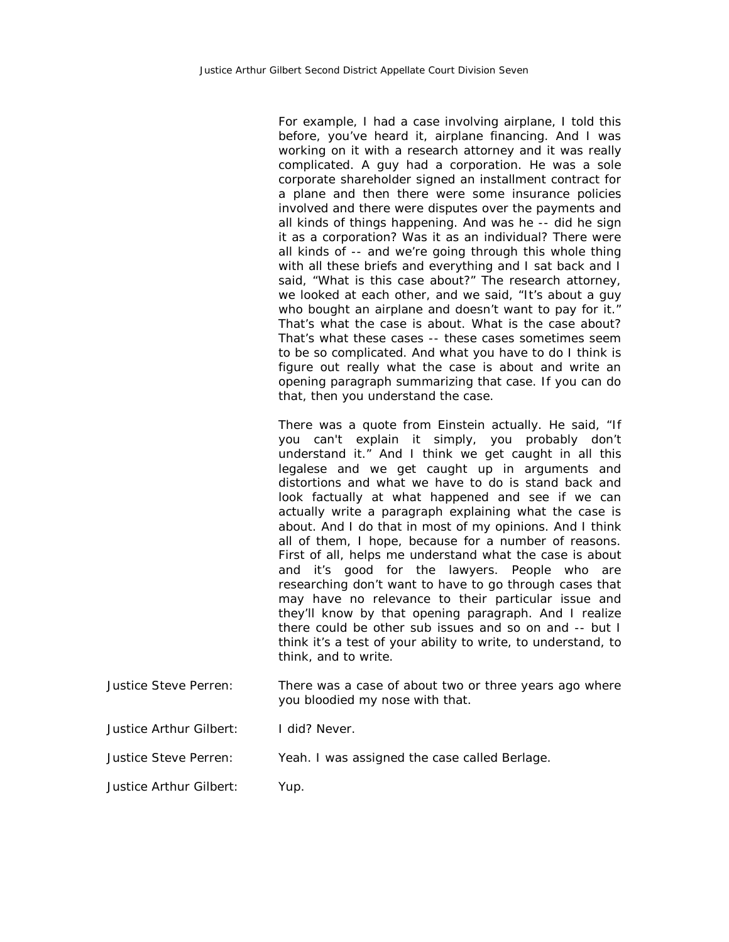For example, I had a case involving airplane, I told this before, you've heard it, airplane financing. And I was working on it with a research attorney and it was really complicated. A guy had a corporation. He was a sole corporate shareholder signed an installment contract for a plane and then there were some insurance policies involved and there were disputes over the payments and all kinds of things happening. And was he -- did he sign it as a corporation? Was it as an individual? There were all kinds of -- and we're going through this whole thing with all these briefs and everything and I sat back and I said, "What is this case about?" The research attorney, we looked at each other, and we said, "It's about a guy who bought an airplane and doesn't want to pay for it." That's what the case is about. What is the case about? That's what these cases -- these cases sometimes seem to be so complicated. And what you have to do I think is figure out really what the case is about and write an opening paragraph summarizing that case. If you can do that, then you understand the case.

There was a quote from Einstein actually. He said, "If you can't explain it simply, you probably don't understand it." And I think we get caught in all this legalese and we get caught up in arguments and distortions and what we have to do is stand back and look factually at what happened and see if we can actually write a paragraph explaining what the case is about. And I do that in most of my opinions. And I think all of them, I hope, because for a number of reasons. First of all, helps me understand what the case is about and it's good for the lawyers. People who are researching don't want to have to go through cases that may have no relevance to their particular issue and they'll know by that opening paragraph. And I realize there could be other sub issues and so on and -- but I think it's a test of your ability to write, to understand, to think, and to write.

Justice Steve Perren: There was a case of about two or three years ago where you bloodied my nose with that.

Justice Arthur Gilbert: I did? Never.

Justice Steve Perren: Yeah. I was assigned the case called Berlage.

Justice Arthur Gilbert: Yup.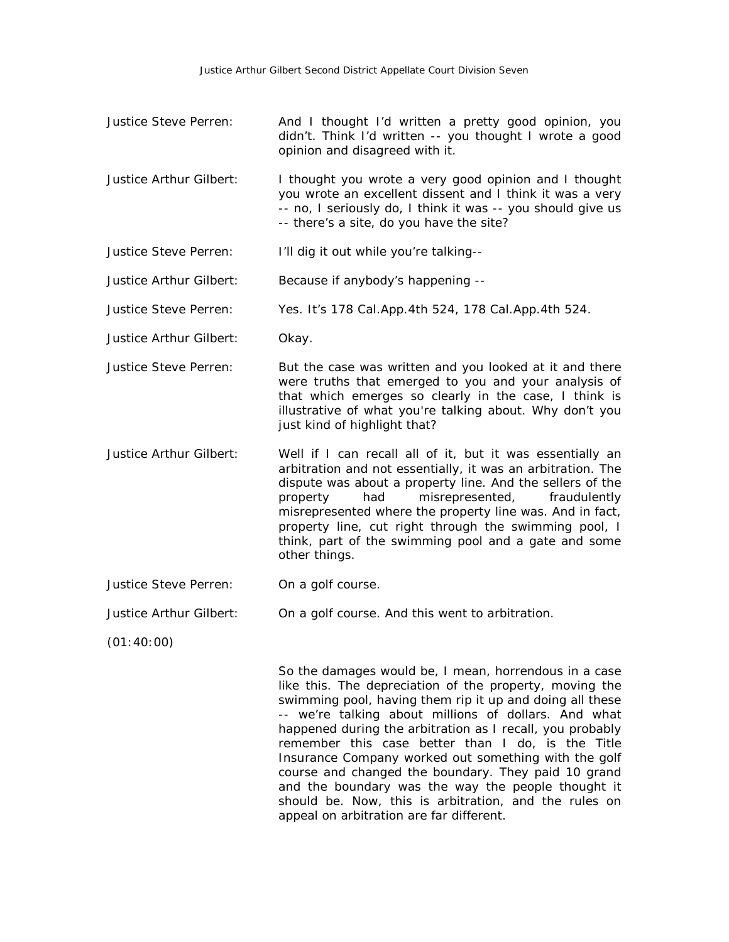- Justice Steve Perren: And I thought I'd written a pretty good opinion, you didn't. Think I'd written -- you thought I wrote a good opinion and disagreed with it.
- Justice Arthur Gilbert: I thought you wrote a very good opinion and I thought you wrote an excellent dissent and I think it was a very -- no, I seriously do, I think it was -- you should give us -- there's a site, do you have the site?
- Justice Steve Perren: I'll dig it out while you're talking--

Justice Arthur Gilbert: Because if anybody's happening --

Justice Steve Perren: Yes. It's 178 Cal.App.4th 524, 178 Cal.App.4th 524.

- Justice Arthur Gilbert: Okay.
- Justice Steve Perren: But the case was written and you looked at it and there were truths that emerged to you and your analysis of that which emerges so clearly in the case, I think is illustrative of what you're talking about. Why don't you just kind of highlight that?
- Justice Arthur Gilbert: Well if I can recall all of it, but it was essentially an arbitration and not essentially, it was an arbitration. The dispute was about a property line. And the sellers of the property had misrepresented, fraudulently misrepresented where the property line was. And in fact, property line, cut right through the swimming pool, I think, part of the swimming pool and a gate and some other things.
- Justice Steve Perren: On a golf course.
- Justice Arthur Gilbert: On a golf course. And this went to arbitration.

(01:40:00)

So the damages would be, I mean, horrendous in a case like this. The depreciation of the property, moving the swimming pool, having them rip it up and doing all these -- we're talking about millions of dollars. And what happened during the arbitration as I recall, you probably remember this case better than I do, is the Title Insurance Company worked out something with the golf course and changed the boundary. They paid 10 grand and the boundary was the way the people thought it should be. Now, this is arbitration, and the rules on appeal on arbitration are far different.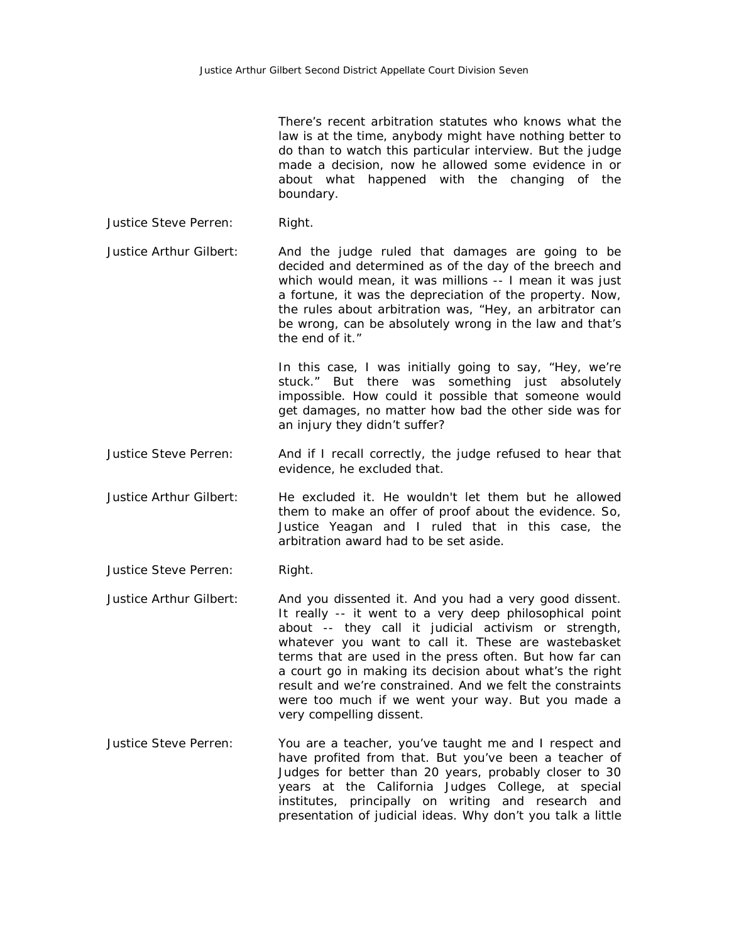There's recent arbitration statutes who knows what the law is at the time, anybody might have nothing better to do than to watch this particular interview. But the judge made a decision, now he allowed some evidence in or about what happened with the changing of the boundary.

Justice Steve Perren: Right.

Justice Arthur Gilbert: And the judge ruled that damages are going to be decided and determined as of the day of the breech and which would mean, it was millions -- I mean it was just a fortune, it was the depreciation of the property. Now, the rules about arbitration was, "Hey, an arbitrator can be wrong, can be absolutely wrong in the law and that's the end of it."

> In this case, I was initially going to say, "Hey, we're stuck." But there was something just absolutely impossible. How could it possible that someone would get damages, no matter how bad the other side was for an injury they didn't suffer?

- Justice Steve Perren: And if I recall correctly, the judge refused to hear that evidence, he excluded that.
- Justice Arthur Gilbert: He excluded it. He wouldn't let them but he allowed them to make an offer of proof about the evidence. So, Justice Yeagan and I ruled that in this case, the arbitration award had to be set aside.

Justice Steve Perren: Right.

- Justice Arthur Gilbert: And you dissented it. And you had a very good dissent. It really -- it went to a very deep philosophical point about -- they call it judicial activism or strength, whatever you want to call it. These are wastebasket terms that are used in the press often. But how far can a court go in making its decision about what's the right result and we're constrained. And we felt the constraints were too much if we went your way. But you made a very compelling dissent.
- Justice Steve Perren: You are a teacher, you've taught me and I respect and have profited from that. But you've been a teacher of Judges for better than 20 years, probably closer to 30 years at the California Judges College, at special institutes, principally on writing and research and presentation of judicial ideas. Why don't you talk a little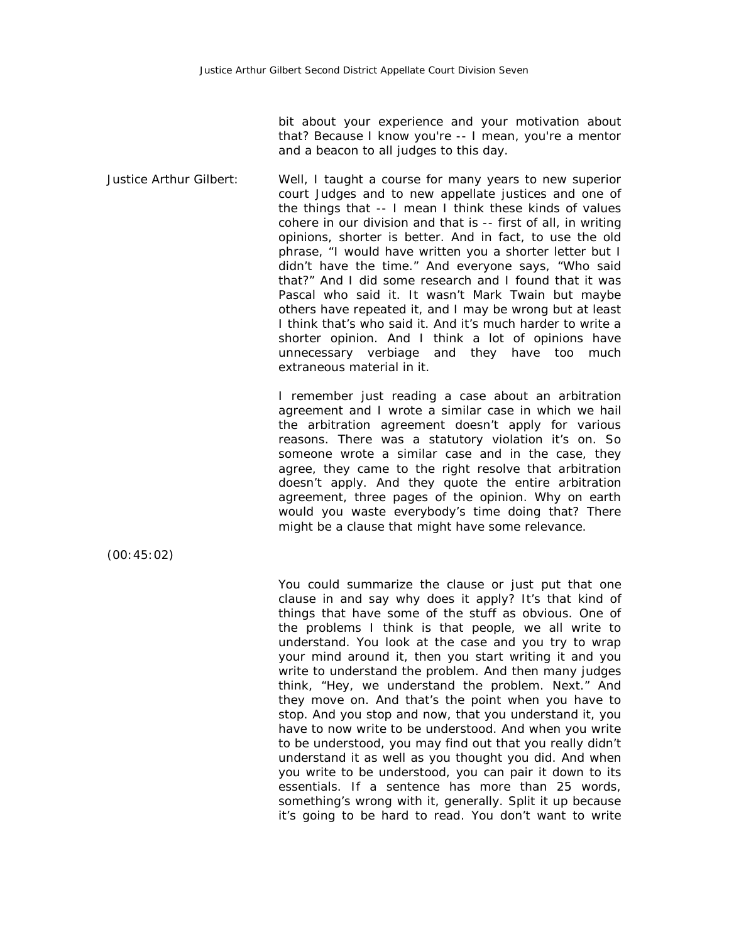bit about your experience and your motivation about that? Because I know you're -- I mean, you're a mentor and a beacon to all judges to this day.

Justice Arthur Gilbert: Well, I taught a course for many years to new superior court Judges and to new appellate justices and one of the things that -- I mean I think these kinds of values cohere in our division and that is -- first of all, in writing opinions, shorter is better. And in fact, to use the old phrase, "I would have written you a shorter letter but I didn't have the time." And everyone says, "Who said that?" And I did some research and I found that it was Pascal who said it. It wasn't Mark Twain but maybe others have repeated it, and I may be wrong but at least I think that's who said it. And it's much harder to write a shorter opinion. And I think a lot of opinions have unnecessary verbiage and they have too much extraneous material in it.

> I remember just reading a case about an arbitration agreement and I wrote a similar case in which we hail the arbitration agreement doesn't apply for various reasons. There was a statutory violation it's on. So someone wrote a similar case and in the case, they agree, they came to the right resolve that arbitration doesn't apply. And they quote the entire arbitration agreement, three pages of the opinion. Why on earth would you waste everybody's time doing that? There might be a clause that might have some relevance.

(00:45:02)

You could summarize the clause or just put that one clause in and say why does it apply? It's that kind of things that have some of the stuff as obvious. One of the problems I think is that people, we all write to understand. You look at the case and you try to wrap your mind around it, then you start writing it and you write to understand the problem. And then many judges think, "Hey, we understand the problem. Next." And they move on. And that's the point when you have to stop. And you stop and now, that you understand it, you have to now write to be understood. And when you write to be understood, you may find out that you really didn't understand it as well as you thought you did. And when you write to be understood, you can pair it down to its essentials. If a sentence has more than 25 words, something's wrong with it, generally. Split it up because it's going to be hard to read. You don't want to write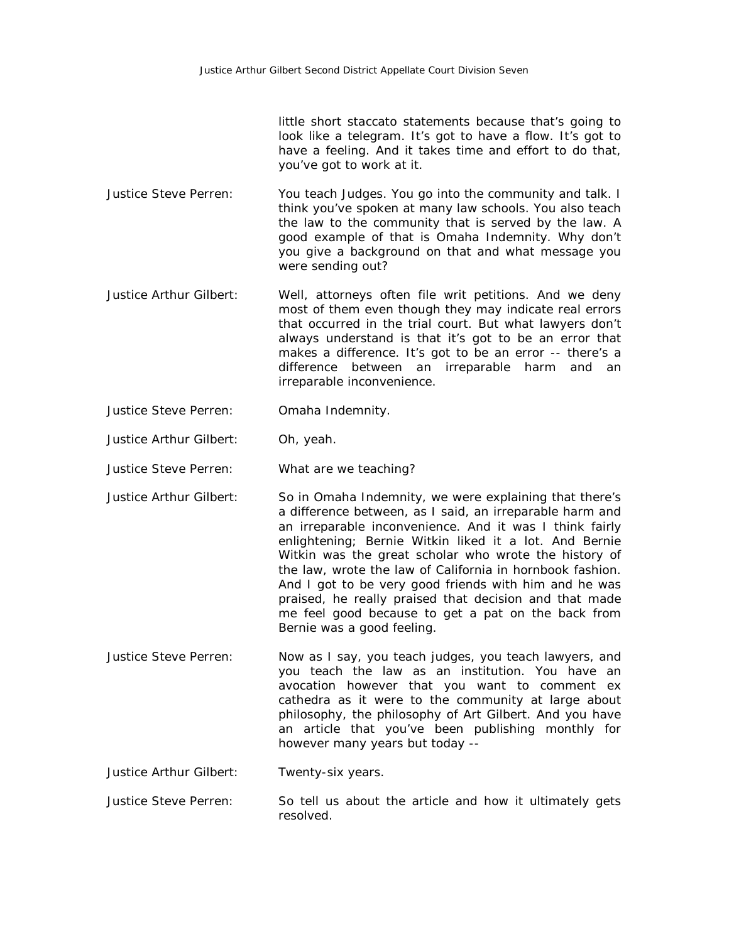little short staccato statements because that's going to look like a telegram. It's got to have a flow. It's got to have a feeling. And it takes time and effort to do that, you've got to work at it.

- Justice Steve Perren: You teach Judges. You go into the community and talk. I think you've spoken at many law schools. You also teach the law to the community that is served by the law. A good example of that is Omaha Indemnity. Why don't you give a background on that and what message you were sending out?
- Justice Arthur Gilbert: Well, attorneys often file writ petitions. And we deny most of them even though they may indicate real errors that occurred in the trial court. But what lawyers don't always understand is that it's got to be an error that makes a difference. It's got to be an error -- there's a difference between an irreparable harm and an irreparable inconvenience.
- Justice Steve Perren: Omaha Indemnity.
- Justice Arthur Gilbert: Oh, yeah.
- Justice Steve Perren: What are we teaching?
- Justice Arthur Gilbert: So in Omaha Indemnity, we were explaining that there's a difference between, as I said, an irreparable harm and an irreparable inconvenience. And it was I think fairly enlightening; Bernie Witkin liked it a lot. And Bernie Witkin was the great scholar who wrote the history of the law, wrote the law of California in hornbook fashion. And I got to be very good friends with him and he was praised, he really praised that decision and that made me feel good because to get a pat on the back from Bernie was a good feeling.
- Justice Steve Perren: Now as I say, you teach judges, you teach lawyers, and you teach the law as an institution. You have an avocation however that you want to comment ex cathedra as it were to the community at large about philosophy, the philosophy of Art Gilbert. And you have an article that you've been publishing monthly for however many years but today --

Justice Arthur Gilbert: Twenty-six years.

Justice Steve Perren: So tell us about the article and how it ultimately gets resolved.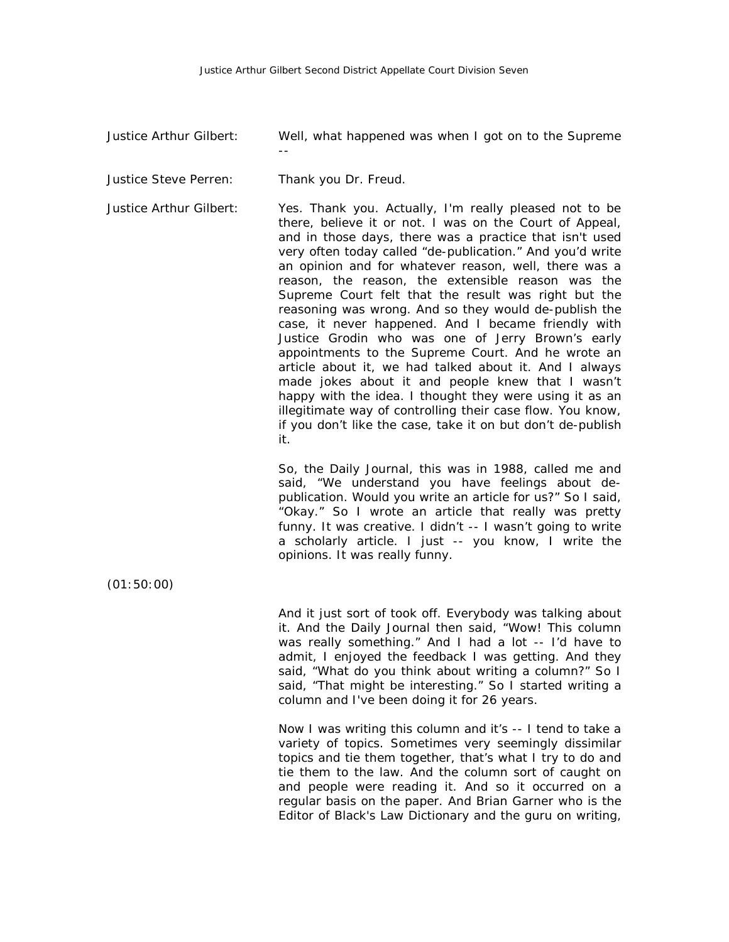Justice Arthur Gilbert: Well, what happened was when I got on to the Supreme

Justice Steve Perren: Thank you Dr. Freud.

--

Justice Arthur Gilbert: Yes. Thank you. Actually, I'm really pleased not to be there, believe it or not. I was on the Court of Appeal, and in those days, there was a practice that isn't used very often today called "de-publication." And you'd write an opinion and for whatever reason, well, there was a reason, the reason, the extensible reason was the Supreme Court felt that the result was right but the reasoning was wrong. And so they would de-publish the case, it never happened. And I became friendly with Justice Grodin who was one of Jerry Brown's early appointments to the Supreme Court. And he wrote an article about it, we had talked about it. And I always made jokes about it and people knew that I wasn't happy with the idea. I thought they were using it as an illegitimate way of controlling their case flow. You know, if you don't like the case, take it on but don't de-publish it.

> So, the Daily Journal, this was in 1988, called me and said, "We understand you have feelings about depublication. Would you write an article for us?" So I said, "Okay." So I wrote an article that really was pretty funny. It was creative. I didn't -- I wasn't going to write a scholarly article. I just -- you know, I write the opinions. It was really funny.

(01:50:00)

And it just sort of took off. Everybody was talking about it. And the Daily Journal then said, "Wow! This column was really something." And I had a lot -- I'd have to admit, I enjoyed the feedback I was getting. And they said, "What do you think about writing a column?" So I said, "That might be interesting." So I started writing a column and I've been doing it for 26 years.

Now I was writing this column and it's -- I tend to take a variety of topics. Sometimes very seemingly dissimilar topics and tie them together, that's what I try to do and tie them to the law. And the column sort of caught on and people were reading it. And so it occurred on a regular basis on the paper. And Brian Garner who is the Editor of Black's Law Dictionary and the guru on writing,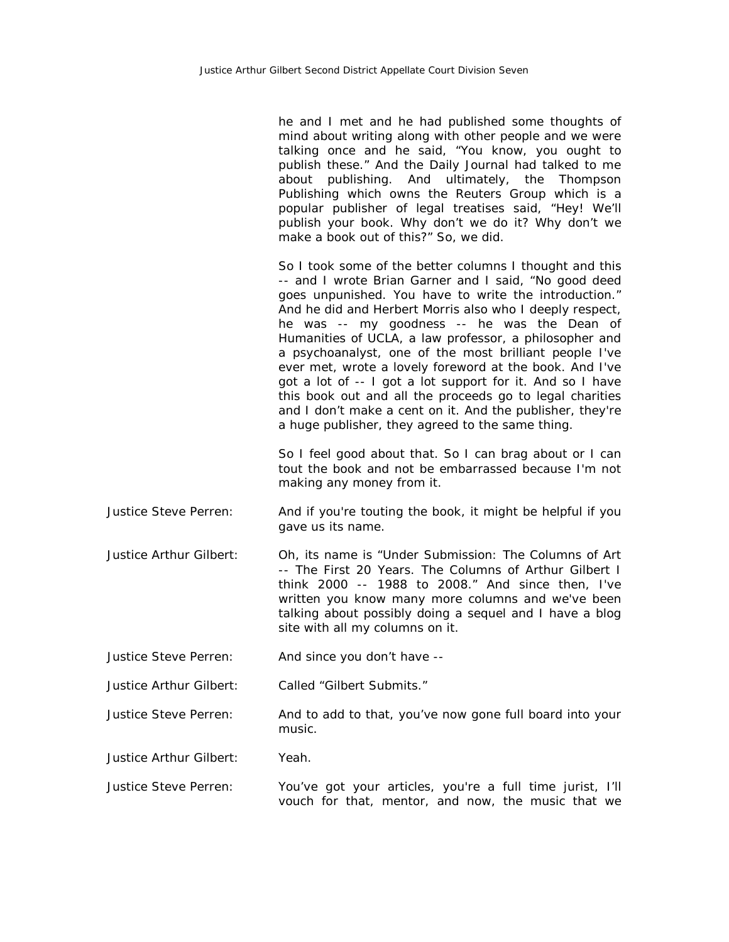he and I met and he had published some thoughts of mind about writing along with other people and we were talking once and he said, "You know, you ought to publish these." And the Daily Journal had talked to me about publishing. And ultimately, the Thompson Publishing which owns the Reuters Group which is a popular publisher of legal treatises said, "Hey! We'll publish your book. Why don't we do it? Why don't we make a book out of this?" So, we did.

So I took some of the better columns I thought and this -- and I wrote Brian Garner and I said, "No good deed goes unpunished. You have to write the introduction." And he did and Herbert Morris also who I deeply respect, he was -- my goodness -- he was the Dean of Humanities of UCLA, a law professor, a philosopher and a psychoanalyst, one of the most brilliant people I've ever met, wrote a lovely foreword at the book. And I've got a lot of -- I got a lot support for it. And so I have this book out and all the proceeds go to legal charities and I don't make a cent on it. And the publisher, they're a huge publisher, they agreed to the same thing.

So I feel good about that. So I can brag about or I can tout the book and not be embarrassed because I'm not making any money from it.

- Justice Steve Perren: And if you're touting the book, it might be helpful if you gave us its name.
- Justice Arthur Gilbert: Oh, its name is "Under Submission: The Columns of Art -- The First 20 Years. The Columns of Arthur Gilbert I think 2000 -- 1988 to 2008." And since then, I've written you know many more columns and we've been talking about possibly doing a sequel and I have a blog site with all my columns on it.
- Justice Steve Perren: And since you don't have --

Justice Arthur Gilbert: Called "Gilbert Submits."

- Justice Steve Perren: And to add to that, you've now gone full board into your music.
- Justice Arthur Gilbert: Yeah.
- Justice Steve Perren: You've got your articles, you're a full time jurist, I'll vouch for that, mentor, and now, the music that we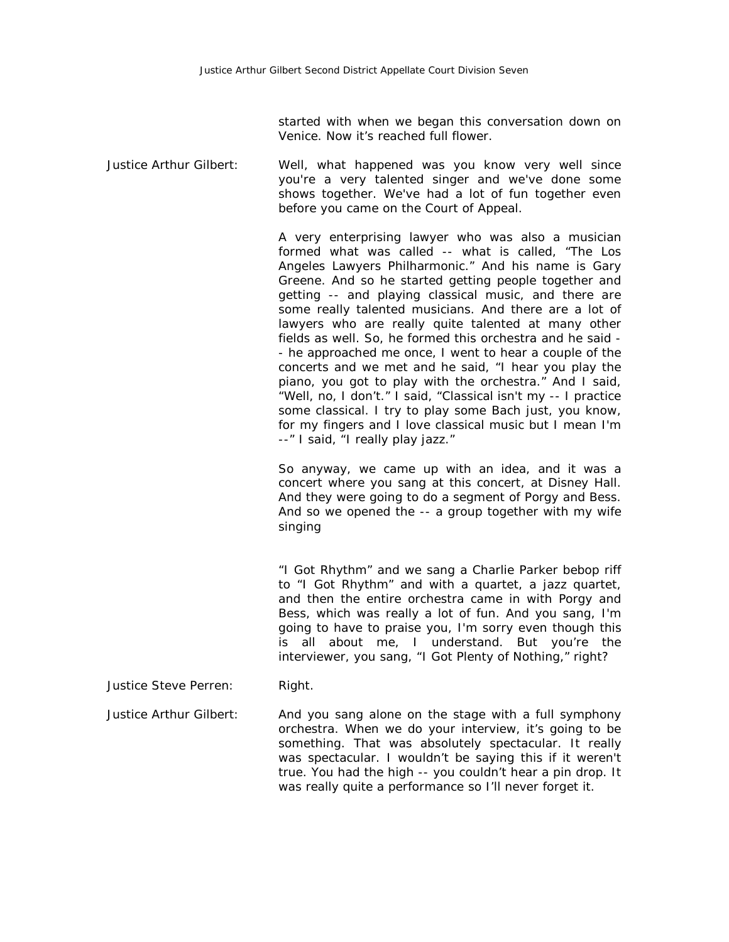started with when we began this conversation down on Venice. Now it's reached full flower.

Justice Arthur Gilbert: Well, what happened was you know very well since you're a very talented singer and we've done some shows together. We've had a lot of fun together even before you came on the Court of Appeal.

> A very enterprising lawyer who was also a musician formed what was called -- what is called, "The Los Angeles Lawyers Philharmonic." And his name is Gary Greene. And so he started getting people together and getting -- and playing classical music, and there are some really talented musicians. And there are a lot of lawyers who are really quite talented at many other fields as well. So, he formed this orchestra and he said - - he approached me once, I went to hear a couple of the concerts and we met and he said, "I hear you play the piano, you got to play with the orchestra." And I said, "Well, no, I don't." I said, "Classical isn't my -- I practice some classical. I try to play some Bach just, you know, for my fingers and I love classical music but I mean I'm --" I said, "I really play jazz."

> So anyway, we came up with an idea, and it was a concert where you sang at this concert, at Disney Hall. And they were going to do a segment of Porgy and Bess. And so we opened the -- a group together with my wife singing

> "I Got Rhythm" and we sang a Charlie Parker bebop riff to "I Got Rhythm" and with a quartet, a jazz quartet, and then the entire orchestra came in with Porgy and Bess, which was really a lot of fun. And you sang, I'm going to have to praise you, I'm sorry even though this is all about me, I understand. But you're the interviewer, you sang, "I Got Plenty of Nothing," right?

Justice Steve Perren: Right.

Justice Arthur Gilbert: And you sang alone on the stage with a full symphony orchestra. When we do your interview, it's going to be something. That was absolutely spectacular. It really was spectacular. I wouldn't be saying this if it weren't true. You had the high -- you couldn't hear a pin drop. It was really quite a performance so I'll never forget it.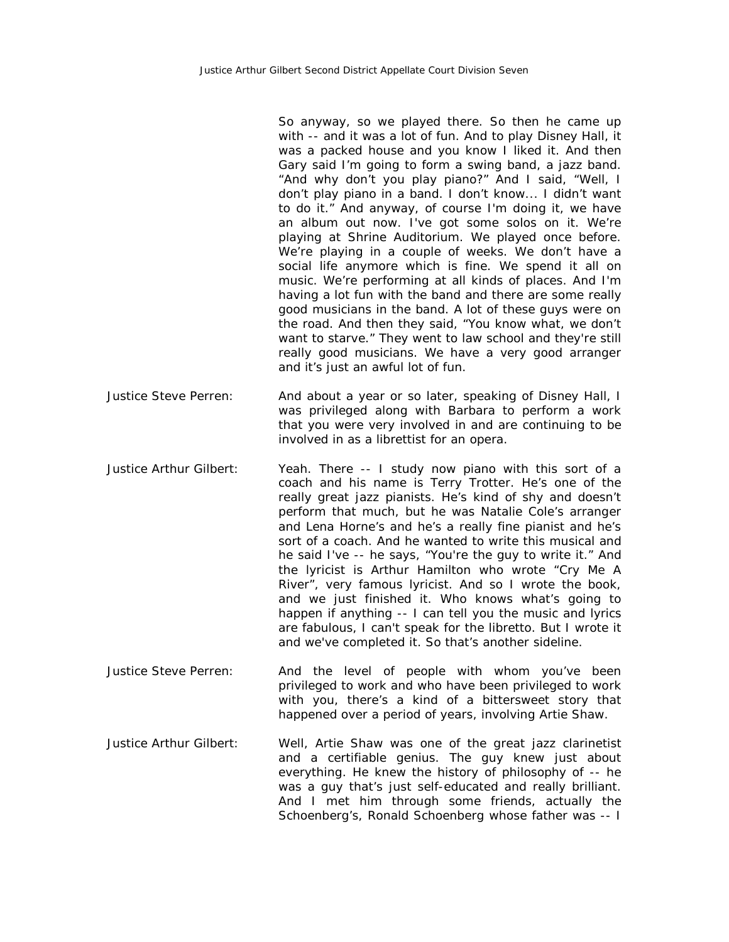So anyway, so we played there. So then he came up with -- and it was a lot of fun. And to play Disney Hall, it was a packed house and you know I liked it. And then Gary said I'm going to form a swing band, a jazz band. "And why don't you play piano?" And I said, "Well, I don't play piano in a band. I don't know... I didn't want to do it." And anyway, of course I'm doing it, we have an album out now. I've got some solos on it. We're playing at Shrine Auditorium. We played once before. We're playing in a couple of weeks. We don't have a social life anymore which is fine. We spend it all on music. We're performing at all kinds of places. And I'm having a lot fun with the band and there are some really good musicians in the band. A lot of these guys were on the road. And then they said, "You know what, we don't want to starve." They went to law school and they're still really good musicians. We have a very good arranger and it's just an awful lot of fun.

Justice Steve Perren: And about a year or so later, speaking of Disney Hall, I was privileged along with Barbara to perform a work that you were very involved in and are continuing to be involved in as a librettist for an opera.

- Justice Arthur Gilbert: Yeah. There -- I study now piano with this sort of a coach and his name is Terry Trotter. He's one of the really great jazz pianists. He's kind of shy and doesn't perform that much, but he was Natalie Cole's arranger and Lena Horne's and he's a really fine pianist and he's sort of a coach. And he wanted to write this musical and he said I've -- he says, "You're the guy to write it." And the lyricist is Arthur Hamilton who wrote "Cry Me A River", very famous lyricist. And so I wrote the book, and we just finished it. Who knows what's going to happen if anything -- I can tell you the music and lyrics are fabulous, I can't speak for the libretto. But I wrote it and we've completed it. So that's another sideline.
- Justice Steve Perren: And the level of people with whom you've been privileged to work and who have been privileged to work with you, there's a kind of a bittersweet story that happened over a period of years, involving Artie Shaw.
- Justice Arthur Gilbert: Well, Artie Shaw was one of the great jazz clarinetist and a certifiable genius. The guy knew just about everything. He knew the history of philosophy of -- he was a guy that's just self-educated and really brilliant. And I met him through some friends, actually the Schoenberg's, Ronald Schoenberg whose father was -- I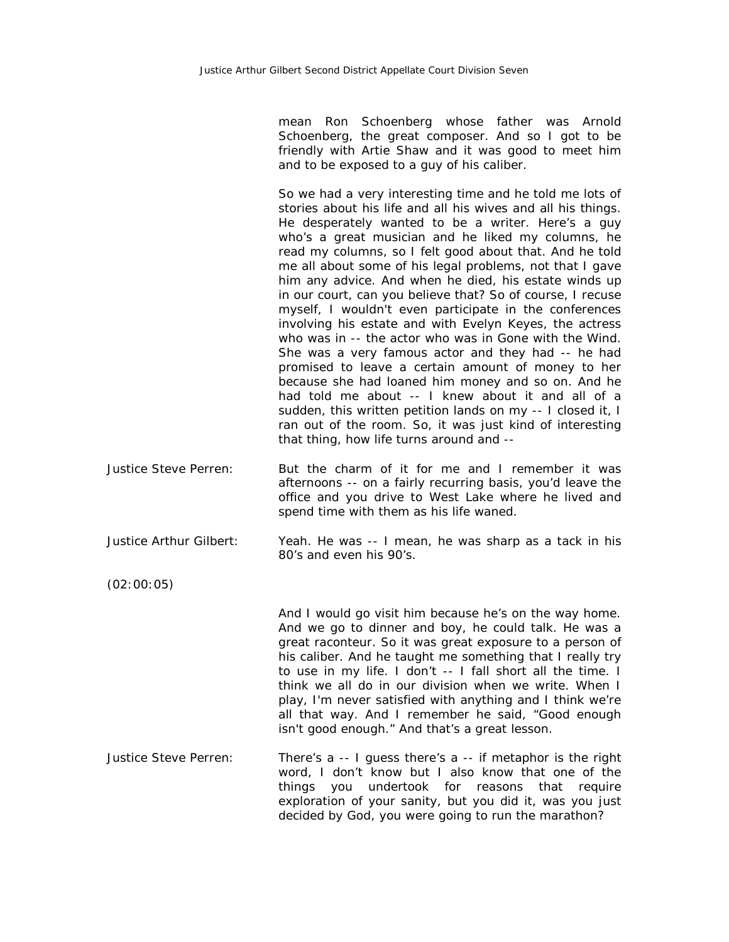mean Ron Schoenberg whose father was Arnold Schoenberg, the great composer. And so I got to be friendly with Artie Shaw and it was good to meet him and to be exposed to a guy of his caliber.

So we had a very interesting time and he told me lots of stories about his life and all his wives and all his things. He desperately wanted to be a writer. Here's a guy who's a great musician and he liked my columns, he read my columns, so I felt good about that. And he told me all about some of his legal problems, not that I gave him any advice. And when he died, his estate winds up in our court, can you believe that? So of course, I recuse myself, I wouldn't even participate in the conferences involving his estate and with Evelyn Keyes, the actress who was in -- the actor who was in Gone with the Wind. She was a very famous actor and they had -- he had promised to leave a certain amount of money to her because she had loaned him money and so on. And he had told me about -- I knew about it and all of a sudden, this written petition lands on my -- I closed it, I ran out of the room. So, it was just kind of interesting that thing, how life turns around and --

Justice Steve Perren: But the charm of it for me and I remember it was afternoons -- on a fairly recurring basis, you'd leave the office and you drive to West Lake where he lived and spend time with them as his life waned.

Justice Arthur Gilbert: Yeah. He was -- I mean, he was sharp as a tack in his 80's and even his 90's.

(02:00:05)

And I would go visit him because he's on the way home. And we go to dinner and boy, he could talk. He was a great raconteur. So it was great exposure to a person of his caliber. And he taught me something that I really try to use in my life. I don't -- I fall short all the time. I think we all do in our division when we write. When I play, I'm never satisfied with anything and I think we're all that way. And I remember he said, "Good enough isn't good enough." And that's a great lesson.

Justice Steve Perren: There's a -- I guess there's a -- if metaphor is the right word, I don't know but I also know that one of the things you undertook for reasons that require exploration of your sanity, but you did it, was you just decided by God, you were going to run the marathon?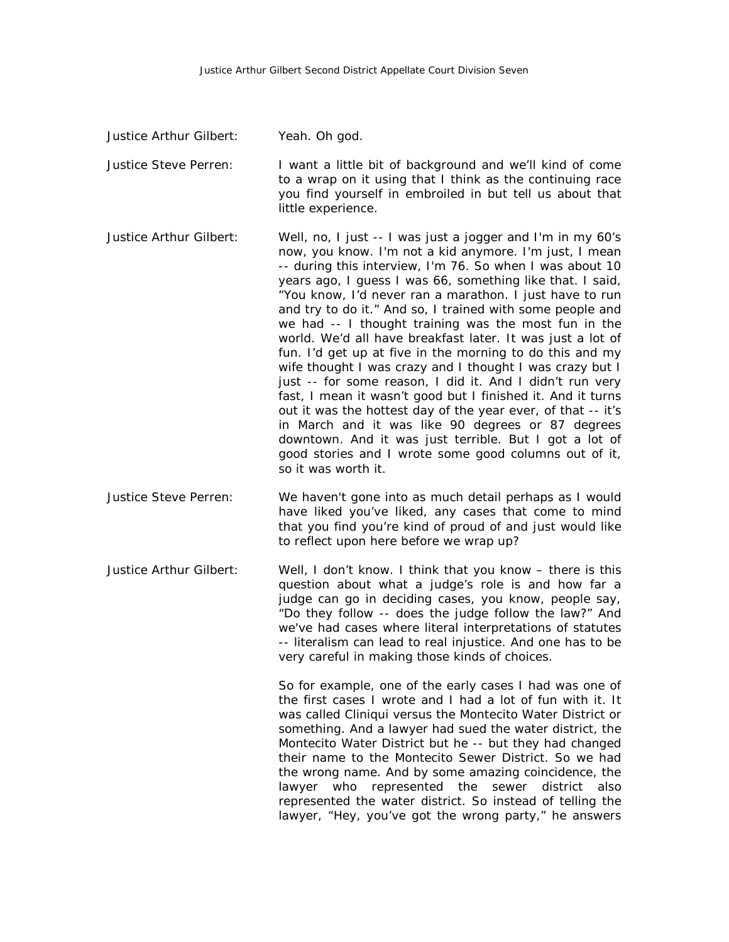- Justice Arthur Gilbert: Yeah. Oh god. Justice Steve Perren: I want a little bit of background and we'll kind of come to a wrap on it using that I think as the continuing race you find yourself in embroiled in but tell us about that little experience. Justice Arthur Gilbert: Well, no, I just -- I was just a jogger and I'm in my 60's now, you know. I'm not a kid anymore. I'm just, I mean -- during this interview, I'm 76. So when I was about 10 years ago, I guess I was 66, something like that. I said, "You know, I'd never ran a marathon. I just have to run and try to do it." And so, I trained with some people and we had -- I thought training was the most fun in the world. We'd all have breakfast later. It was just a lot of fun. I'd get up at five in the morning to do this and my wife thought I was crazy and I thought I was crazy but I just -- for some reason, I did it. And I didn't run very fast, I mean it wasn't good but I finished it. And it turns out it was the hottest day of the year ever, of that -- it's in March and it was like 90 degrees or 87 degrees downtown. And it was just terrible. But I got a lot of good stories and I wrote some good columns out of it, so it was worth it. Justice Steve Perren: We haven't gone into as much detail perhaps as I would
- have liked you've liked, any cases that come to mind that you find you're kind of proud of and just would like to reflect upon here before we wrap up?
- Justice Arthur Gilbert: Well, I don't know. I think that you know there is this question about what a judge's role is and how far a judge can go in deciding cases, you know, people say, "Do they follow -- does the judge follow the law?" And we've had cases where literal interpretations of statutes -- literalism can lead to real injustice. And one has to be very careful in making those kinds of choices.

So for example, one of the early cases I had was one of the first cases I wrote and I had a lot of fun with it. It was called Cliniqui versus the Montecito Water District or something. And a lawyer had sued the water district, the Montecito Water District but he -- but they had changed their name to the Montecito Sewer District. So we had the wrong name. And by some amazing coincidence, the lawyer who represented the sewer district also represented the water district. So instead of telling the lawyer, "Hey, you've got the wrong party," he answers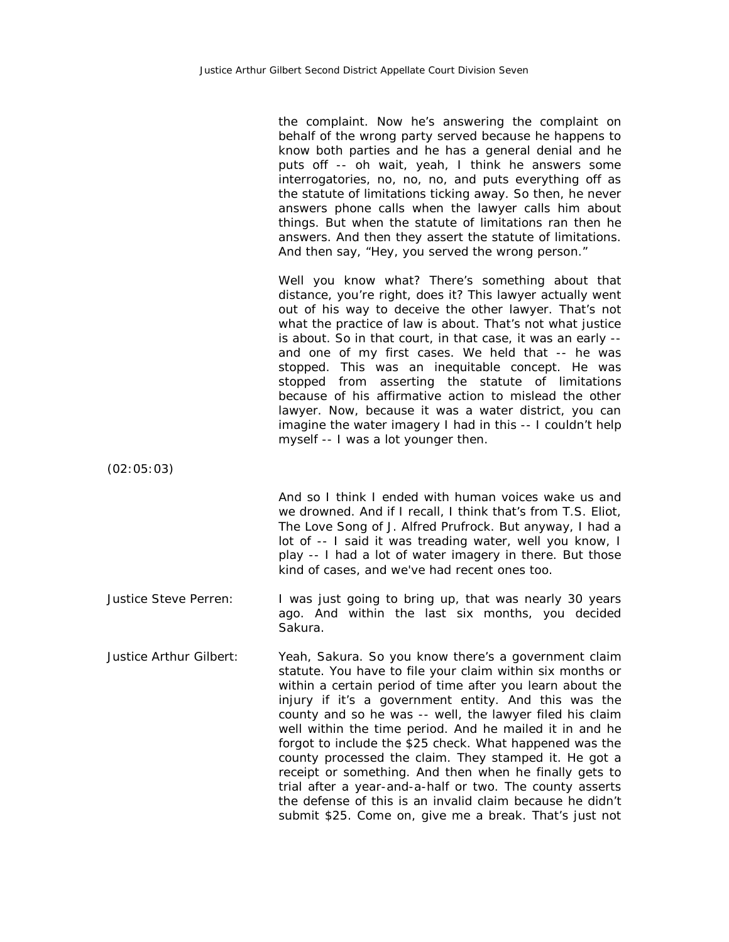the complaint. Now he's answering the complaint on behalf of the wrong party served because he happens to know both parties and he has a general denial and he puts off -- oh wait, yeah, I think he answers some interrogatories, no, no, no, and puts everything off as the statute of limitations ticking away. So then, he never answers phone calls when the lawyer calls him about things. But when the statute of limitations ran then he answers. And then they assert the statute of limitations. And then say, "Hey, you served the wrong person."

Well you know what? There's something about that distance, you're right, does it? This lawyer actually went out of his way to deceive the other lawyer. That's not what the practice of law is about. That's not what justice is about. So in that court, in that case, it was an early - and one of my first cases. We held that -- he was stopped. This was an inequitable concept. He was stopped from asserting the statute of limitations because of his affirmative action to mislead the other lawyer. Now, because it was a water district, you can imagine the water imagery I had in this -- I couldn't help myself -- I was a lot younger then.

(02:05:03)

And so I think I ended with human voices wake us and we drowned. And if I recall, I think that's from T.S. Eliot, The Love Song of J. Alfred Prufrock. But anyway, I had a lot of -- I said it was treading water, well you know, I play -- I had a lot of water imagery in there. But those kind of cases, and we've had recent ones too.

- Justice Steve Perren: I was just going to bring up, that was nearly 30 years ago. And within the last six months, you decided Sakura.
- Justice Arthur Gilbert: Yeah, Sakura. So you know there's a government claim statute. You have to file your claim within six months or within a certain period of time after you learn about the injury if it's a government entity. And this was the county and so he was -- well, the lawyer filed his claim well within the time period. And he mailed it in and he forgot to include the \$25 check. What happened was the county processed the claim. They stamped it. He got a receipt or something. And then when he finally gets to trial after a year-and-a-half or two. The county asserts the defense of this is an invalid claim because he didn't submit \$25. Come on, give me a break. That's just not